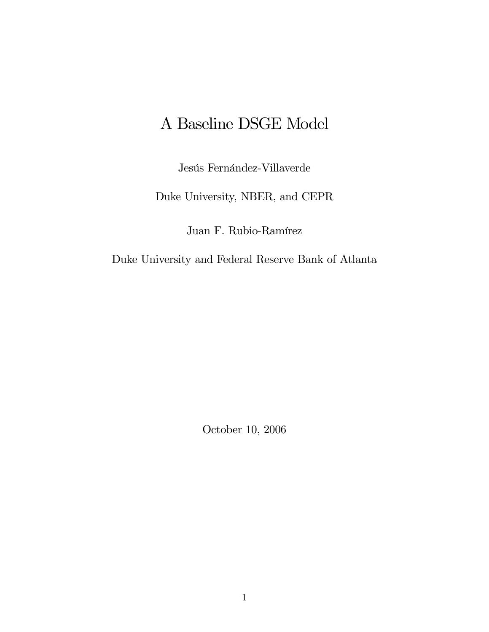# A Baseline DSGE Model

Jesús Fernández-Villaverde

Duke University, NBER, and CEPR

Juan F. Rubio-Ramírez

Duke University and Federal Reserve Bank of Atlanta

October 10, 2006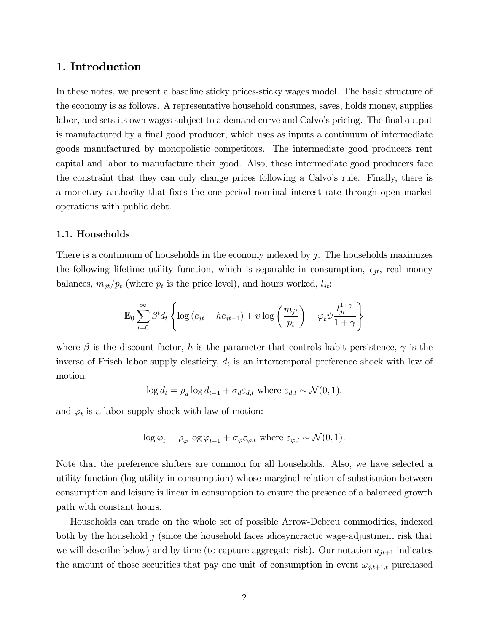# 1. Introduction

In these notes, we present a baseline sticky prices-sticky wages model. The basic structure of the economy is as follows. A representative household consumes, saves, holds money, supplies labor, and sets its own wages subject to a demand curve and Calvo's pricing. The final output is manufactured by a final good producer, which uses as inputs a continuum of intermediate goods manufactured by monopolistic competitors. The intermediate good producers rent capital and labor to manufacture their good. Also, these intermediate good producers face the constraint that they can only change prices following a Calvo's rule. Finally, there is a monetary authority that fixes the one-period nominal interest rate through open market operations with public debt.

#### 1.1. Households

There is a continuum of households in the economy indexed by j. The households maximizes the following lifetime utility function, which is separable in consumption,  $c_{jt}$ , real money balances,  $m_{jt}/p_t$  (where  $p_t$  is the price level), and hours worked,  $l_{jt}$ :

$$
\mathbb{E}_0 \sum_{t=0}^{\infty} \beta^t d_t \left\{ \log (c_{jt} - h c_{jt-1}) + v \log \left( \frac{m_{jt}}{p_t} \right) - \varphi_t \psi \frac{l_{jt}^{1+\gamma}}{1+\gamma} \right\}
$$

where  $\beta$  is the discount factor, h is the parameter that controls habit persistence,  $\gamma$  is the inverse of Frisch labor supply elasticity,  $d_t$  is an intertemporal preference shock with law of motion:

$$
\log d_t = \rho_d \log d_{t-1} + \sigma_d \varepsilon_{d,t} \text{ where } \varepsilon_{d,t} \sim \mathcal{N}(0, 1),
$$

and  $\varphi_t$  is a labor supply shock with law of motion:

$$
\log \varphi_t = \rho_\varphi \log \varphi_{t-1} + \sigma_\varphi \varepsilon_{\varphi,t} \text{ where } \varepsilon_{\varphi,t} \sim \mathcal{N}(0,1).
$$

Note that the preference shifters are common for all households. Also, we have selected a utility function (log utility in consumption) whose marginal relation of substitution between consumption and leisure is linear in consumption to ensure the presence of a balanced growth path with constant hours.

Households can trade on the whole set of possible Arrow-Debreu commodities, indexed both by the household  $j$  (since the household faces idiosyncractic wage-adjustment risk that we will describe below) and by time (to capture aggregate risk). Our notation  $a_{jt+1}$  indicates the amount of those securities that pay one unit of consumption in event  $\omega_{j,t+1,t}$  purchased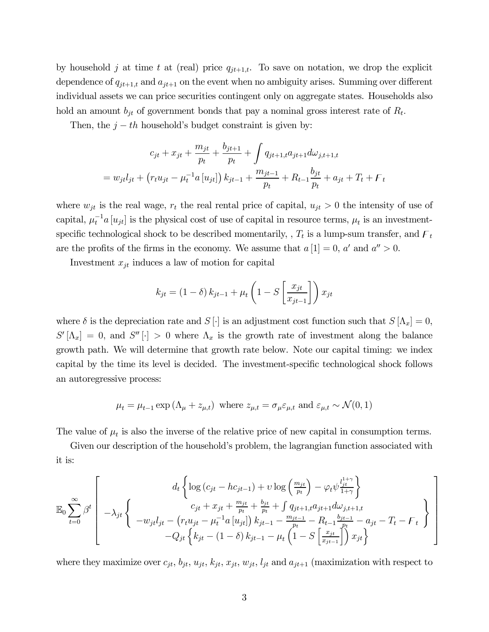by household j at time t at (real) price  $q_{jt+1,t}$ . To save on notation, we drop the explicit dependence of  $q_{jt+1,t}$  and  $a_{jt+1}$  on the event when no ambiguity arises. Summing over different individual assets we can price securities contingent only on aggregate states. Households also hold an amount  $b_{it}$  of government bonds that pay a nominal gross interest rate of  $R_t$ .

Then, the  $j - th$  household's budget constraint is given by:

$$
c_{jt} + x_{jt} + \frac{m_{jt}}{p_t} + \frac{b_{jt+1}}{p_t} + \int q_{jt+1,t} a_{jt+1} d\omega_{j,t+1,t}
$$
  
=  $w_{jt} l_{jt} + (r_t u_{jt} - \mu_t^{-1} a [u_{jt}]) k_{jt-1} + \frac{m_{jt-1}}{p_t} + R_{t-1} \frac{b_{jt}}{p_t} + a_{jt} + T_t + F_t$ 

where  $w_{jt}$  is the real wage,  $r_t$  the real rental price of capital,  $u_{jt} > 0$  the intensity of use of capital,  $\mu_t^{-1} a[u_{jt}]$  is the physical cost of use of capital in resource terms,  $\mu_t$  is an investmentspecific technological shock to be described momentarily,  $T_t$  is a lump-sum transfer, and  $F_t$ are the profits of the firms in the economy. We assume that  $a[1] = 0$ ,  $a'$  and  $a'' > 0$ .

Investment  $x_{jt}$  induces a law of motion for capital

$$
k_{jt} = (1 - \delta) k_{jt-1} + \mu_t \left( 1 - S \left[ \frac{x_{jt}}{x_{jt-1}} \right] \right) x_{jt}
$$

where  $\delta$  is the depreciation rate and  $S[\cdot]$  is an adjustment cost function such that  $S[\Lambda_x]=0$ ,  $S'[\Lambda_x]=0$ , and  $S''[\cdot] > 0$  where  $\Lambda_x$  is the growth rate of investment along the balance growth path. We will determine that growth rate below. Note our capital timing: we index capital by the time its level is decided. The investment-specific technological shock follows an autoregressive process:

$$
\mu_t = \mu_{t-1} \exp(\Lambda_\mu + z_{\mu,t})
$$
 where  $z_{\mu,t} = \sigma_\mu \varepsilon_{\mu,t}$  and  $\varepsilon_{\mu,t} \sim \mathcal{N}(0,1)$ 

The value of  $\mu_t$  is also the inverse of the relative price of new capital in consumption terms.

Given our description of the household's problem, the lagrangian function associated with it is:

$$
\mathbb{E}_{0} \sum_{t=0}^{\infty} \beta^{t} \left[ \begin{array}{c} d_{t} \left\{ \log \left( c_{jt} - h c_{jt-1} \right) + \upsilon \log \left( \frac{m_{jt}}{p_{t}} \right) - \varphi_{t} \psi_{\frac{jt}{1+\gamma}}^{\frac{1+\gamma}{1+\gamma}} \right\} \\ c_{jt} + x_{jt} + \frac{m_{jt}}{p_{t}} + \frac{b_{jt}}{p_{t}} + \int q_{jt+1,t} a_{jt+1} d\omega_{j,t+1,t} \\ - w_{jt} l_{jt} - \left( r_{t} u_{jt} - \mu_{t}^{-1} a \left[ u_{jt} \right] \right) k_{jt-1} - \frac{m_{jt-1}}{p_{t}} - R_{t-1} \frac{b_{jt-1}}{p_{t}} - a_{jt} - T_{t} - \digamma_{t} \end{array} \right\} - Q_{jt} \left\{ k_{jt} - (1 - \delta) k_{jt-1} - \mu_{t} \left( 1 - S \left[ \frac{x_{jt}}{x_{jt-1}} \right] \right) x_{jt} \right\}
$$

where they maximize over  $c_{jt}$ ,  $b_{jt}$ ,  $u_{jt}$ ,  $k_{jt}$ ,  $x_{jt}$ ,  $w_{jt}$ ,  $l_{jt}$  and  $a_{jt+1}$  (maximization with respect to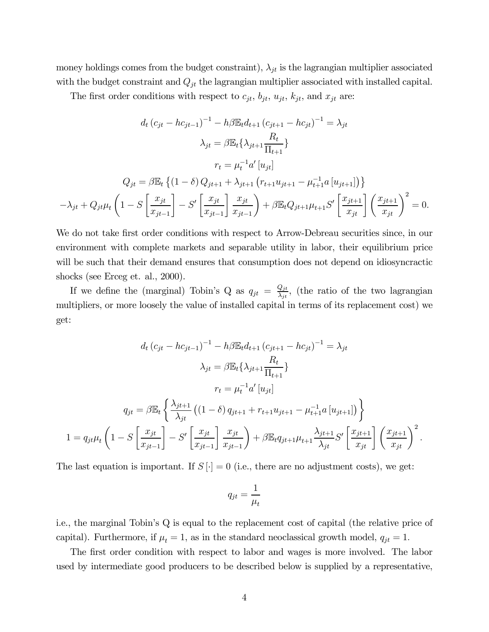money holdings comes from the budget constraint),  $\lambda_{jt}$  is the lagrangian multiplier associated with the budget constraint and  $Q_{jt}$  the lagrangian multiplier associated with installed capital.

The first order conditions with respect to  $c_{jt}$ ,  $b_{jt}$ ,  $u_{jt}$ ,  $k_{jt}$ , and  $x_{jt}$  are:

$$
d_t (c_{jt} - hc_{jt-1})^{-1} - h\beta \mathbb{E}_t d_{t+1} (c_{jt+1} - hc_{jt})^{-1} = \lambda_{jt}
$$

$$
\lambda_{jt} = \beta \mathbb{E}_t {\lambda_{jt+1}} \frac{R_t}{\Pi_{t+1}}
$$

$$
r_t = \mu_t^{-1} a' [u_{jt}]
$$

$$
Q_{jt} = \beta \mathbb{E}_t \left\{ (1 - \delta) Q_{jt+1} + \lambda_{jt+1} (r_{t+1} u_{jt+1} - \mu_{t+1}^{-1} a [u_{jt+1}]) \right\}
$$

$$
-\lambda_{jt} + Q_{jt} \mu_t \left( 1 - S \left[ \frac{x_{jt}}{x_{jt-1}} \right] - S' \left[ \frac{x_{jt}}{x_{jt-1}} \right] \frac{x_{jt}}{x_{jt-1}} \right) + \beta \mathbb{E}_t Q_{jt+1} \mu_{t+1} S' \left[ \frac{x_{jt+1}}{x_{jt}} \right] \left( \frac{x_{jt+1}}{x_{jt}} \right)^2 = 0.
$$

We do not take first order conditions with respect to Arrow-Debreau securities since, in our environment with complete markets and separable utility in labor, their equilibrium price will be such that their demand ensures that consumption does not depend on idiosyncractic shocks (see Erceg et. al., 2000).

If we define the (marginal) Tobin's Q as  $q_{jt} = \frac{Q_{jt}}{\lambda_{jt}}$ , (the ratio of the two lagrangian multipliers, or more loosely the value of installed capital in terms of its replacement cost) we get:

$$
d_{t} (c_{jt} - hc_{jt-1})^{-1} - h\beta \mathbb{E}_{t} d_{t+1} (c_{jt+1} - hc_{jt})^{-1} = \lambda_{jt}
$$

$$
\lambda_{jt} = \beta \mathbb{E}_{t} \{\lambda_{jt+1} \frac{R_{t}}{\prod_{t+1}}\}
$$

$$
r_{t} = \mu_{t}^{-1} a' [u_{jt}]
$$

$$
q_{jt} = \beta \mathbb{E}_{t} \left\{\frac{\lambda_{jt+1}}{\lambda_{jt}} ((1 - \delta) q_{jt+1} + r_{t+1} u_{jt+1} - \mu_{t+1}^{-1} a [u_{jt+1}])\right\}
$$

$$
1 = q_{jt} \mu_{t} \left(1 - S \left[\frac{x_{jt}}{x_{jt-1}}\right] - S' \left[\frac{x_{jt}}{x_{jt-1}}\right] \frac{x_{jt}}{x_{jt-1}}\right) + \beta \mathbb{E}_{t} q_{jt+1} \mu_{t+1} \frac{\lambda_{jt+1}}{\lambda_{jt}} S' \left[\frac{x_{jt+1}}{x_{jt}}\right] \left(\frac{x_{jt+1}}{x_{jt}}\right)^{2}.
$$

The last equation is important. If  $S[\cdot]=0$  (i.e., there are no adjustment costs), we get:

$$
q_{jt} = \frac{1}{\mu_t}
$$

i.e., the marginal Tobin's Q is equal to the replacement cost of capital (the relative price of capital). Furthermore, if  $\mu_t = 1$ , as in the standard neoclassical growth model,  $q_{jt} = 1$ .

The first order condition with respect to labor and wages is more involved. The labor used by intermediate good producers to be described below is supplied by a representative,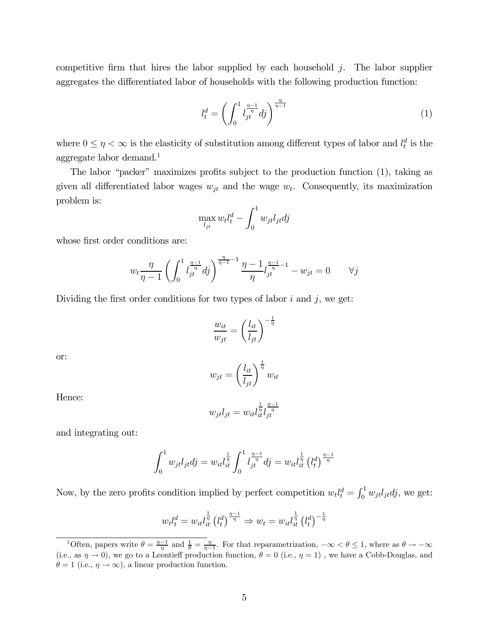competitive firm that hires the labor supplied by each household  $j$ . The labor supplier aggregates the differentiated labor of households with the following production function:

$$
l_t^d = \left(\int_0^1 l_{jt}^{\frac{\eta - 1}{\eta}} dj\right)^{\frac{\eta}{\eta - 1}}
$$
\n(1)

where  $0 \leq \eta < \infty$  is the elasticity of substitution among different types of labor and  $l_t^d$  is the aggregate labor demand.<sup>1</sup>

The labor "packer" maximizes profits subject to the production function (1), taking as given all differentiated labor wages  $w_{jt}$  and the wage  $w_t$ . Consequently, its maximization problem is:

$$
\max_{l_{jt}} w_t l_t^d - \int_0^1 w_{jt} l_{jt} d j
$$

whose first order conditions are:

$$
w_t \frac{\eta}{\eta - 1} \left( \int_0^1 l_{jt}^{\frac{\eta - 1}{\eta}} dj \right)^{\frac{\eta}{\eta - 1} - 1} \frac{\eta - 1}{\eta} l_{jt}^{\frac{\eta - 1}{\eta} - 1} - w_{jt} = 0 \qquad \forall j
$$

Dividing the first order conditions for two types of labor  $i$  and  $j$ , we get:

$$
\frac{w_{it}}{w_{jt}} = \left(\frac{l_{it}}{l_{jt}}\right)^{-\frac{1}{\eta}}
$$

or:

 $w_{jt} =$  $\left(\frac{l_{it}}{l_{jt}}\right)^{\frac{1}{\eta}} w_{it}$ 

$$
w_{jt}l_{jt} = w_{it}l_{it}^{\frac{1}{\eta}}l_{jt}^{\frac{\eta-1}{\eta}}
$$

and integrating out:

$$
\int_0^1 w_{jt} l_{jt} dj = w_{it} l_{it}^{\frac{1}{\eta}} \int_0^1 l_{jt}^{\frac{\eta-1}{\eta}} dj = w_{it} l_{it}^{\frac{1}{\eta}} \left(l_t^d\right)^{\frac{\eta-1}{\eta}}
$$

Now, by the zero profits condition implied by perfect competition  $w_t l_t^d = \int_0^1 w_{jt} l_{jt} d_j$ , we get:

$$
w_t l_t^d = w_{it} l_{it}^{\frac{1}{\eta}} \left(l_t^d\right)^{\frac{\eta-1}{\eta}} \Rightarrow w_t = w_{it} l_{it}^{\frac{1}{\eta}} \left(l_t^d\right)^{-\frac{1}{\eta}}
$$

Hence:

<sup>&</sup>lt;sup>1</sup>Often, papers write  $\theta = \frac{\eta - 1}{\eta}$  and  $\frac{1}{\theta} = \frac{\eta}{\eta - 1}$ . For that reparametrization,  $-\infty < \theta \le 1$ , where as  $\theta \to -\infty$ (i.e., as  $\eta \to 0$ ), we go to a Leontieff production function,  $\theta = 0$  (i.e.,  $\eta = 1$ ), we have a Cobb-Douglas, and  $\theta = 1$  (i.e.,  $\eta \rightarrow \infty$ ), a linear production function.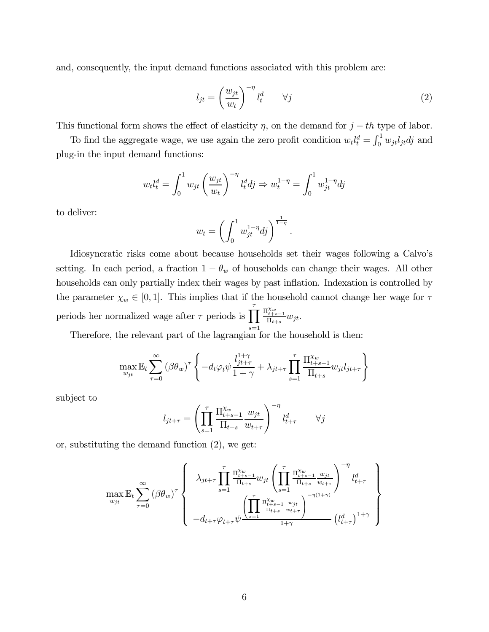and, consequently, the input demand functions associated with this problem are:

$$
l_{jt} = \left(\frac{w_{jt}}{w_t}\right)^{-\eta} l_t^d \qquad \forall j \tag{2}
$$

This functional form shows the effect of elasticity  $\eta$ , on the demand for  $j - th$  type of labor.

To find the aggregate wage, we use again the zero profit condition  $w_t l_t^d = \int_0^1 w_{jt} l_{jt} d j$  and plug-in the input demand functions:

$$
w_t l_t^d = \int_0^1 w_{jt} \left(\frac{w_{jt}}{w_t}\right)^{-\eta} l_t^d dj \Rightarrow w_t^{1-\eta} = \int_0^1 w_{jt}^{1-\eta} dj
$$

to deliver:

$$
w_t = \left(\int_0^1 w_{jt}^{1-\eta} dj\right)^{\frac{1}{1-\eta}}.
$$

Idiosyncratic risks come about because households set their wages following a Calvo's setting. In each period, a fraction  $1 - \theta_w$  of households can change their wages. All other households can only partially index their wages by past inflation. Indexation is controlled by the parameter  $\chi_w \in [0, 1]$ . This implies that if the household cannot change her wage for  $\tau$ periods her normalized wage after  $\tau$  periods is  $\prod$  $s=1$  $\frac{\prod_{t+s-1}^{\chi_w}}{\prod_{t+s}} w_{jt}.$ 

Therefore, the relevant part of the lagrangian for the household is then:

$$
\max_{w_{jt}} \mathbb{E}_t \sum_{\tau=0}^{\infty} (\beta \theta_w)^{\tau} \left\{ -d_t \varphi_t \psi \frac{l_{jt+\tau}^{1+\gamma}}{1+\gamma} + \lambda_{jt+\tau} \prod_{s=1}^{\tau} \frac{\prod_{t+s-1}^{\chi_w} w_{jt} l_{jt+\tau}}{\prod_{t+s}} \right\}
$$

subject to

$$
l_{jt+\tau} = \left(\prod_{s=1}^{\tau} \frac{\prod_{t+s-1}^{\chi_w} w_{jt}}{\prod_{t+s} w_{t+\tau}}\right)^{-\eta} l_{t+\tau}^d \qquad \forall j
$$

or, substituting the demand function (2), we get:

$$
\max_{w_{jt}} \mathbb{E}_{t} \sum_{\tau=0}^{\infty} (\beta \theta_{w})^{\tau} \left\{ \lambda_{jt+\tau} \prod_{s=1}^{\tau} \frac{\Pi_{t+s-1}^{\chi_{w}}}{\Pi_{t+s}} w_{jt} \left( \prod_{s=1}^{\tau} \frac{\Pi_{t+s-1}^{\chi_{w}} w_{jt}}{\Pi_{t+s}} \right)^{-\eta} l_{t+\tau}^{d} \right\} - d_{t+\tau} \varphi_{t+\tau} \psi + \frac{\left( \prod_{s=1}^{\tau} \frac{\Pi_{t+s-1}^{\chi_{w}} w_{jt}}{\Pi_{t+s}} \frac{w_{jt}}{w_{t+\tau}} \right)^{-\eta(1+\gamma)}}{1+\gamma} \left( l_{t+\tau}^{d} \right)^{1+\gamma} \right\}
$$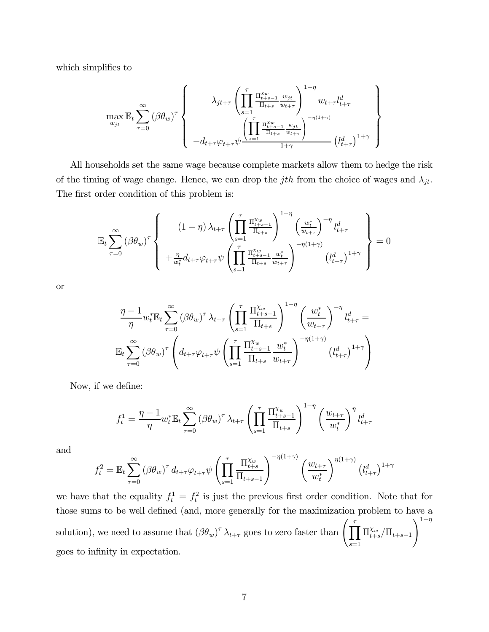which simplifies to

$$
\max_{w_{jt}} \mathbb{E}_{t} \sum_{\tau=0}^{\infty} (\beta \theta_{w})^{\tau} \left\{\n\begin{array}{c}\n\lambda_{jt+\tau} \left( \prod_{s=1}^{\tau} \frac{\Pi_{t+s-1}^{\chi_{w}} w_{jt}}{\Pi_{t+s}} \frac{w_{jt}}{w_{t+\tau}} \right)^{1-\eta} w_{t+\tau} l_{t+\tau}^{d} \\
\left( \prod_{s=1}^{\tau} \frac{\Pi_{t+s-1}^{\chi_{w}} w_{jt}}{\Pi_{t+s}} \frac{w_{jt}}{w_{t+\tau}} \right)^{-\eta(1+\gamma)} \left( l_{t+\tau}^{d} \right)^{1+\gamma}\n\end{array}\n\right\}
$$

All households set the same wage because complete markets allow them to hedge the risk of the timing of wage change. Hence, we can drop the jth from the choice of wages and  $\lambda_{jt}$ . The first order condition of this problem is:

$$
\mathbb{E}_{t} \sum_{\tau=0}^{\infty} (\beta \theta_{w})^{\tau} \left\{ \begin{array}{c} (1-\eta) \lambda_{t+\tau} \left( \prod_{s=1}^{\tau} \frac{\Pi_{t+s-1}^{\chi_{w}}}{\Pi_{t+s}} \right)^{1-\eta} \left( \frac{w_{t}^{*}}{w_{t+\tau}} \right)^{-\eta} l_{t+\tau}^{d} \\ + \frac{\eta}{w_{t}^{*}} d_{t+\tau} \varphi_{t+\tau} \psi \left( \prod_{s=1}^{\tau} \frac{\Pi_{t+s-1}^{\chi_{w}}}{\Pi_{t+s}} \frac{w_{t}^{*}}{w_{t+\tau}} \right)^{-\eta(1+\gamma)} \left( l_{t+\tau}^{d} \right)^{1+\gamma} \end{array} \right\} = 0
$$

or

$$
\frac{\eta - 1}{\eta} w_t^* \mathbb{E}_t \sum_{\tau=0}^{\infty} (\beta \theta_w)^{\tau} \lambda_{t+\tau} \left( \prod_{s=1}^{\tau} \frac{\Pi_{t+s-1}^{\chi_w}}{\Pi_{t+s}} \right)^{1-\eta} \left( \frac{w_t^*}{w_{t+\tau}} \right)^{-\eta} l_{t+\tau}^d =
$$
  

$$
\mathbb{E}_t \sum_{\tau=0}^{\infty} (\beta \theta_w)^{\tau} \left( d_{t+\tau} \varphi_{t+\tau} \psi \left( \prod_{s=1}^{\tau} \frac{\Pi_{t+s-1}^{\chi_w}}{\Pi_{t+s}} \frac{w_t^*}{w_{t+\tau}} \right)^{-\eta(1+\gamma)} \left( l_{t+\tau}^d \right)^{1+\gamma} \right)
$$

Now, if we define:

$$
f_t^1 = \frac{\eta - 1}{\eta} w_t^* \mathbb{E}_t \sum_{\tau=0}^{\infty} (\beta \theta_w)^{\tau} \lambda_{t+\tau} \left( \prod_{s=1}^{\tau} \frac{\Pi_{t+s-1}^{\chi_w}}{\Pi_{t+s}} \right)^{1-\eta} \left( \frac{w_{t+\tau}}{w_t^*} \right)^{\eta} l_{t+\tau}^d
$$

and

$$
f_t^2 = \mathbb{E}_t \sum_{\tau=0}^{\infty} (\beta \theta_w)^{\tau} d_{t+\tau} \varphi_{t+\tau} \psi \left( \prod_{s=1}^{\tau} \frac{\Pi_{t+s}^{\chi_w}}{\Pi_{t+s-1}} \right)^{-\eta(1+\gamma)} \left( \frac{w_{t+\tau}}{w_t^*} \right)^{\eta(1+\gamma)} \left( l_{t+\tau}^d \right)^{1+\gamma}
$$

we have that the equality  $f_t^1 = f_t^2$  is just the previous first order condition. Note that for those sums to be well defined (and, more generally for the maximization problem to have a solution), we need to assume that  $(\beta \theta_w)^{\tau} \lambda_{t+\tau}$  goes to zero faster than  $\left(\prod_{i=1}^{\tau} \right)$  $_{s=1}$  $\Pi_{t+s}^{\chi_w}/\Pi_{t+s-1}$  $\setminus$ <sup>1-η</sup> goes to infinity in expectation.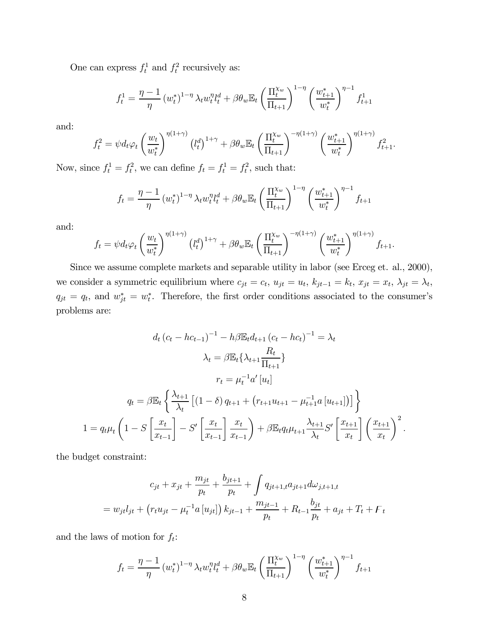One can express  $f_t^1$  and  $f_t^2$  recursively as:

$$
f_t^1 = \frac{\eta - 1}{\eta} (w_t^*)^{1 - \eta} \lambda_t w_t^{\eta} l_t^d + \beta \theta_w \mathbb{E}_t \left( \frac{\Pi_t^{\chi_w}}{\Pi_{t+1}} \right)^{1 - \eta} \left( \frac{w_{t+1}^*}{w_t^*} \right)^{\eta - 1} f_{t+1}^1
$$

and:

$$
f_t^2 = \psi d_t \varphi_t \left(\frac{w_t}{w_t^*}\right)^{\eta(1+\gamma)} \left(l_t^d\right)^{1+\gamma} + \beta \theta_w \mathbb{E}_t \left(\frac{\Pi_t^{\chi_w}}{\Pi_{t+1}}\right)^{-\eta(1+\gamma)} \left(\frac{w_{t+1}^*}{w_t^*}\right)^{\eta(1+\gamma)} f_{t+1}^2.
$$

Now, since  $f_t^1 = f_t^2$ , we can define  $f_t = f_t^1 = f_t^2$ , such that:

$$
f_t = \frac{\eta - 1}{\eta} (w_t^*)^{1 - \eta} \lambda_t w_t^{\eta} l_t^d + \beta \theta_w \mathbb{E}_t \left( \frac{\Pi_t^{\chi_w}}{\Pi_{t+1}} \right)^{1 - \eta} \left( \frac{w_{t+1}^*}{w_t^*} \right)^{\eta - 1} f_{t+1}
$$

and:

$$
f_t = \psi d_t \varphi_t \left(\frac{w_t}{w_t^*}\right)^{\eta(1+\gamma)} \left(l_t^d\right)^{1+\gamma} + \beta \theta_w \mathbb{E}_t \left(\frac{\Pi_t^{\chi_w}}{\Pi_{t+1}}\right)^{-\eta(1+\gamma)} \left(\frac{w_{t+1}^*}{w_t^*}\right)^{\eta(1+\gamma)} f_{t+1}.
$$

Since we assume complete markets and separable utility in labor (see Erceg et. al., 2000), we consider a symmetric equilibrium where  $c_{jt} = c_t$ ,  $u_{jt} = u_t$ ,  $k_{jt-1} = k_t$ ,  $x_{jt} = x_t$ ,  $\lambda_{jt} = \lambda_t$ ,  $q_{jt} = q_t$ , and  $w_{jt}^* = w_t^*$ . Therefore, the first order conditions associated to the consumer's problems are:

$$
d_{t} (c_{t} - hc_{t-1})^{-1} - h\beta \mathbb{E}_{t} d_{t+1} (c_{t} - hc_{t})^{-1} = \lambda_{t}
$$

$$
\lambda_{t} = \beta \mathbb{E}_{t} \{\lambda_{t+1} \frac{R_{t}}{\Pi_{t+1}}\}
$$

$$
r_{t} = \mu_{t}^{-1} a' [u_{t}]
$$

$$
q_{t} = \beta \mathbb{E}_{t} \{\frac{\lambda_{t+1}}{\lambda_{t}} [(1 - \delta) q_{t+1} + (r_{t+1} u_{t+1} - \mu_{t+1}^{-1} a [u_{t+1}])]\}
$$

$$
1 = q_{t} \mu_{t} \left(1 - S \left[\frac{x_{t}}{x_{t-1}}\right] - S' \left[\frac{x_{t}}{x_{t-1}}\right] \frac{x_{t}}{x_{t-1}}\right) + \beta \mathbb{E}_{t} q_{t} \mu_{t+1} \frac{\lambda_{t+1}}{\lambda_{t}} S' \left[\frac{x_{t+1}}{x_{t}}\right] \left(\frac{x_{t+1}}{x_{t}}\right)^{2}.
$$

the budget constraint:

$$
c_{jt} + x_{jt} + \frac{m_{jt}}{p_t} + \frac{b_{jt+1}}{p_t} + \int q_{jt+1,t} a_{jt+1} d\omega_{j,t+1,t}
$$
  
=  $w_{jt} l_{jt} + (r_t u_{jt} - \mu_t^{-1} a[u_{jt}]) k_{jt-1} + \frac{m_{jt-1}}{p_t} + R_{t-1} \frac{b_{jt}}{p_t} + a_{jt} + T_t + F_t$ 

and the laws of motion for  $f_t$ :

$$
f_t = \frac{\eta - 1}{\eta} (w_t^*)^{1 - \eta} \lambda_t w_t^{\eta} l_t^d + \beta \theta_w \mathbb{E}_t \left( \frac{\Pi_t^{\chi_w}}{\Pi_{t+1}} \right)^{1 - \eta} \left( \frac{w_{t+1}^*}{w_t^*} \right)^{\eta - 1} f_{t+1}
$$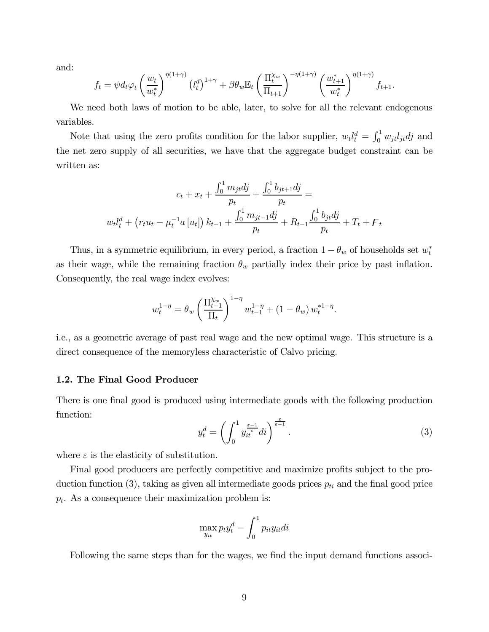and:

$$
f_t = \psi d_t \varphi_t \left(\frac{w_t}{w_t^*}\right)^{\eta(1+\gamma)} \left(l_t^d\right)^{1+\gamma} + \beta \theta_w \mathbb{E}_t \left(\frac{\Pi_t^{\chi_w}}{\Pi_{t+1}}\right)^{-\eta(1+\gamma)} \left(\frac{w_{t+1}^*}{w_t^*}\right)^{\eta(1+\gamma)} f_{t+1}.
$$

We need both laws of motion to be able, later, to solve for all the relevant endogenous variables.

Note that using the zero profits condition for the labor supplier,  $w_t l_t^d = \int_0^1 w_{jt} l_{jt} d j$  and the net zero supply of all securities, we have that the aggregate budget constraint can be written as:

$$
c_{t} + x_{t} + \frac{\int_{0}^{1} m_{jt}dj}{p_{t}} + \frac{\int_{0}^{1} b_{jt+1}dj}{p_{t}} =
$$
  

$$
w_{t}l_{t}^{d} + (r_{t}u_{t} - \mu_{t}^{-1}a[u_{t}]) k_{t-1} + \frac{\int_{0}^{1} m_{jt-1}dj}{p_{t}} + R_{t-1} \frac{\int_{0}^{1} b_{jt}dj}{p_{t}} + T_{t} + F_{t}
$$

Thus, in a symmetric equilibrium, in every period, a fraction  $1 - \theta_w$  of households set  $w_t^*$ as their wage, while the remaining fraction  $\theta_w$  partially index their price by past inflation. Consequently, the real wage index evolves:

$$
w_t^{1-\eta} = \theta_w \left(\frac{\Pi_{t-1}^{\chi_w}}{\Pi_t}\right)^{1-\eta} w_{t-1}^{1-\eta} + (1-\theta_w) w_t^{*1-\eta}.
$$

i.e., as a geometric average of past real wage and the new optimal wage. This structure is a direct consequence of the memoryless characteristic of Calvo pricing.

#### 1.2. The Final Good Producer

There is one final good is produced using intermediate goods with the following production function:

$$
y_t^d = \left(\int_0^1 y_{it}^{\frac{\varepsilon - 1}{\varepsilon}} di\right)^{\frac{\varepsilon}{\varepsilon - 1}}.\tag{3}
$$

where  $\varepsilon$  is the elasticity of substitution.

Final good producers are perfectly competitive and maximize profits subject to the production function (3), taking as given all intermediate goods prices  $p_{ti}$  and the final good price  $p_t$ . As a consequence their maximization problem is:

$$
\max_{y_{it}} p_t y_t^d - \int_0^1 p_{it} y_{it} dt
$$

Following the same steps than for the wages, we find the input demand functions associ-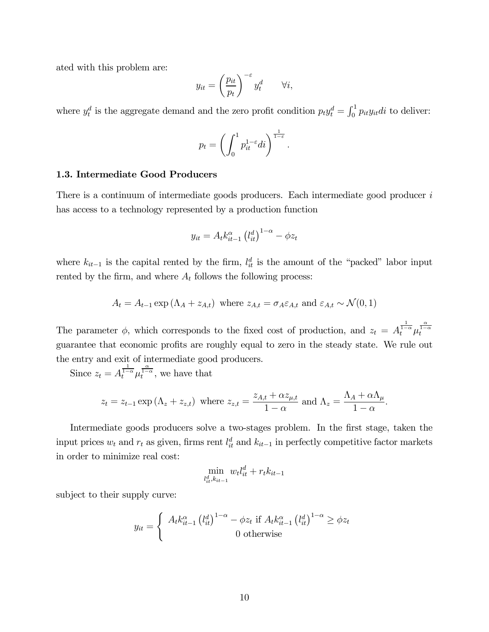ated with this problem are:

$$
y_{it} = \left(\frac{p_{it}}{p_t}\right)^{-\varepsilon} y_t^d \qquad \forall i,
$$

where  $y_t^d$  is the aggregate demand and the zero profit condition  $p_t y_t^d = \int_0^1 p_{it} y_{it} dt$  to deliver:

$$
p_t = \left(\int_0^1 p_{it}^{1-\varepsilon} di\right)^{\frac{1}{1-\varepsilon}}
$$

.

# 1.3. Intermediate Good Producers

There is a continuum of intermediate goods producers. Each intermediate good producer i has access to a technology represented by a production function

$$
y_{it} = A_t k_{it-1}^{\alpha} \left( l_{it}^d \right)^{1-\alpha} - \phi z_t
$$

where  $k_{it-1}$  is the capital rented by the firm,  $l_{it}^d$  is the amount of the "packed" labor input rented by the firm, and where  $A_t$  follows the following process:

$$
A_t = A_{t-1} \exp\left(\Lambda_A + z_{A,t}\right) \text{ where } z_{A,t} = \sigma_A \varepsilon_{A,t} \text{ and } \varepsilon_{A,t} \sim \mathcal{N}(0,1)
$$

The parameter  $\phi$ , which corresponds to the fixed cost of production, and  $z_t = A_t^{\frac{1}{1-\alpha}} \mu_t^{\frac{\alpha}{1-\alpha}}$ guarantee that economic profits are roughly equal to zero in the steady state. We rule out the entry and exit of intermediate good producers.

Since  $z_t = A_t^{\frac{1}{1-\alpha}} \mu_t^{\frac{\alpha}{1-\alpha}}$ , we have that

$$
z_t = z_{t-1} \exp\left(\Lambda_z + z_{z,t}\right) \text{ where } z_{z,t} = \frac{z_{A,t} + \alpha z_{\mu,t}}{1 - \alpha} \text{ and } \Lambda_z = \frac{\Lambda_A + \alpha \Lambda_\mu}{1 - \alpha}.
$$

Intermediate goods producers solve a two-stages problem. In the first stage, taken the input prices  $w_t$  and  $r_t$  as given, firms rent  $l_{it}^d$  and  $k_{it-1}$  in perfectly competitive factor markets in order to minimize real cost:

$$
\min_{l_{it}^d, k_{it-1}} w_t l_{it}^d + r_t k_{it-1}
$$

subject to their supply curve:

$$
y_{it} = \begin{cases} A_t k_{it-1}^{\alpha} \left(l_{it}^{d}\right)^{1-\alpha} - \phi z_t \text{ if } A_t k_{it-1}^{\alpha} \left(l_{it}^{d}\right)^{1-\alpha} \geq \phi z_t \\ 0 \text{ otherwise} \end{cases}
$$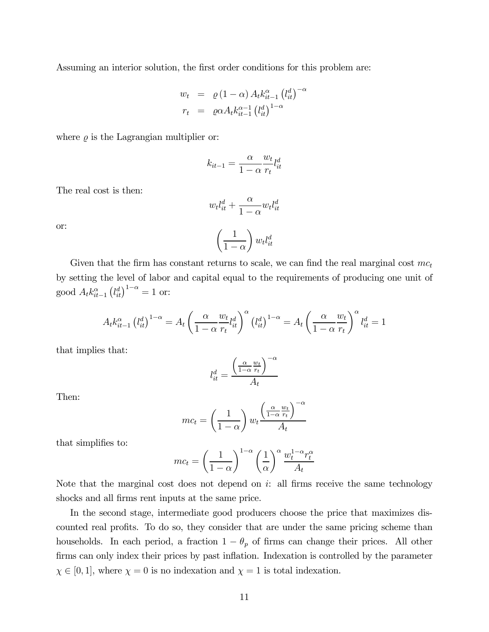Assuming an interior solution, the first order conditions for this problem are:

$$
w_t = \varrho (1 - \alpha) A_t k_{it-1}^{\alpha} (l_{it}^d)^{-\alpha}
$$
  

$$
r_t = \varrho \alpha A_t k_{it-1}^{\alpha-1} (l_{it}^d)^{1-\alpha}
$$

where  $\rho$  is the Lagrangian multiplier or:

$$
k_{it-1} = \frac{\alpha}{1 - \alpha} \frac{w_t}{r_t} l_{it}^d
$$

The real cost is then:

$$
w_t l_{it}^d + \frac{\alpha}{1 - \alpha} w_t l_{it}^d
$$

$$
\left(\frac{1}{1 - \alpha}\right) w_t l_{it}^d
$$

or:

Given that the firm has constant returns to scale, we can find the real marginal cost  $mc_t$ by setting the level of labor and capital equal to the requirements of producing one unit of good  $A_t k_{it-1}^{\alpha} (l_{it}^d)^{1-\alpha} = 1$  or:

$$
A_t k_{it-1}^{\alpha} (l_{it}^d)^{1-\alpha} = A_t \left( \frac{\alpha}{1-\alpha} \frac{w_t}{r_t} l_{it}^d \right)^{\alpha} (l_{it}^d)^{1-\alpha} = A_t \left( \frac{\alpha}{1-\alpha} \frac{w_t}{r_t} \right)^{\alpha} l_{it}^d = 1
$$

that implies that:

$$
l_{it}^d = \frac{\left(\frac{\alpha}{1-\alpha} \frac{w_t}{r_t}\right)^{-\alpha}}{A_t}
$$

Then:

$$
mc_t = \left(\frac{1}{1-\alpha}\right) w_t \frac{\left(\frac{\alpha}{1-\alpha}\frac{w_t}{r_t}\right)^{-\alpha}}{A_t}
$$

that simplifies to:

$$
mc_t = \left(\frac{1}{1-\alpha}\right)^{1-\alpha} \left(\frac{1}{\alpha}\right)^{\alpha} \frac{w_t^{1-\alpha}r_t^{\alpha}}{A_t}
$$

Note that the marginal cost does not depend on  $i$ : all firms receive the same technology shocks and all firms rent inputs at the same price.

In the second stage, intermediate good producers choose the price that maximizes discounted real profits. To do so, they consider that are under the same pricing scheme than households. In each period, a fraction  $1 - \theta_p$  of firms can change their prices. All other firms can only index their prices by past inflation. Indexation is controlled by the parameter  $\chi \in [0,1]$ , where  $\chi = 0$  is no indexation and  $\chi = 1$  is total indexation.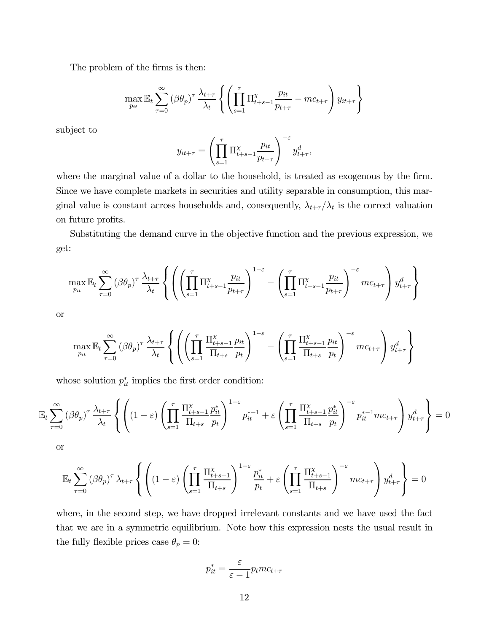The problem of the firms is then:

$$
\max_{p_{it}} \mathbb{E}_t \sum_{\tau=0}^{\infty} (\beta \theta_p)^{\tau} \frac{\lambda_{t+\tau}}{\lambda_t} \left\{ \left( \prod_{s=1}^{\tau} \prod_{t+s-1}^{x} \frac{p_{it}}{p_{t+\tau}} - mc_{t+\tau} \right) y_{it+\tau} \right\}
$$

subject to

$$
y_{it+\tau} = \left(\prod_{s=1}^{\tau} \Pi_{t+s-1}^{x} \frac{p_{it}}{p_{t+\tau}}\right)^{-\varepsilon} y_{t+\tau}^{d},
$$

where the marginal value of a dollar to the household, is treated as exogenous by the firm. Since we have complete markets in securities and utility separable in consumption, this marginal value is constant across households and, consequently,  $\lambda_{t+\tau}/\lambda_t$  is the correct valuation on future profits.

Substituting the demand curve in the objective function and the previous expression, we get:

$$
\max_{p_{it}} \mathbb{E}_t \sum_{\tau=0}^{\infty} (\beta \theta_p)^{\tau} \frac{\lambda_{t+\tau}}{\lambda_t} \left\{ \left( \left( \prod_{s=1}^{\tau} \Pi_{t+s-1}^{\chi} \frac{p_{it}}{p_{t+\tau}} \right)^{1-\varepsilon} - \left( \prod_{s=1}^{\tau} \Pi_{t+s-1}^{\chi} \frac{p_{it}}{p_{t+\tau}} \right)^{-\varepsilon} mc_{t+\tau} \right) y_{t+\tau}^d \right\}
$$

or

$$
\max_{p_{it}} \mathbb{E}_t \sum_{\tau=0}^{\infty} (\beta \theta_p)^{\tau} \frac{\lambda_{t+\tau}}{\lambda_t} \left\{ \left( \left( \prod_{s=1}^{\tau} \frac{\Pi_{t+s-1}^{\chi} p_{it}}{\Pi_{t+s}} \frac{p_{it}}{p_t} \right)^{1-\varepsilon} - \left( \prod_{s=1}^{\tau} \frac{\Pi_{t+s-1}^{\chi} p_{it}}{\Pi_{t+s}} \frac{p_{it}}{p_t} \right)^{-\varepsilon} mc_{t+\tau} \right) y_{t+\tau}^d \right\}
$$

whose solution  $p_{it}^*$  implies the first order condition:

$$
\mathbb{E}_t \sum_{\tau=0}^{\infty} (\beta \theta_p)^{\tau} \frac{\lambda_{t+\tau}}{\lambda_t} \left\{ \left( (1-\varepsilon) \left( \prod_{s=1}^{\tau} \frac{\Pi_{t+s-1}^{\chi} p_{it}^*}{\Pi_{t+s}} \frac{p_{it}^*}{p_t} \right)^{1-\varepsilon} p_{it}^{*-1} + \varepsilon \left( \prod_{s=1}^{\tau} \frac{\Pi_{t+s-1}^{\chi} p_{it}^*}{\Pi_{t+s}} \frac{p_{it}^*}{p_t} \right)^{-\varepsilon} p_{it}^{*-1} m c_{t+\tau} \right) y_{t+\tau}^d \right\} = 0
$$

or

$$
\mathbb{E}_t \sum_{\tau=0}^{\infty} (\beta \theta_p)^{\tau} \lambda_{t+\tau} \left\{ \left( (1-\varepsilon) \left( \prod_{s=1}^{\tau} \frac{\Pi_{t+s-1}^{\chi}}{\Pi_{t+s}} \right)^{1-\varepsilon} \frac{p_{it}^*}{p_t} + \varepsilon \left( \prod_{s=1}^{\tau} \frac{\Pi_{t+s-1}^{\chi}}{\Pi_{t+s}} \right)^{-\varepsilon} mc_{t+\tau} \right) y_{t+\tau}^d \right\} = 0
$$

where, in the second step, we have dropped irrelevant constants and we have used the fact that we are in a symmetric equilibrium. Note how this expression nests the usual result in the fully flexible prices case  $\theta_p = 0$ :

$$
p_{it}^* = \frac{\varepsilon}{\varepsilon - 1} p_t m c_{t + \tau}
$$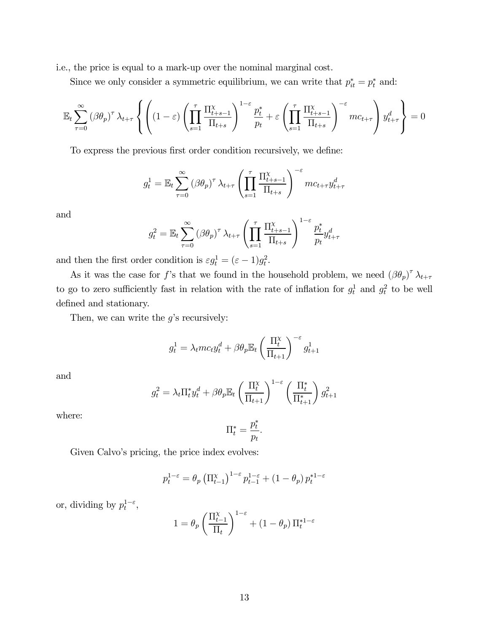i.e., the price is equal to a mark-up over the nominal marginal cost.

Since we only consider a symmetric equilibrium, we can write that  $p_{it}^* = p_t^*$  and:

$$
\mathbb{E}_t \sum_{\tau=0}^{\infty} (\beta \theta_p)^{\tau} \lambda_{t+\tau} \left\{ \left( (1-\varepsilon) \left( \prod_{s=1}^{\tau} \frac{\Pi_{t+s-1}^{\chi}}{\Pi_{t+s}} \right)^{1-\varepsilon} \frac{p_t^*}{p_t} + \varepsilon \left( \prod_{s=1}^{\tau} \frac{\Pi_{t+s-1}^{\chi}}{\Pi_{t+s}} \right)^{-\varepsilon} mc_{t+\tau} \right) y_{t+\tau}^d \right\} = 0
$$

To express the previous first order condition recursively, we define:

$$
g_t^1 = \mathbb{E}_t \sum_{\tau=0}^{\infty} (\beta \theta_p)^{\tau} \lambda_{t+\tau} \left( \prod_{s=1}^{\tau} \frac{\Pi_{t+s-1}^{\chi}}{\Pi_{t+s}} \right)^{-\varepsilon} mc_{t+\tau} y_{t+\tau}^d
$$

and

$$
g_t^2 = \mathbb{E}_t \sum_{\tau=0}^{\infty} (\beta \theta_p)^{\tau} \lambda_{t+\tau} \left( \prod_{s=1}^{\tau} \frac{\Pi_{t+s-1}^{\chi}}{\Pi_{t+s}} \right)^{1-\varepsilon} \frac{p_t^*}{p_t} y_{t+\tau}^d
$$

and then the first order condition is  $\varepsilon g_t^1 = (\varepsilon - 1)g_t^2$ .

As it was the case for f's that we found in the household problem, we need  $(\beta \theta_p)^{\tau} \lambda_{t+\tau}$ to go to zero sufficiently fast in relation with the rate of inflation for  $g_t^1$  and  $g_t^2$  to be well defined and stationary.

Then, we can write the  $g$ 's recursively:

$$
g_t^1 = \lambda_t m c_t y_t^d + \beta \theta_p \mathbb{E}_t \left(\frac{\Pi_t^{\chi}}{\Pi_{t+1}}\right)^{-\varepsilon} g_{t+1}^1
$$

and

$$
g_t^2 = \lambda_t \Pi_t^* y_t^d + \beta \theta_p \mathbb{E}_t \left(\frac{\Pi_t^{\chi}}{\Pi_{t+1}}\right)^{1-\varepsilon} \left(\frac{\Pi_t^*}{\Pi_{t+1}^*}\right) g_{t+1}^2
$$

where:

$$
\Pi_t^* = \frac{p_t^*}{p_t}.
$$

Given Calvo's pricing, the price index evolves:

$$
p_t^{1-\varepsilon} = \theta_p \left( \Pi_{t-1}^{\chi} \right)^{1-\varepsilon} p_{t-1}^{1-\varepsilon} + (1-\theta_p) p_t^{*1-\varepsilon}
$$

or, dividing by  $p_t^{1-\varepsilon}$ ,

$$
1=\theta_p\left(\frac{\Pi_{t-1}^{\chi}}{\Pi_t}\right)^{1-\varepsilon}+\left(1-\theta_p\right)\Pi_t^{*1-\varepsilon}
$$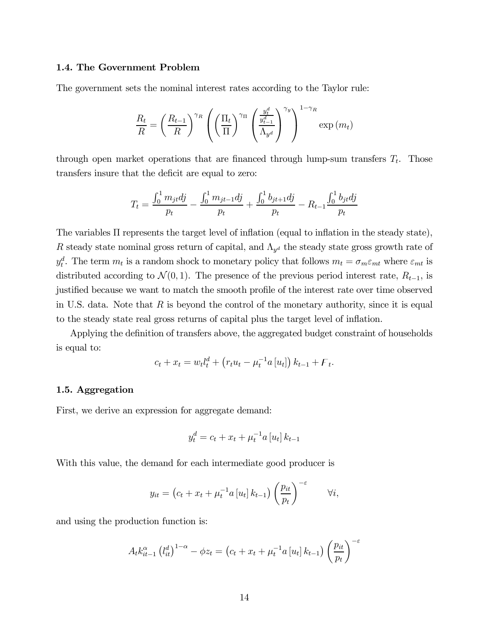#### 1.4. The Government Problem

The government sets the nominal interest rates according to the Taylor rule:

$$
\frac{R_t}{R} = \left(\frac{R_{t-1}}{R}\right)^{\gamma_R} \left(\left(\frac{\Pi_t}{\Pi}\right)^{\gamma_{\Pi}} \left(\frac{\frac{y_t^d}{y_{t-1}^d}}{\Lambda_{y^d}}\right)^{\gamma_y}\right)^{1-\gamma_R} \exp(m_t)
$$

through open market operations that are financed through lump-sum transfers  $T_t$ . Those transfers insure that the deficit are equal to zero:

$$
T_{t} = \frac{\int_{0}^{1} m_{jt}dj}{p_{t}} - \frac{\int_{0}^{1} m_{jt-1}dj}{p_{t}} + \frac{\int_{0}^{1} b_{jt+1}dj}{p_{t}} - R_{t-1} \frac{\int_{0}^{1} b_{jt}dj}{p_{t}}
$$

The variables Π represents the target level of inflation (equal to inflation in the steady state), R steady state nominal gross return of capital, and  $\Lambda_{y^d}$  the steady state gross growth rate of  $y_t^d$ . The term  $m_t$  is a random shock to monetary policy that follows  $m_t = \sigma_m \varepsilon_{mt}$  where  $\varepsilon_{mt}$  is distributed according to  $\mathcal{N}(0, 1)$ . The presence of the previous period interest rate,  $R_{t-1}$ , is justified because we want to match the smooth profile of the interest rate over time observed in U.S. data. Note that  $R$  is beyond the control of the monetary authority, since it is equal to the steady state real gross returns of capital plus the target level of inflation.

Applying the definition of transfers above, the aggregated budget constraint of households is equal to:

$$
c_t + x_t = w_t l_t^d + (r_t u_t - \mu_t^{-1} a [u_t]) k_{t-1} + F_t.
$$

# 1.5. Aggregation

First, we derive an expression for aggregate demand:

$$
y_t^d = c_t + x_t + \mu_t^{-1} a \, [u_t] \, k_{t-1}
$$

With this value, the demand for each intermediate good producer is

$$
y_{it} = (c_t + x_t + \mu_t^{-1} a [u_t] k_{t-1}) \left(\frac{p_{it}}{p_t}\right)^{-\varepsilon} \qquad \forall i,
$$

and using the production function is:

$$
A_t k_{it-1}^{\alpha} (l_{it}^d)^{1-\alpha} - \phi z_t = (c_t + x_t + \mu_t^{-1} a [u_t] k_{t-1}) \left(\frac{p_{it}}{p_t}\right)^{-\varepsilon}
$$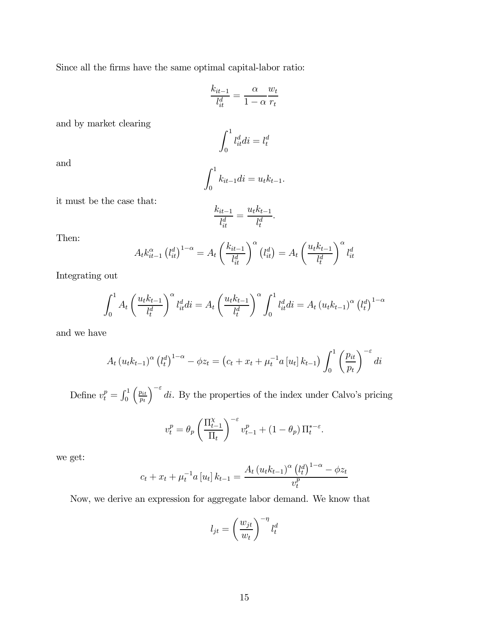Since all the firms have the same optimal capital-labor ratio:

$$
\frac{k_{it-1}}{l_{it}^d} = \frac{\alpha}{1 - \alpha} \frac{w_t}{r_t}
$$

and by market clearing

$$
\int_0^1 l^d_{it} di = l^d_t
$$

and

$$
\int_0^1 k_{it-1} di = u_t k_{t-1}.
$$

it must be the case that:

$$
\frac{k_{it-1}}{l_{it}^d} = \frac{u_t k_{t-1}}{l_t^d}.
$$

Then:

$$
A_t k_{it-1}^{\alpha} (l_{it}^d)^{1-\alpha} = A_t \left(\frac{k_{it-1}}{l_{it}^d}\right)^{\alpha} (l_{it}^d) = A_t \left(\frac{u_t k_{t-1}}{l_t^d}\right)^{\alpha} l_{it}^d
$$

Integrating out

$$
\int_0^1 A_t \left(\frac{u_t k_{t-1}}{l_t^d}\right)^{\alpha} l_{it}^d di = A_t \left(\frac{u_t k_{t-1}}{l_t^d}\right)^{\alpha} \int_0^1 l_{it}^d di = A_t (u_t k_{t-1})^{\alpha} (l_t^d)^{1-\alpha}
$$

and we have

$$
A_{t} (u_{t}k_{t-1})^{\alpha} (l_{t}^{d})^{1-\alpha} - \phi z_{t} = (c_{t} + x_{t} + \mu_{t}^{-1} a [u_{t}] k_{t-1}) \int_{0}^{1} \left(\frac{p_{it}}{p_{t}}\right)^{-\varepsilon} di
$$

Define  $v_t^p = \int_0^1$  $\int p_{it}$  $p_t$  $\int_{-\infty}^{\infty}$ di. By the properties of the index under Calvo's pricing

$$
v_t^p = \theta_p \left(\frac{\Pi_{t-1}^\chi}{\Pi_t}\right)^{-\varepsilon} v_{t-1}^p + (1-\theta_p) \Pi_t^{*-\varepsilon}.
$$

we get:

$$
c_{t} + x_{t} + \mu_{t}^{-1} a \left[ u_{t} \right] k_{t-1} = \frac{A_{t} \left( u_{t} k_{t-1} \right)^{\alpha} \left( l_{t}^{d} \right)^{1-\alpha} - \phi z_{t}}{v_{t}^{p}}
$$

Now, we derive an expression for aggregate labor demand. We know that

$$
l_{jt} = \left(\frac{w_{jt}}{w_t}\right)^{-\eta} l_t^d
$$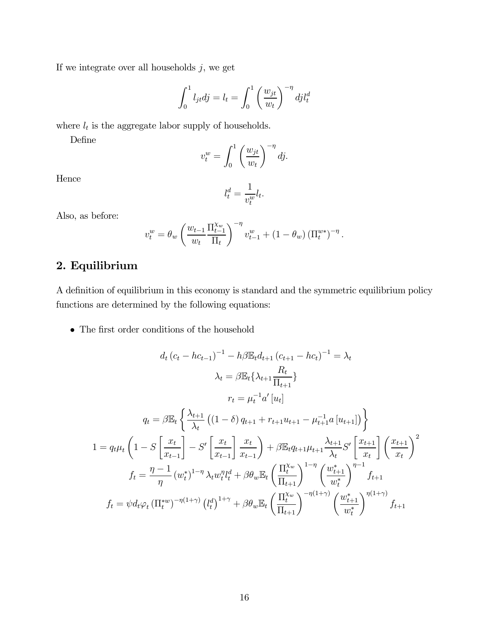If we integrate over all households  $j,$  we get

$$
\int_0^1 l_{jt} dj = l_t = \int_0^1 \left(\frac{w_{jt}}{w_t}\right)^{-\eta} dj l_t^d
$$

where  $l_t$  is the aggregate labor supply of households.

Define

$$
v_t^w = \int_0^1 \left(\frac{w_{jt}}{w_t}\right)^{-\eta} dj.
$$

Hence

$$
l_t^d = \frac{1}{v_t^w} l_t.
$$

Also, as before:

$$
v_t^w = \theta_w \left( \frac{w_{t-1}}{w_t} \frac{\Pi_{t-1}^{X_w}}{\Pi_t} \right)^{-\eta} v_{t-1}^w + (1 - \theta_w) \left( \Pi_t^{w*} \right)^{-\eta}.
$$

# 2. Equilibrium

A definition of equilibrium in this economy is standard and the symmetric equilibrium policy functions are determined by the following equations:

 $\bullet~$  The first order conditions of the household

$$
d_{t} (c_{t} - hc_{t-1})^{-1} - h\beta \mathbb{E}_{t} d_{t+1} (c_{t+1} - hc_{t})^{-1} = \lambda_{t}
$$

$$
\lambda_{t} = \beta \mathbb{E}_{t} \{ \lambda_{t+1} \frac{R_{t}}{\Pi_{t+1}} \}
$$

$$
r_{t} = \mu_{t}^{-1} a' [u_{t}]
$$

$$
q_{t} = \beta \mathbb{E}_{t} \left\{ \frac{\lambda_{t+1}}{\lambda_{t}} \left( (1 - \delta) q_{t+1} + r_{t+1} u_{t+1} - \mu_{t+1}^{-1} a [u_{t+1}] \right) \right\}
$$

$$
1 = q_{t} \mu_{t} \left( 1 - S \left[ \frac{x_{t}}{x_{t-1}} \right] - S' \left[ \frac{x_{t}}{x_{t-1}} \right] \frac{x_{t}}{x_{t-1}} \right) + \beta \mathbb{E}_{t} q_{t+1} \mu_{t+1} \frac{\lambda_{t+1}}{\lambda_{t}} S' \left[ \frac{x_{t+1}}{x_{t}} \right] \left( \frac{x_{t+1}}{x_{t}} \right)^{2}
$$

$$
f_{t} = \frac{\eta - 1}{\eta} (w_{t}^{*})^{1-\eta} \lambda_{t} w_{t}^{\eta} l_{t}^{d} + \beta \theta_{w} \mathbb{E}_{t} \left( \frac{\Pi_{t}^{\chi_{w}}}{\Pi_{t+1}} \right)^{1-\eta} \left( \frac{w_{t+1}^{*}}{w_{t}^{*}} \right)^{\eta - 1} f_{t+1}
$$

$$
f_{t} = \psi d_{t} \varphi_{t} (\Pi_{t}^{*w})^{-\eta (1+\gamma)} (l_{t}^{d})^{1+\gamma} + \beta \theta_{w} \mathbb{E}_{t} \left( \frac{\Pi_{t}^{\chi_{w}}}{\Pi_{t+1}} \right)^{-\eta (1+\gamma)} \left( \frac{w_{t+1}^{*}}{w_{t}^{*}} \right)^{\eta (1+\gamma)} f_{t+1}
$$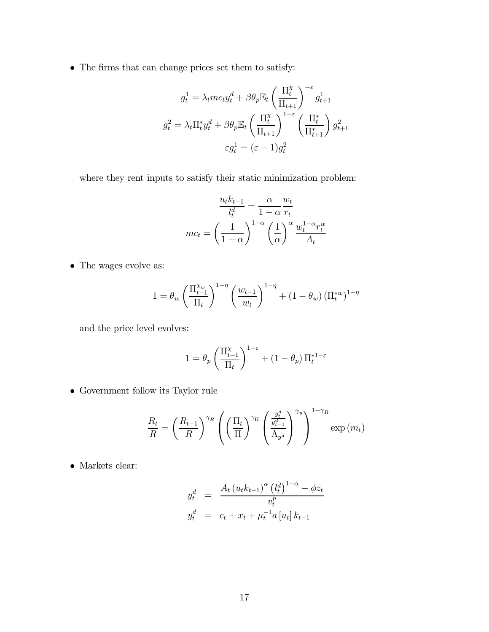• The firms that can change prices set them to satisfy:

$$
g_t^1 = \lambda_t m c_t y_t^d + \beta \theta_p \mathbb{E}_t \left(\frac{\Pi_t^{\chi}}{\Pi_{t+1}}\right)^{-\varepsilon} g_{t+1}^1
$$

$$
g_t^2 = \lambda_t \Pi_t^* y_t^d + \beta \theta_p \mathbb{E}_t \left(\frac{\Pi_t^{\chi}}{\Pi_{t+1}}\right)^{1-\varepsilon} \left(\frac{\Pi_t^*}{\Pi_{t+1}^*}\right) g_{t+1}^2
$$

$$
\varepsilon g_t^1 = (\varepsilon - 1) g_t^2
$$

where they rent inputs to satisfy their static minimization problem:

$$
\frac{u_t k_{t-1}}{l_t^d} = \frac{\alpha}{1 - \alpha} \frac{w_t}{r_t}
$$

$$
mc_t = \left(\frac{1}{1 - \alpha}\right)^{1 - \alpha} \left(\frac{1}{\alpha}\right)^{\alpha} \frac{w_t^{1 - \alpha} r_t^{\alpha}}{A_t}
$$

 $\bullet\,$  The wages evolve as:

$$
1 = \theta_w \left(\frac{\Pi_{t-1}^{\chi_w}}{\Pi_t}\right)^{1-\eta} \left(\frac{w_{t-1}}{w_t}\right)^{1-\eta} + (1-\theta_w) \left(\Pi_t^{*w}\right)^{1-\eta}
$$

and the price level evolves:

$$
1=\theta_p\left(\frac{\Pi_{t-1}^{\chi}}{\Pi_t}\right)^{1-\varepsilon}+\left(1-\theta_p\right)\Pi_t^{*1-\varepsilon}
$$

• Government follow its Taylor rule

$$
\frac{R_t}{R} = \left(\frac{R_{t-1}}{R}\right)^{\gamma_R} \left(\left(\frac{\Pi_t}{\Pi}\right)^{\gamma_{\Pi}} \left(\frac{\frac{y_t^d}{y_{t-1}^d}}{\Lambda_{y^d}}\right)^{\gamma_y}\right)^{1-\gamma_R} \exp(m_t)
$$

• Markets clear:

$$
y_t^d = \frac{A_t (u_t k_{t-1})^{\alpha} (l_t^d)^{1-\alpha} - \phi z_t}{v_t^p}
$$
  

$$
y_t^d = c_t + x_t + \mu_t^{-1} a [u_t] k_{t-1}
$$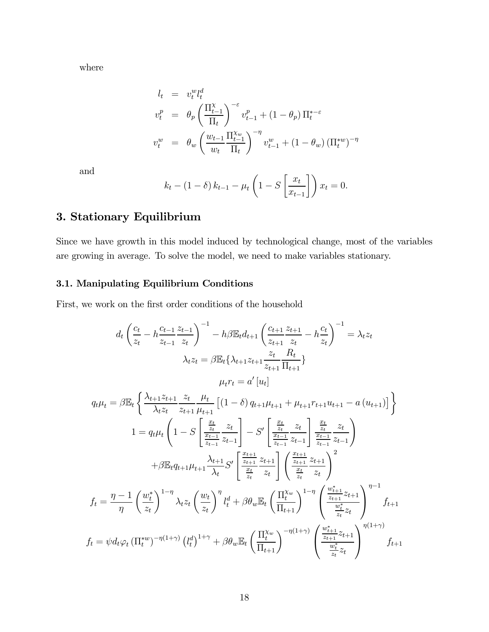where

$$
l_{t} = v_{t}^{w} l_{t}^{d}
$$
  
\n
$$
v_{t}^{p} = \theta_{p} \left( \frac{\Pi_{t-1}^{\chi}}{\Pi_{t}} \right)^{-\varepsilon} v_{t-1}^{p} + (1 - \theta_{p}) \Pi_{t}^{*-\varepsilon}
$$
  
\n
$$
v_{t}^{w} = \theta_{w} \left( \frac{w_{t-1}}{w_{t}} \frac{\Pi_{t-1}^{\chi_{w}}}{\Pi_{t}} \right)^{-\eta} v_{t-1}^{w} + (1 - \theta_{w}) \left( \Pi_{t}^{*w} \right)^{-\eta}
$$

and

$$
k_t - (1 - \delta) k_{t-1} - \mu_t \left( 1 - S \left[ \frac{x_t}{x_{t-1}} \right] \right) x_t = 0.
$$

# 3. Stationary Equilibrium

Since we have growth in this model induced by technological change, most of the variables are growing in average. To solve the model, we need to make variables stationary.

# 3.1. Manipulating Equilibrium Conditions

First, we work on the first order conditions of the household

$$
d_{t}\left(\frac{c_{t}}{z_{t}}-h\frac{c_{t-1}}{z_{t-1}}\frac{z_{t-1}}{z_{t}}\right)^{-1}-h\beta\mathbb{E}_{t}d_{t+1}\left(\frac{c_{t+1}}{z_{t+1}}\frac{z_{t+1}}{z_{t}}-h\frac{c_{t}}{z_{t}}\right)^{-1}=\lambda_{t}z_{t}
$$
\n
$$
\lambda_{t}z_{t}=\beta\mathbb{E}_{t}\left\{\lambda_{t+1}z_{t+1}\frac{z_{t}}{z_{t+1}}\frac{R_{t}}{\Pi_{t+1}}\right\}
$$
\n
$$
\mu_{t}r_{t}=a'\left[u_{t}\right]
$$
\n
$$
q_{t}\mu_{t}=\beta\mathbb{E}_{t}\left\{\frac{\lambda_{t+1}z_{t+1}}{\lambda_{t}z_{t}}\frac{z_{t}}{z_{t+1}}\frac{\mu_{t}}{\mu_{t+1}}\left[(1-\delta)q_{t+1}\mu_{t+1}+\mu_{t+1}r_{t+1}u_{t+1}-a(u_{t+1})\right]\right\}
$$
\n
$$
1=q_{t}\mu_{t}\left(1-S\left[\frac{\frac{x_{t}}{z_{t}}}{\frac{x_{t-1}}{z_{t-1}}}\frac{z_{t}}{z_{t-1}}\right]-S'\left[\frac{\frac{x_{t}}{z_{t}}}{\frac{x_{t-1}}{z_{t-1}}}\frac{z_{t}}{z_{t-1}}\right]\frac{\frac{x_{t}}{z_{t}}}{\frac{x_{t-1}}{z_{t-1}}}\right]
$$
\n
$$
+\beta\mathbb{E}_{t}q_{t+1}\mu_{t+1}\frac{\lambda_{t+1}}{\lambda_{t}}S'\left[\frac{\frac{x_{t+1}}{z_{t+1}}}{\frac{x_{t}}{z_{t}}}\frac{z_{t}}{z_{t}}\right]\left(\frac{\frac{x_{t+1}}{z_{t+1}}}{\frac{x_{t}}{z_{t}}}\frac{z_{t+1}}{z_{t}}\right)^{2}
$$
\n
$$
f_{t}=\frac{\eta-1}{\eta}\left(\frac{w_{t}^{*}}{z_{t}}\right)^{1-\eta}\lambda_{t}z_{t}\left(\frac{w_{t}}{z_{t}}\right)^{\eta}l_{t}^{d}+\beta\theta_{w}\mathbb{E}_{t}\left(\frac{\Pi_{t}^{\
$$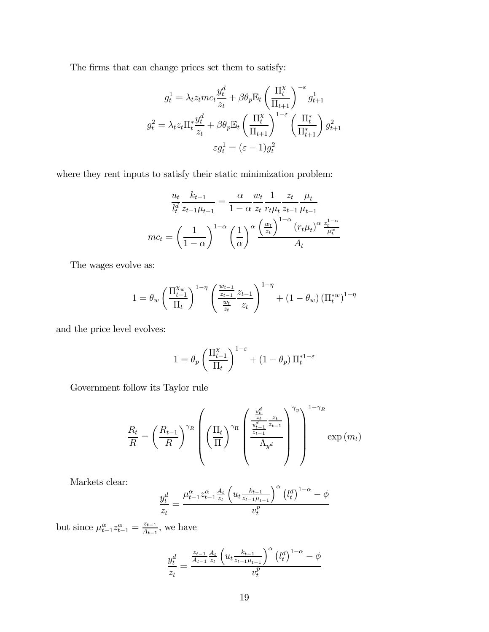The firms that can change prices set them to satisfy:

$$
g_t^1 = \lambda_t z_t mc_t \frac{y_t^d}{z_t} + \beta \theta_p \mathbb{E}_t \left(\frac{\Pi_t^{\chi}}{\Pi_{t+1}}\right)^{-\varepsilon} g_{t+1}^1
$$

$$
g_t^2 = \lambda_t z_t \Pi_t^* \frac{y_t^d}{z_t} + \beta \theta_p \mathbb{E}_t \left(\frac{\Pi_t^{\chi}}{\Pi_{t+1}}\right)^{1-\varepsilon} \left(\frac{\Pi_t^*}{\Pi_{t+1}^*}\right) g_{t+1}^2
$$

$$
\varepsilon g_t^1 = (\varepsilon - 1) g_t^2
$$

where they rent inputs to satisfy their static minimization problem:

$$
\frac{u_t}{l_t^d} \frac{k_{t-1}}{z_{t-1}\mu_{t-1}} = \frac{\alpha}{1-\alpha} \frac{w_t}{z_t} \frac{1}{r_t\mu_t} \frac{z_t}{z_{t-1}} \frac{\mu_t}{\mu_{t-1}}
$$

$$
mc_t = \left(\frac{1}{1-\alpha}\right)^{1-\alpha} \left(\frac{1}{\alpha}\right)^{\alpha} \frac{\left(\frac{w_t}{z_t}\right)^{1-\alpha} \left(r_t\mu_t\right)^{\alpha} \frac{z_t^{1-\alpha}}{\mu_t^{\alpha}}}{A_t}
$$

The wages evolve as:

$$
1 = \theta_w \left(\frac{\Pi_{t-1}^{X_w}}{\Pi_t}\right)^{1-\eta} \left(\frac{\frac{w_{t-1}}{z_{t-1}}}{\frac{w_t}{z_t}} \frac{z_{t-1}}{z_t}\right)^{1-\eta} + (1-\theta_w) \left(\Pi_t^{*w}\right)^{1-\eta}
$$

and the price level evolves:

$$
1=\theta_p\left(\frac{\Pi_{t-1}^{\chi}}{\Pi_t}\right)^{1-\varepsilon}+\left(1-\theta_p\right)\Pi_t^{*1-\varepsilon}
$$

Government follow its Taylor rule

$$
\frac{R_t}{R} = \left(\frac{R_{t-1}}{R}\right)^{\gamma_R} \left(\left(\frac{\Pi_t}{\Pi}\right)^{\gamma_{\Pi}} \left(\frac{\frac{\frac{y_t^d}{z_t}}{\frac{y_{t-1}^d}{z_{t-1}}} \frac{z_t}{z_{t-1}}}{\Lambda_{y^d}}\right)^{\gamma_y}\right)^{1-\gamma_R} \exp(m_t)
$$

Markets clear:

$$
\frac{y_t^d}{z_t} = \frac{\mu_{t-1}^{\alpha} z_{t-1}^{\alpha} \frac{A_t}{z_t} \left( u_t \frac{k_{t-1}}{z_{t-1} \mu_{t-1}} \right)^{\alpha} \left( l_t^d \right)^{1-\alpha} - \phi}{v_t^p}
$$

but since  $\mu_{t-1}^{\alpha} z_{t-1}^{\alpha} = \frac{z_{t-1}}{A_{t-1}}$ , we have

$$
\frac{y_t^d}{z_t} = \frac{\frac{z_{t-1}}{A_{t-1}}\frac{A_t}{z_t} \left(u_t \frac{k_{t-1}}{z_{t-1}\mu_{t-1}}\right)^\alpha \left(l_t^d\right)^{1-\alpha} - \phi}{v_t^p}
$$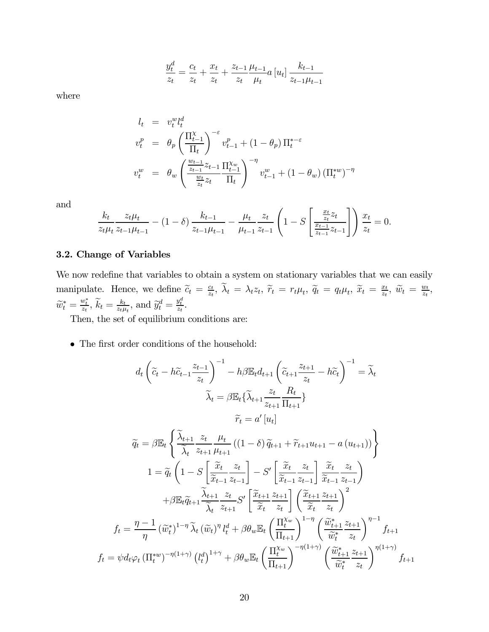$$
\frac{y_t^d}{z_t} = \frac{c_t}{z_t} + \frac{x_t}{z_t} + \frac{z_{t-1}}{z_t} \frac{\mu_{t-1}}{\mu_t} a \left[ u_t \right] \frac{k_{t-1}}{z_{t-1}\mu_{t-1}}
$$

where

$$
l_{t} = v_{t}^{w} l_{t}^{d}
$$
  
\n
$$
v_{t}^{p} = \theta_{p} \left( \frac{\Pi_{t-1}^{X}}{\Pi_{t}} \right)^{-\varepsilon} v_{t-1}^{p} + (1 - \theta_{p}) \Pi_{t}^{*-\varepsilon}
$$
  
\n
$$
v_{t}^{w} = \theta_{w} \left( \frac{\frac{w_{t-1}}{z_{t-1}} z_{t-1}}{\frac{w_{t}}{z_{t}} z_{t}} \frac{\Pi_{t-1}^{X_{w}}}{\Pi_{t}} \right)^{-\eta} v_{t-1}^{w} + (1 - \theta_{w}) \left( \Pi_{t}^{*w} \right)^{-\eta}
$$

and

$$
\frac{k_t}{z_t\mu_t} \frac{z_t\mu_t}{z_{t-1}\mu_{t-1}} - (1-\delta) \frac{k_{t-1}}{z_{t-1}\mu_{t-1}} - \frac{\mu_t}{\mu_{t-1}} \frac{z_t}{z_{t-1}} \left(1 - S\left[\frac{\frac{x_t}{z_t}z_t}{\frac{x_{t-1}}{z_{t-1}}z_{t-1}}\right]\right) \frac{x_t}{z_t} = 0.
$$

# 3.2. Change of Variables

We now redefine that variables to obtain a system on stationary variables that we can easily manipulate. Hence, we define  $\widetilde{c}_t = \frac{c_t}{z_t}$ ,  $\widetilde{\lambda}_t = \lambda_t z_t$ ,  $\widetilde{r}_t = r_t \mu_t$ ,  $\widetilde{q}_t = q_t \mu_t$ ,  $\widetilde{x}_t = \frac{x_t}{z_t}$ ,  $\widetilde{w}_t = \frac{w_t}{z_t}$ ,  $\widetilde{w}_t^* = \frac{w_t^*}{z_t}, \widetilde{k}_t = \frac{k_t}{z_t \mu_t}, \text{ and } \widetilde{y}_t^d = \frac{y_t^d}{z_t}.$ 

Then, the set of equilibrium conditions are:

• The first order conditions of the household:

$$
d_{t}\left(\tilde{c}_{t} - h\tilde{c}_{t-1}\frac{z_{t-1}}{z_{t}}\right)^{-1} - h\beta \mathbb{E}_{t}d_{t+1}\left(\tilde{c}_{t+1}\frac{z_{t+1}}{z_{t}} - h\tilde{c}_{t}\right)^{-1} = \tilde{\lambda}_{t}
$$

$$
\tilde{\lambda}_{t} = \beta \mathbb{E}_{t}\left\{\tilde{\lambda}_{t+1}\frac{z_{t}}{z_{t+1}}\frac{R_{t}}{\Pi_{t+1}}\right\}
$$

$$
\tilde{r}_{t} = a'\left[u_{t}\right]
$$

$$
\tilde{q}_{t} = \beta \mathbb{E}_{t}\left\{\frac{\tilde{\lambda}_{t+1}}{\tilde{\lambda}_{t}}\frac{z_{t}}{z_{t+1}}\frac{\mu_{t}}{\mu_{t+1}}\left((1-\delta)\tilde{q}_{t+1} + \tilde{r}_{t+1}u_{t+1} - a\left(u_{t+1}\right)\right)\right\}
$$

$$
1 = \tilde{q}_{t}\left(1 - S\left[\frac{\tilde{x}_{t}}{\tilde{x}_{t-1}}\frac{z_{t}}{z_{t-1}}\right] - S'\left[\frac{\tilde{x}_{t}}{\tilde{x}_{t-1}}\frac{z_{t}}{z_{t-1}}\right]\frac{\tilde{x}_{t}}{z_{t-1}}\frac{z_{t}}{z_{t-1}}\right)
$$

$$
+ \beta \mathbb{E}_{t}\tilde{q}_{t+1}\frac{\tilde{\lambda}_{t+1}}{\tilde{\lambda}_{t}}\frac{z_{t}}{z_{t+1}}S'\left[\frac{\tilde{x}_{t+1}}{\tilde{x}_{t}}\frac{z_{t+1}}{z_{t}}\right]\left(\frac{\tilde{x}_{t+1}}{\tilde{x}_{t}}\frac{z_{t+1}}{z_{t}}\right)^{2}
$$

$$
f_{t} = \frac{\eta - 1}{\eta}\left(\tilde{w}_{t}^{*}\right)^{1-\eta}\tilde{\lambda}_{t}\left(\tilde{w}_{t}\right)^{\eta}l_{t}^{d} + \beta \theta_{w}\mathbb{E}_{t}\left(\frac{\Pi_{t}^{\chi_{w}}}{\Pi_{t+1}}\right)^{1-\eta}\left(\frac{\tilde{w}_{t+1}^{*}z_{t+1}}{\tilde{w}_{t}^{*}}\right)^{\eta-1}f_{t+1}
$$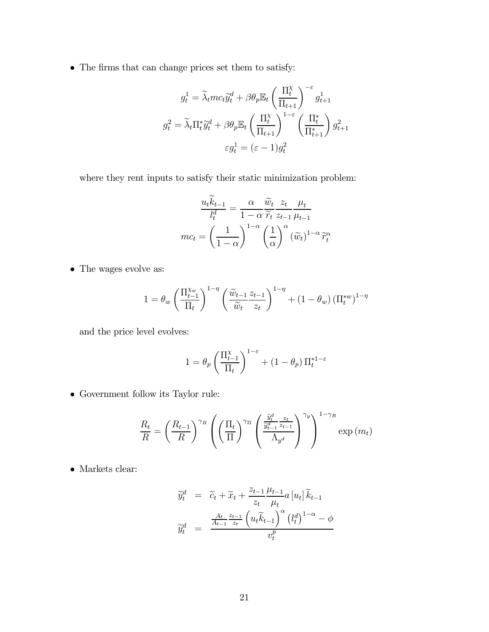• The firms that can change prices set them to satisfy:

$$
g_t^1 = \tilde{\lambda}_t m c_t \tilde{y}_t^d + \beta \theta_p \mathbb{E}_t \left(\frac{\Pi_t^{\chi}}{\Pi_{t+1}}\right)^{-\varepsilon} g_{t+1}^1
$$

$$
g_t^2 = \tilde{\lambda}_t \Pi_t^* \tilde{y}_t^d + \beta \theta_p \mathbb{E}_t \left(\frac{\Pi_t^{\chi}}{\Pi_{t+1}}\right)^{1-\varepsilon} \left(\frac{\Pi_t^*}{\Pi_{t+1}^*}\right) g_{t+1}^2
$$

$$
\varepsilon g_t^1 = (\varepsilon - 1) g_t^2
$$

where they rent inputs to satisfy their static minimization problem:

$$
\frac{u_t \widetilde{k}_{t-1}}{l_t^d} = \frac{\alpha}{1-\alpha} \frac{\widetilde{w}_t}{\widetilde{r}_t} \frac{z_t}{z_{t-1}} \frac{\mu_t}{\mu_{t-1}}
$$

$$
mc_t = \left(\frac{1}{1-\alpha}\right)^{1-\alpha} \left(\frac{1}{\alpha}\right)^{\alpha} \left(\widetilde{w}_t\right)^{1-\alpha} \widetilde{r}_t^{\alpha}
$$

• The wages evolve as:

$$
1 = \theta_w \left(\frac{\Pi_{t-1}^{\chi_w}}{\Pi_t}\right)^{1-\eta} \left(\frac{\widetilde{w}_{t-1}}{\widetilde{w}_t} \frac{z_{t-1}}{z_t}\right)^{1-\eta} + \left(1 - \theta_w\right) \left(\Pi_t^{*w}\right)^{1-\eta}
$$

and the price level evolves:

$$
1 = \theta_p \left( \frac{\Pi_{t-1}^{\chi}}{\Pi_t} \right)^{1-\varepsilon} + (1-\theta_p) \, \Pi_t^{*1-\varepsilon}
$$

 $\bullet\,$  Government follow its Taylor rule:

$$
\frac{R_t}{R} = \left(\frac{R_{t-1}}{R}\right)^{\gamma_R} \left(\left(\frac{\Pi_t}{\Pi}\right)^{\gamma_{\Pi}} \left(\frac{\frac{\tilde{y}_t^d}{\tilde{y}_{t-1}^d} z_{t-1}}{\Lambda_{y^d}}\right)^{\gamma_y}\right)^{1-\gamma_R} \exp(m_t)
$$

 $\bullet\,$  Markets clear:

$$
\widetilde{y}_t^d = \widetilde{c}_t + \widetilde{x}_t + \frac{z_{t-1}}{z_t} \frac{\mu_{t-1}}{\mu_t} a \left[ u_t \right] \widetilde{k}_{t-1}
$$
\n
$$
\widetilde{y}_t^d = \frac{\frac{A_t}{A_{t-1}} \frac{z_{t-1}}{z_t} \left( u_t \widetilde{k}_{t-1} \right)^\alpha \left( l_t^d \right)^{1-\alpha} - \phi}{v_t^p}
$$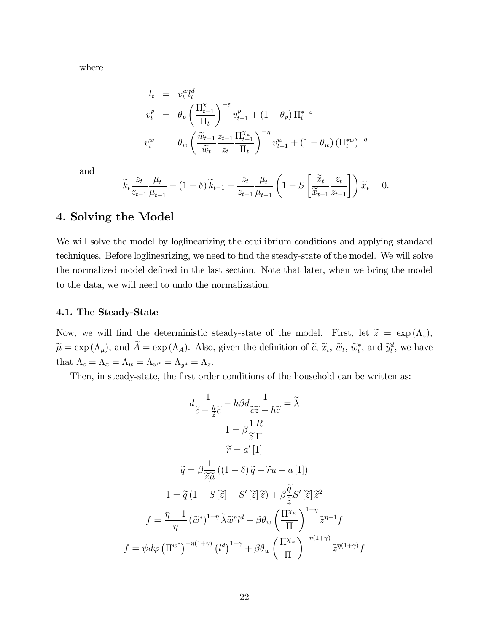where

$$
l_t = v_t^w l_t^d
$$
  
\n
$$
v_t^p = \theta_p \left( \frac{\Pi_{t-1}^\chi}{\Pi_t} \right)^{-\varepsilon} v_{t-1}^p + (1 - \theta_p) \Pi_t^{*-\varepsilon}
$$
  
\n
$$
v_t^w = \theta_w \left( \frac{\tilde{w}_{t-1}}{\tilde{w}_t} \frac{z_{t-1}}{z_t} \frac{\Pi_{t-1}^{\chi_w}}{\Pi_t} \right)^{-\eta} v_{t-1}^w + (1 - \theta_w) \left( \Pi_t^{*w} \right)^{-\eta}
$$

and

$$
\widetilde{k}_t \frac{z_t}{z_{t-1}} \frac{\mu_t}{\mu_{t-1}} - (1 - \delta) \widetilde{k}_{t-1} - \frac{z_t}{z_{t-1}} \frac{\mu_t}{\mu_{t-1}} \left( 1 - S \left[ \frac{\widetilde{x}_t}{\widetilde{x}_{t-1}} \frac{z_t}{z_{t-1}} \right] \right) \widetilde{x}_t = 0.
$$

# 4. Solving the Model

We will solve the model by loglinearizing the equilibrium conditions and applying standard techniques. Before loglinearizing, we need to find the steady-state of the model. We will solve the normalized model defined in the last section. Note that later, when we bring the model to the data, we will need to undo the normalization.

# 4.1. The Steady-State

Now, we will find the deterministic steady-state of the model. First, let  $\tilde{z} = \exp(\Lambda_z)$ ,  $\widetilde{\mu} = \exp(\Lambda_{\mu})$ , and  $\widetilde{A} = \exp(\Lambda_A)$ . Also, given the definition of  $\widetilde{c}$ ,  $\widetilde{x}_t$ ,  $\widetilde{w}_t$ ,  $\widetilde{w}_t^*$ , and  $\widetilde{y}_t^d$ , we have that  $\Lambda_c = \Lambda_x = \Lambda_w = \Lambda_{w^*} = \Lambda_{y^d} = \Lambda_z$ .

Then, in steady-state, the first order conditions of the household can be written as:

$$
d\frac{1}{\tilde{c} - \frac{h}{\tilde{z}}\tilde{c}} - h\beta d\frac{1}{\tilde{c}\tilde{z} - h\tilde{c}} = \tilde{\lambda}
$$
  
\n
$$
1 = \beta \frac{1}{\tilde{z}} \frac{R}{\Pi}
$$
  
\n
$$
\tilde{r} = a'[1]
$$
  
\n
$$
\tilde{q} = \beta \frac{1}{\tilde{z}\mu} ((1 - \delta)\tilde{q} + \tilde{r}u - a[1])
$$
  
\n
$$
1 = \tilde{q} (1 - S[\tilde{z}] - S'[\tilde{z}]\tilde{z}) + \beta \frac{\tilde{q}}{\tilde{z}}S'[\tilde{z}]\tilde{z}^2
$$
  
\n
$$
f = \frac{\eta - 1}{\eta} (\tilde{w}^*)^{1 - \eta} \tilde{\lambda}\tilde{w}^{\eta}l^d + \beta \theta_w \left(\frac{\Pi^{x_w}}{\Pi}\right)^{1 - \eta} \tilde{z}^{\eta - 1}f
$$
  
\n
$$
f = \psi d\varphi (\Pi^{w^*})^{-\eta(1 + \gamma)} (l^d)^{1 + \gamma} + \beta \theta_w \left(\frac{\Pi^{x_w}}{\Pi}\right)^{-\eta(1 + \gamma)} \tilde{z}^{\eta(1 + \gamma)}f
$$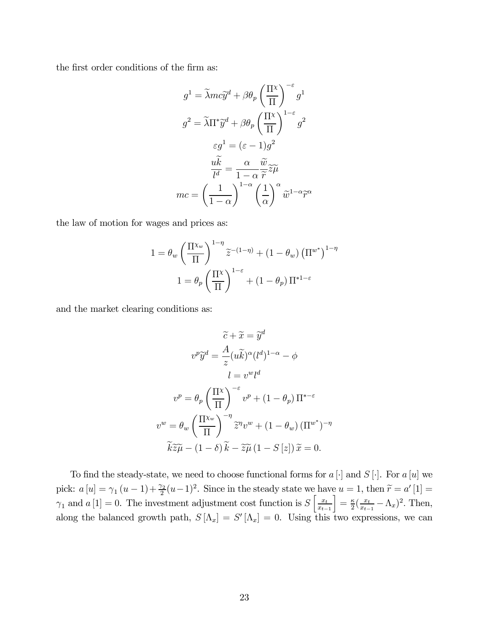the first order conditions of the firm as:

$$
g^{1} = \tilde{\lambda}mc\tilde{y}^{d} + \beta\theta_{p} \left(\frac{\Pi^{x}}{\Pi}\right)^{-\varepsilon}g^{1}
$$

$$
g^{2} = \tilde{\lambda}\Pi^{*}\tilde{y}^{d} + \beta\theta_{p} \left(\frac{\Pi^{x}}{\Pi}\right)^{1-\varepsilon}g^{2}
$$

$$
\varepsilon g^{1} = (\varepsilon - 1)g^{2}
$$

$$
\frac{u\tilde{k}}{l^{d}} = \frac{\alpha}{1-\alpha}\frac{\tilde{w}}{\tilde{r}}\tilde{z}\tilde{\mu}
$$

$$
mc = \left(\frac{1}{1-\alpha}\right)^{1-\alpha} \left(\frac{1}{\alpha}\right)^{\alpha}\tilde{w}^{1-\alpha}\tilde{r}^{\alpha}
$$

the law of motion for wages and prices as:

$$
1 = \theta_w \left(\frac{\Pi^{\chi_w}}{\Pi}\right)^{1-\eta} \widetilde{z}^{-(1-\eta)} + (1 - \theta_w) \left(\Pi^{w^*}\right)^{1-\eta}
$$

$$
1 = \theta_p \left(\frac{\Pi^{\chi}}{\Pi}\right)^{1-\varepsilon} + (1 - \theta_p) \Pi^{*1-\varepsilon}
$$

and the market clearing conditions as:

$$
\widetilde{c} + \widetilde{x} = \widetilde{y}^d
$$

$$
v^p \widetilde{y}^d = \frac{A}{z} (u\widetilde{k})^\alpha (l^d)^{1-\alpha} - \phi
$$

$$
l = v^w l^d
$$

$$
v^p = \theta_p \left(\frac{\Pi^{\chi}}{\Pi}\right)^{-\varepsilon} v^p + (1 - \theta_p) \Pi^{*-\varepsilon}
$$

$$
v^w = \theta_w \left(\frac{\Pi^{\chi_w}}{\Pi}\right)^{-\eta} \widetilde{z}^\eta v^w + (1 - \theta_w) (\Pi^{w^*})^{-\eta}
$$

$$
\widetilde{k}\widetilde{z}\widetilde{\mu} - (1 - \delta)\widetilde{k} - \widetilde{z}\widetilde{\mu} (1 - S[z])\widetilde{x} = 0.
$$

To find the steady-state, we need to choose functional forms for  $a[\cdot]$  and  $S[\cdot]$ . For  $a[u]$  we pick:  $a[u] = \gamma_1(u-1) + \frac{\gamma_2}{2}(u-1)^2$ . Since in the steady state we have  $u = 1$ , then  $\tilde{r} = a'[1] =$  $\gamma_1$  and  $a[1] = 0$ . The investment adjustment cost function is  $S\left[\frac{x_i}{x_{t-1}}\right]$  $x_{t-1}$  $\left] = \frac{\kappa}{2} (\frac{x_t}{x_{t-1}} - \Lambda_x)^2$ . Then, along the balanced growth path,  $S[\Lambda_x] = S'[\Lambda_x] = 0$ . Using this two expressions, we can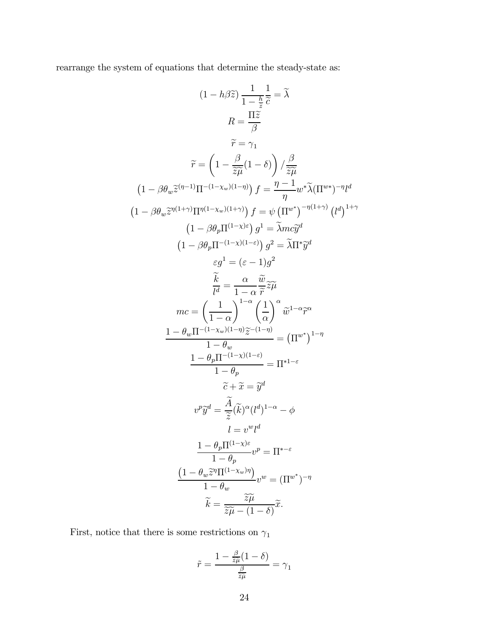rearrange the system of equations that determine the steady-state as:

$$
(1 - h\beta \tilde{z}) \frac{1}{1 - \frac{h}{2}} \frac{1}{\tilde{c}} = \tilde{\lambda}
$$
\n
$$
R = \frac{\Pi \tilde{z}}{\beta}
$$
\n
$$
\tilde{r} = \gamma_1
$$
\n
$$
\tilde{r} = \left(1 - \frac{\beta}{\tilde{z}\tilde{\mu}}(1 - \delta)\right) / \frac{\beta}{\tilde{z}\tilde{\mu}}
$$
\n
$$
(1 - \beta \theta_w \tilde{z}^{(\eta - 1)} \Pi^{-(1 - \chi_w)(1 - \eta)}) f = \frac{\eta - 1}{\eta} w^* \tilde{\lambda} (\Pi^{w*})^{-\eta} l^d
$$
\n
$$
(1 - \beta \theta_w \tilde{z}^{n(1 + \gamma)} \Pi^{n(1 - \chi_w)(1 + \eta)}) f = \psi (\Pi^{w*})^{-n(1 + \gamma)} (l^d)^{1 + \gamma}
$$
\n
$$
(1 - \beta \theta_p \Pi^{-(1 - \chi)(1 - \varepsilon)}) g^2 = \tilde{\lambda} \Pi^* \tilde{y}^d
$$
\n
$$
\varepsilon g^1 = (\varepsilon - 1) g^2
$$
\n
$$
\frac{\tilde{k}}{l^d} = \frac{\alpha}{1 - \alpha} \frac{\tilde{w}}{\tilde{r}} \tilde{z} \tilde{\mu}
$$
\n
$$
mc = \left(\frac{1}{1 - \alpha}\right)^{1 - \alpha} \left(\frac{1}{\alpha}\right)^{\alpha} \tilde{w}^{1 - \alpha} \tilde{r}^{\alpha}
$$
\n
$$
\frac{1 - \theta_w \Pi^{-(1 - \chi_w)(1 - \eta)} \tilde{z}^{-(1 - \eta)}}{1 - \theta_w} = (\Pi^{w^*})^{1 - \eta}
$$
\n
$$
\frac{1 - \theta_p \Pi^{-(1 - \chi)(1 - \varepsilon)}}{1 - \theta_p} = \Pi^{*1 - \varepsilon}
$$
\n
$$
\tilde{c} + \tilde{x} = \tilde{y}^d
$$
\n
$$
v^p \tilde{y}^d = \frac{\tilde{A}}{\tilde{z}} (\tilde{k})^{\alpha} (l^d)^{1 - \alpha} - \phi
$$
\n
$$
l = v^w l^d
$$
\n
$$
\frac{1 - \theta_p \Pi^{(1 - \chi)
$$

First, notice that there is some restrictions on  $\gamma_1$ 

$$
\tilde{r} = \frac{1 - \frac{\beta}{\tilde{z}\tilde{\mu}}(1 - \delta)}{\frac{\beta}{\tilde{z}\tilde{\mu}}} = \gamma_1
$$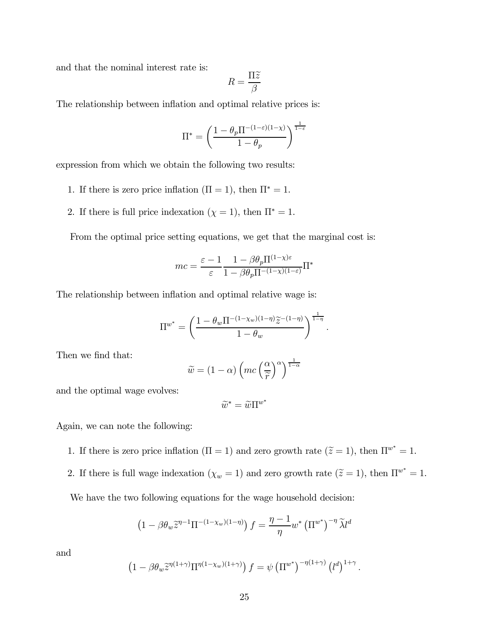and that the nominal interest rate is:

$$
R=\frac{\Pi\widetilde{z}}{\beta}
$$

The relationship between inflation and optimal relative prices is:

$$
\Pi^* = \left(\frac{1-\theta_p\Pi^{-(1-\varepsilon)(1-\chi)}}{1-\theta_p}\right)^{\frac{1}{1-\varepsilon}}
$$

expression from which we obtain the following two results:

- 1. If there is zero price inflation  $(\Pi = 1)$ , then  $\Pi^* = 1$ .
- 2. If there is full price indexation ( $\chi = 1$ ), then  $\Pi^* = 1$ .

From the optimal price setting equations, we get that the marginal cost is:

$$
mc = \frac{\varepsilon - 1}{\varepsilon} \frac{1 - \beta \theta_p \Pi^{(1-\chi)\varepsilon}}{1 - \beta \theta_p \Pi^{-(1-\chi)(1-\varepsilon)}} \Pi^*
$$

The relationship between inflation and optimal relative wage is:

$$
\Pi^{w^*} = \left(\frac{1 - \theta_w \Pi^{-(1 - \chi_w)(1 - \eta)} \widetilde{z}^{-(1 - \eta)}}{1 - \theta_w}\right)^{\frac{1}{1 - \eta}}.
$$

Then we find that:

$$
\widetilde{w} = (1 - \alpha) \left( mc \left( \frac{\alpha}{\widetilde{r}} \right)^{\alpha} \right)^{\frac{1}{1 - \alpha}}
$$

and the optimal wage evolves:

$$
\widetilde{w}^* = \widetilde{w} \Pi^{w^*}
$$

Again, we can note the following:

- 1. If there is zero price inflation  $(\Pi = 1)$  and zero growth rate  $(\tilde{z} = 1)$ , then  $\Pi^{w^*} = 1$ .
- 2. If there is full wage indexation  $(\chi_w = 1)$  and zero growth rate  $(\tilde{z} = 1)$ , then  $\Pi^{w^*} = 1$ .

We have the two following equations for the wage household decision:

$$
\left(1 - \beta \theta_w \tilde{z}^{\eta - 1} \Pi^{-(1 - \chi_w)(1 - \eta)}\right) f = \frac{\eta - 1}{\eta} w^* \left(\Pi^{w^*}\right)^{-\eta} \tilde{\lambda} l^d
$$

and

$$
\left(1 - \beta \theta_w \tilde{z}^{\eta(1+\gamma)} \Pi^{\eta(1-\chi_w)(1+\gamma)}\right) f = \psi \left(\Pi^{w^*}\right)^{-\eta(1+\gamma)} \left(l^d\right)^{1+\gamma}.
$$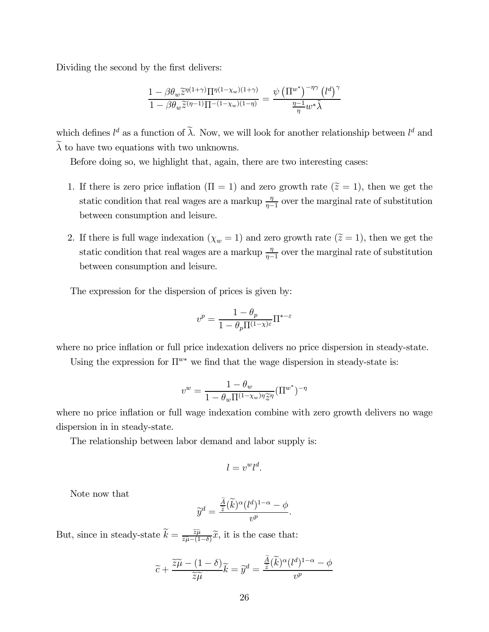Dividing the second by the first delivers:

$$
\frac{1 - \beta \theta_w \widetilde{z}^{\eta(1+\gamma)} \Pi^{\eta(1-\chi_w)(1+\gamma)}}{1 - \beta \theta_w \widetilde{z}^{(\eta-1)} \Pi^{-(1-\chi_w)(1-\eta)}} = \frac{\psi \left(\Pi^{w^*}\right)^{-\eta \gamma} \left(l^d\right)^{\gamma}}{\frac{\eta-1}{\eta} w^* \widetilde{\lambda}}
$$

which defines  $l^d$  as a function of  $\lambda$ . Now, we will look for another relationship between  $l^d$  and  $\lambda$  to have two equations with two unknowns.

Before doing so, we highlight that, again, there are two interesting cases:

- 1. If there is zero price inflation  $(\Pi = 1)$  and zero growth rate  $(\tilde{z} = 1)$ , then we get the static condition that real wages are a markup  $\frac{\eta}{\eta-1}$  over the marginal rate of substitution between consumption and leisure.
- 2. If there is full wage indexation  $(\chi_w = 1)$  and zero growth rate  $(\tilde{z} = 1)$ , then we get the static condition that real wages are a markup  $\frac{\eta}{\eta-1}$  over the marginal rate of substitution between consumption and leisure.

The expression for the dispersion of prices is given by:

$$
v^{p} = \frac{1 - \theta_{p}}{1 - \theta_{p} \Pi^{(1-\chi)\varepsilon}} \Pi^{*-\varepsilon}
$$

where no price inflation or full price indexation delivers no price dispersion in steady-state.

Using the expression for  $\Pi^{w*}$  we find that the wage dispersion in steady-state is:

$$
v^{w} = \frac{1 - \theta_{w}}{1 - \theta_{w} \prod_{v} (1 - \chi_{w}) \eta \widetilde{\chi} \eta} (\Pi^{w^{*}})^{-\eta}
$$

where no price inflation or full wage indexation combine with zero growth delivers no wage dispersion in in steady-state.

The relationship between labor demand and labor supply is:

$$
l=v^w l^d.
$$

Note now that

$$
\widetilde{y}^d = \frac{\frac{\widetilde{A}}{\widetilde{z}}(\widetilde{k})^{\alpha} (l^d)^{1-\alpha} - \phi}{v^p}.
$$

But, since in steady-state  $\widetilde{k} = \frac{\widetilde{z}\widetilde{\mu}}{\widetilde{z}\widetilde{\mu}-(1-\delta)}\widetilde{x}$ , it is the case that:

$$
\widetilde{c} + \frac{\widetilde{z}\widetilde{\mu} - (1 - \delta)}{\widetilde{z}\widetilde{\mu}} \widetilde{k} = \widetilde{y}^d = \frac{\frac{A}{\widetilde{z}}(\widetilde{k})^{\alpha} (l^d)^{1 - \alpha} - \phi}{v^p}
$$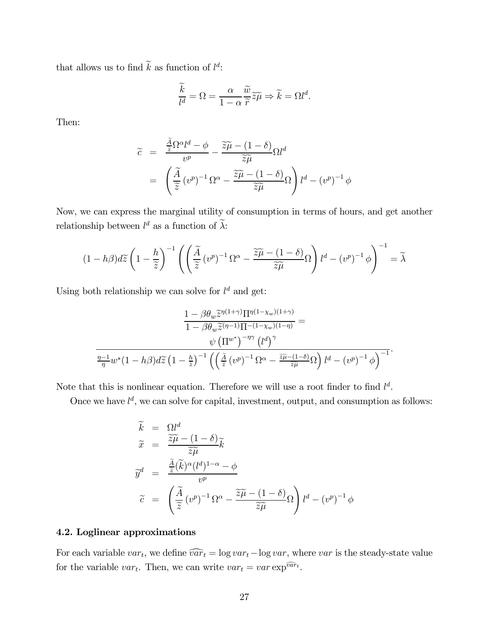that allows us to find  $\hat{k}$  as function of  $l^d$ :

$$
\frac{\widetilde{k}}{l^d} = \Omega = \frac{\alpha}{1 - \alpha} \frac{\widetilde{w}}{\widetilde{r}} \widetilde{z}\widetilde{\mu} \Rightarrow \widetilde{k} = \Omega l^d.
$$

Then:

$$
\widetilde{c} = \frac{\frac{A}{\widetilde{z}} \Omega^{\alpha} l^d - \phi}{v^p} - \frac{\widetilde{z}\widetilde{\mu} - (1 - \delta)}{\widetilde{z}\widetilde{\mu}} \Omega l^d
$$

$$
= \left( \frac{\widetilde{A}}{\widetilde{z}} (v^p)^{-1} \Omega^{\alpha} - \frac{\widetilde{z}\widetilde{\mu} - (1 - \delta)}{\widetilde{z}\widetilde{\mu}} \Omega \right) l^d - (v^p)^{-1} \phi
$$

Now, we can express the marginal utility of consumption in terms of hours, and get another relationship between  $l^d$  as a function of  $\lambda$ :

$$
(1-h\beta)d\widetilde{z}\left(1-\frac{h}{\widetilde{z}}\right)^{-1}\left(\left(\frac{\widetilde{A}}{\widetilde{z}}\left(v^{p}\right)^{-1}\Omega^{\alpha}-\frac{\widetilde{z}\widetilde{\mu}-(1-\delta)}{\widetilde{z}\widetilde{\mu}}\Omega\right)l^{d}-\left(v^{p}\right)^{-1}\phi\right)^{-1}=\widetilde{\lambda}
$$

Using both relationship we can solve for  $l^d$  and get:

$$
\frac{1 - \beta \theta_w \tilde{z}^{\eta(1+\gamma)} \Pi^{\eta(1-\chi_w)(1+\gamma)}}{1 - \beta \theta_w \tilde{z}^{(\eta-1)} \Pi^{-(1-\chi_w)(1-\eta)}} =
$$

$$
\frac{\psi \left(\Pi^{w^*}\right)^{-\eta \gamma} \left(l^d\right)^{\gamma}}{\frac{\eta - 1}{\eta} w^* (1 - h\beta) d\tilde{z} \left(1 - \frac{h}{\tilde{z}}\right)^{-1} \left(\left(\frac{\tilde{A}}{\tilde{z}} \left(v^p\right)^{-1} \Omega^\alpha - \frac{\tilde{z}\tilde{\mu} - (1-\delta)}{\tilde{z}\tilde{\mu}} \Omega\right) l^d - \left(v^p\right)^{-1} \phi\right)^{-1}}.
$$

Note that this is nonlinear equation. Therefore we will use a root finder to find  $l^d$ .

Once we have  $l^d$ , we can solve for capital, investment, output, and consumption as follows:

$$
\begin{aligned}\n\widetilde{k} &= \Omega l^d \\
\widetilde{x} &= \frac{\widetilde{z}\widetilde{\mu} - (1 - \delta)}{\widetilde{z}\widetilde{\mu}} \widetilde{k} \\
\widetilde{y}^d &= \frac{\frac{\widetilde{A}}{\widetilde{z}}(\widetilde{k})^{\alpha} (l^d)^{1-\alpha} - \phi}{v^p} \\
\widetilde{c} &= \left(\frac{\widetilde{A}}{\widetilde{z}}(v^p)^{-1} \Omega^{\alpha} - \frac{\widetilde{z}\widetilde{\mu} - (1 - \delta)}{\widetilde{z}\widetilde{\mu}} \Omega\right) l^d - (v^p)^{-1} \phi\n\end{aligned}
$$

# 4.2. Loglinear approximations

For each variable  $var_t$ , we define  $\widehat{var_t} = \log var_t - \log var$ , where var is the steady-state value for the variable var<sub>t</sub>. Then, we can write  $var_t = var \exp^{\widehat{var}_t}$ .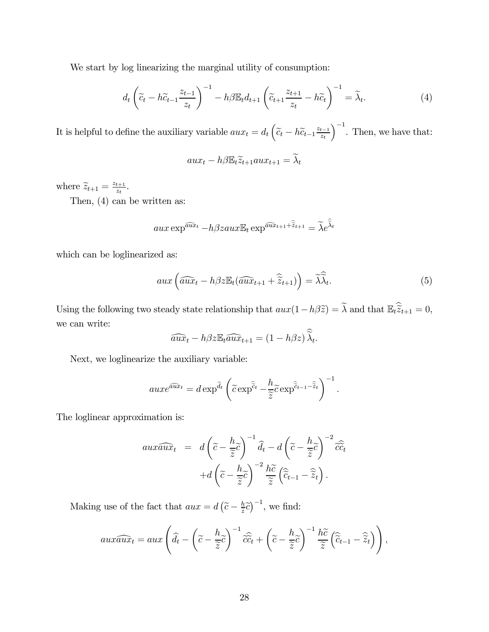We start by log linearizing the marginal utility of consumption:

$$
d_t \left( \widetilde{c}_t - h \widetilde{c}_{t-1} \frac{z_{t-1}}{z_t} \right)^{-1} - h \beta \mathbb{E}_t d_{t+1} \left( \widetilde{c}_{t+1} \frac{z_{t+1}}{z_t} - h \widetilde{c}_t \right)^{-1} = \widetilde{\lambda}_t. \tag{4}
$$

It is helpful to define the auxiliary variable  $aux_t = d_t \left( \tilde{c}_t - h \tilde{c}_{t-1} \frac{z_{t-1}}{z_t} \right)$  $\int^{-1}$ . Then, we have that:

$$
aux_t - h\beta \mathbb{E}_t \widetilde{z}_{t+1} aux_{t+1} = \widetilde{\lambda}_t
$$

where  $\widetilde{z}_{t+1} = \frac{z_{t+1}}{z_t}$ .

Then, (4) can be written as:

$$
aux \exp^{\widehat{aux}_t} - h\beta zaux \mathbb{E}_t \exp^{\widehat{aux}_{t+1} + \widehat{z}_{t+1}} = \widetilde{\lambda} e^{\widetilde{\lambda}_t}
$$

which can be loglinearized as:

$$
aux\left(\widehat{aux}_t - h\beta z \mathbb{E}_t(\widehat{aux}_{t+1} + \widehat{\widetilde{z}}_{t+1})\right) = \widehat{\lambda \lambda}_t. \tag{5}
$$

Using the following two steady state relationship that  $aux(1-h\beta\tilde{z}) = \lambda$  and that  $\mathbb{E}_t \tilde{z}_{t+1} = 0$ , we can write:

$$
\widehat{aux}_t - h\beta z \mathbb{E}_t \widehat{aux}_{t+1} = (1 - h\beta z) \widehat{\lambda}_t.
$$

Next, we loglinearize the auxiliary variable:

$$
auxe^{\widehat{aux}_t} = d\exp^{\widehat{d}_t}\left(\widetilde{c}\exp^{\widehat{\widetilde{c}}_t} - \frac{h}{\widetilde{z}}\widetilde{c}\exp^{\widehat{\widetilde{c}}_{t-1}-\widehat{\widetilde{z}}_t}\right)^{-1}.
$$

The loglinear approximation is:

$$
aux\widehat{aux}_t = d\left(\widetilde{c} - \frac{h}{\widetilde{z}}\widetilde{c}\right)^{-1}\widehat{d}_t - d\left(\widetilde{c} - \frac{h}{\widetilde{z}}\widetilde{c}\right)^{-2}\widehat{cc}_t
$$

$$
+ d\left(\widetilde{c} - \frac{h}{\widetilde{z}}\widetilde{c}\right)^{-2}\frac{h\widetilde{c}}{\widetilde{z}}\left(\widehat{c}_{t-1} - \widehat{z}_t\right).
$$

Making use of the fact that  $aux = d\left(\tilde{c} - \frac{h}{\tilde{z}}c\right)^{-1}$ , we find:

$$
aux\widehat{aux}_t = aux\left(\widehat{d}_t - \left(\widetilde{c} - \frac{h}{\widetilde{z}}\widetilde{c}\right)^{-1}\widehat{cc}_t + \left(\widetilde{c} - \frac{h}{\widetilde{z}}\widetilde{c}\right)^{-1}\frac{h\widetilde{c}}{\widetilde{z}}\left(\widehat{\widetilde{c}}_{t-1} - \widehat{\widetilde{z}}_t\right)\right),
$$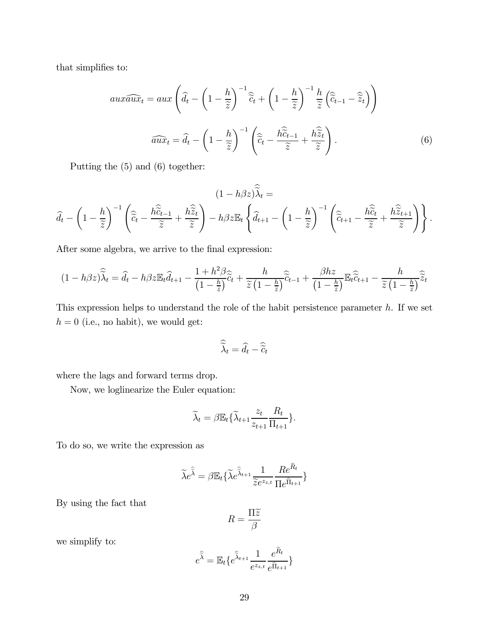that simplifies to:

$$
aux\widehat{aux}_t = aux\left(\widehat{d}_t - \left(1 - \frac{h}{\widetilde{z}}\right)^{-1}\widehat{\widetilde{c}}_t + \left(1 - \frac{h}{\widetilde{z}}\right)^{-1}\frac{h}{\widetilde{z}}\left(\widehat{\widetilde{c}}_{t-1} - \widehat{\widetilde{z}}_t\right)\right)
$$

$$
\widehat{aux}_t = \widehat{d}_t - \left(1 - \frac{h}{\widetilde{z}}\right)^{-1}\left(\widehat{\widetilde{c}}_t - \frac{h\widehat{\widetilde{c}}_{t-1}}{\widetilde{z}} + \frac{h\widehat{\widetilde{z}}_t}{\widetilde{z}}\right).
$$
(6)

Putting the (5) and (6) together:

$$
(1 - h\beta z)\widetilde{\lambda}_t =
$$

$$
\widehat{d}_t - \left(1 - \frac{h}{\widetilde{z}}\right)^{-1} \left(\widehat{\widetilde{c}}_t - \frac{h\widehat{\widetilde{c}}_{t-1}}{\widetilde{z}} + \frac{h\widehat{\widetilde{z}}_t}{\widetilde{z}}\right) - h\beta z \mathbb{E}_t \left\{\widehat{d}_{t+1} - \left(1 - \frac{h}{\widetilde{z}}\right)^{-1} \left(\widehat{\widetilde{c}}_{t+1} - \frac{h\widehat{\widetilde{c}}_t}{\widetilde{z}} + \frac{h\widehat{\widetilde{z}}_{t+1}}{\widetilde{z}}\right)\right\}.
$$

After some algebra, we arrive to the final expression:

$$
(1 - h\beta z)\widehat{\lambda}_t = \widehat{d}_t - h\beta z \mathbb{E}_t \widehat{d}_{t+1} - \frac{1 + h^2 \beta}{\left(1 - \frac{h}{\tilde{z}}\right)} \widehat{c}_t + \frac{h}{\tilde{z}\left(1 - \frac{h}{\tilde{z}}\right)} \widehat{c}_{t-1} + \frac{\beta h z}{\left(1 - \frac{h}{\tilde{z}}\right)} \mathbb{E}_t \widehat{\widetilde{c}}_{t+1} - \frac{h}{\tilde{z}\left(1 - \frac{h}{\tilde{z}}\right)} \widehat{\widetilde{z}}_t
$$

This expression helps to understand the role of the habit persistence parameter  $h$ . If we set  $h = 0$  (i.e., no habit), we would get:

$$
\widehat{\widetilde{\lambda}}_t = \widehat{d}_t - \widehat{\widetilde{c}}_t
$$

where the lags and forward terms drop.

Now, we loglinearize the Euler equation:

$$
\widetilde{\lambda}_t = \beta \mathbb{E}_t \{ \widetilde{\lambda}_{t+1} \frac{z_t}{z_{t+1}} \frac{R_t}{\Pi_{t+1}} \}.
$$

To do so, we write the expression as

$$
\widetilde{\lambda}e^{\widehat{\widetilde{\lambda}}} = \beta \mathbb{E}_t \{ \widetilde{\lambda}e^{\widehat{\widetilde{\lambda}}_{t+1}} \frac{1}{\widetilde{z}e^{z_{z,t}}} \frac{Re^{\widehat{R}_t}}{\prod e^{\widehat{\Pi}_{t+1}}} \}
$$

By using the fact that

$$
R=\frac{\Pi\widetilde{z}}{\beta}
$$

we simplify to:

$$
e^{\hat{\tilde{\lambda}}} = \mathbb{E}_t \{ e^{\hat{\tilde{\lambda}}_{t+1}} \frac{1}{e^{z_{z,t}}} \frac{e^{R_t}}{e^{\hat{\Pi}_{t+1}}} \}
$$

 $\lambda$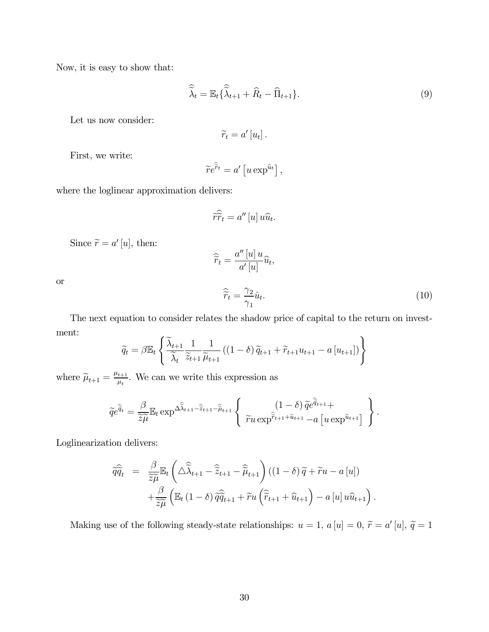Now, it is easy to show that:

$$
\widehat{\widetilde{\lambda}}_t = \mathbb{E}_t \{ \widehat{\widetilde{\lambda}}_{t+1} + \widehat{R}_t - \widehat{\Pi}_{t+1} \}.
$$
\n(9)

Let us now consider:

$$
\widetilde{r}_t = a' [u_t].
$$

First, we write:

$$
\widetilde{r}e^{\widehat{\widetilde{r}}t}=a'\left[u\exp^{\widehat{u}t}\right],
$$

where the loglinear approximation delivers:

$$
\widehat{r}\widehat{\widetilde{r}}_t = a''[u]u\widehat{u}_t.
$$

Since  $\widetilde{r}=a'\, [u],$  then:

$$
\widehat{\widetilde{r}}_t = \frac{a''[u]u}{a'[u]} \widehat{u}_t,
$$

or

$$
\widehat{\widetilde{r}}_t = \frac{\gamma_2}{\gamma_1} \widehat{u}_t. \tag{10}
$$

.

The next equation to consider relates the shadow price of capital to the return on investment:  $\overline{a}$ 

$$
\widetilde{q}_t = \beta \mathbb{E}_t \left\{ \frac{\widetilde{\lambda}_{t+1}}{\widetilde{\lambda}_t} \frac{1}{\widetilde{z}_{t+1}} \frac{1}{\widetilde{\mu}_{t+1}} \left( (1-\delta) \widetilde{q}_{t+1} + \widetilde{r}_{t+1} u_{t+1} - a \left[ u_{t+1} \right] \right) \right\}
$$

where  $\widetilde{\mu}_{t+1} = \frac{\mu_{t+1}}{\mu_t}$ . We can we write this expression as

$$
\widetilde{q}e^{\widehat{\widetilde{q}}_t} = \frac{\beta}{\widetilde{z}\widetilde{\mu}} \mathbb{E}_t \exp^{\Delta \widehat{\widetilde{\lambda}}_{t+1} - \widehat{\widetilde{z}}_{t+1} - \widehat{\widetilde{\mu}}_{t+1}} \left\{ \begin{array}{c} (1-\delta) \, \widetilde{q}e^{\widehat{\widetilde{q}}_{t+1}} + \\ \tilde{r}u \exp^{\widehat{\widetilde{r}}_{t+1} + \widehat{u}_{t+1}} - a \left[ u \exp^{\widehat{u}_{t+1}} \right] \end{array} \right\}
$$

Loglinearization delivers:

$$
\widehat{q}\widehat{\widehat{q}}_t = \frac{\beta}{\widetilde{z}\widetilde{\mu}} \mathbb{E}_t \left( \Delta \widehat{\widetilde{\lambda}}_{t+1} - \widehat{\widetilde{z}}_{t+1} - \widehat{\widetilde{\mu}}_{t+1} \right) ((1 - \delta) \widetilde{q} + \widetilde{r}u - a[u]) + \frac{\beta}{\widetilde{z}\widetilde{\mu}} \left( \mathbb{E}_t (1 - \delta) \widehat{\widetilde{q}}_{t+1} + \widetilde{r}u \left( \widehat{\widetilde{r}}_{t+1} + \widehat{u}_{t+1} \right) - a[u] u \widehat{u}_{t+1} \right).
$$

Making use of the following steady-state relationships:  $u = 1$ ,  $a[u] = 0$ ,  $\tilde{r} = a'[u]$ ,  $\tilde{q} = 1$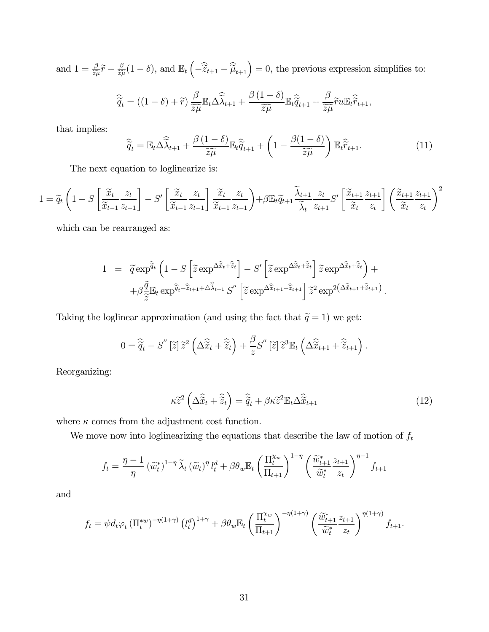and  $1 = \frac{\beta}{\tilde{z}\tilde{\mu}}\tilde{r} + \frac{\beta}{\tilde{z}\tilde{\mu}}(1 - \delta)$ , and  $\mathbb{E}_t\left(-\hat{\tilde{z}}_{t+1} - \hat{\tilde{\mu}}_{t+1}\right) = 0$ , the previous expression simplifies to:

$$
\widehat{\widetilde{q}}_t = ((1 - \delta) + \widetilde{r}) \frac{\beta}{\widetilde{z\mu}} \mathbb{E}_t \Delta \widehat{\widetilde{\lambda}}_{t+1} + \frac{\beta (1 - \delta)}{\widetilde{z\mu}} \mathbb{E}_t \widehat{\widetilde{q}}_{t+1} + \frac{\beta}{\widetilde{z\mu}} \widetilde{r} u \mathbb{E}_t \widehat{\widetilde{r}}_{t+1},
$$

that implies:

$$
\widehat{\widetilde{q}}_t = \mathbb{E}_t \Delta \widehat{\widetilde{\lambda}}_{t+1} + \frac{\beta (1 - \delta)}{\widetilde{z} \widetilde{\mu}} \mathbb{E}_t \widehat{\widetilde{q}}_{t+1} + \left(1 - \frac{\beta (1 - \delta)}{\widetilde{z} \widetilde{\mu}}\right) \mathbb{E}_t \widehat{\widetilde{r}}_{t+1}.
$$
\n(11)

The next equation to loglinearize is:

$$
1 = \widetilde{q}_t \left( 1 - S \left[ \frac{\widetilde{x}_t}{\widetilde{x}_{t-1}} \frac{z_t}{z_{t-1}} \right] - S' \left[ \frac{\widetilde{x}_t}{\widetilde{x}_{t-1}} \frac{z_t}{z_{t-1}} \right] \frac{\widetilde{x}_t}{\widetilde{x}_{t-1}} \frac{z_t}{z_{t-1}} \right) + \beta \mathbb{E}_t \widetilde{q}_{t+1} \frac{\widetilde{\lambda}_{t+1}}{\widetilde{\lambda}_t} \frac{z_t}{z_{t+1}} S' \left[ \frac{\widetilde{x}_{t+1}}{\widetilde{x}_t} \frac{z_{t+1}}{z_t} \right] \left( \frac{\widetilde{x}_{t+1}}{\widetilde{x}_t} \frac{z_{t+1}}{z_t} \right)^2
$$

which can be rearranged as:

$$
1 = \tilde{q} \exp^{\hat{\tilde{q}}_t} \left( 1 - S \left[ \tilde{z} \exp^{\Delta \hat{\tilde{x}}_t + \hat{\tilde{z}}_t} \right] - S' \left[ \tilde{z} \exp^{\Delta \hat{\tilde{x}}_t + \hat{\tilde{z}}_t} \right] \tilde{z} \exp^{\Delta \hat{\tilde{x}}_t + \hat{\tilde{z}}_t} \right) +
$$
  
+ 
$$
\beta \frac{\tilde{q}}{\tilde{z}} \mathbb{E}_t \exp^{\hat{\tilde{q}}_t - \hat{\tilde{z}}_{t+1} + \Delta \hat{\lambda}_{t+1}} S'' \left[ \tilde{z} \exp^{\Delta \hat{\tilde{x}}_{t+1} + \hat{\tilde{z}}_{t+1}} \right] \tilde{z}^2 \exp^2(\Delta \hat{\tilde{x}}_{t+1} + \hat{\tilde{z}}_{t+1}).
$$

Taking the loglinear approximation (and using the fact that  $\widetilde{q}=1)$  we get:

$$
0 = \widehat{\widetilde{q}}_t - S''\left[\widetilde{z}\right]\widetilde{z}^2\left(\Delta\widehat{\widetilde{x}}_t + \widehat{\widetilde{z}}_t\right) + \frac{\beta}{z}S''\left[\widetilde{z}\right]\widetilde{z}^3\mathbb{E}_t\left(\Delta\widehat{\widetilde{x}}_{t+1} + \widehat{\widetilde{z}}_{t+1}\right).
$$

Reorganizing:

$$
\kappa \tilde{z}^2 \left( \Delta \hat{\tilde{x}}_t + \hat{\tilde{z}}_t \right) = \hat{\tilde{q}}_t + \beta \kappa \tilde{z}^2 \mathbb{E}_t \Delta \hat{\tilde{x}}_{t+1}
$$
\n(12)

where  $\kappa$  comes from the adjustment cost function.

We move now into loglinearizing the equations that describe the law of motion of  $f_t$ 

$$
f_t = \frac{\eta - 1}{\eta} \left(\tilde{w}_t^*\right)^{1 - \eta} \tilde{\lambda}_t \left(\tilde{w}_t\right)^{\eta} l_t^d + \beta \theta_w \mathbb{E}_t \left(\frac{\Pi_t^{\chi_w}}{\Pi_{t+1}}\right)^{1 - \eta} \left(\frac{\tilde{w}_{t+1}^* z_{t+1}}{\tilde{w}_t^* z_t}\right)^{\eta - 1} f_{t+1}
$$

and

$$
f_t = \psi d_t \varphi_t \left( \Pi_t^{*w} \right)^{-\eta(1+\gamma)} \left( l_t^d \right)^{1+\gamma} + \beta \theta_w \mathbb{E}_t \left( \frac{\Pi_t^{\chi_w}}{\Pi_{t+1}} \right)^{-\eta(1+\gamma)} \left( \frac{\widetilde{w}_{t+1}^*}{\widetilde{w}_t^*} \frac{z_{t+1}}{z_t} \right)^{\eta(1+\gamma)} f_{t+1}.
$$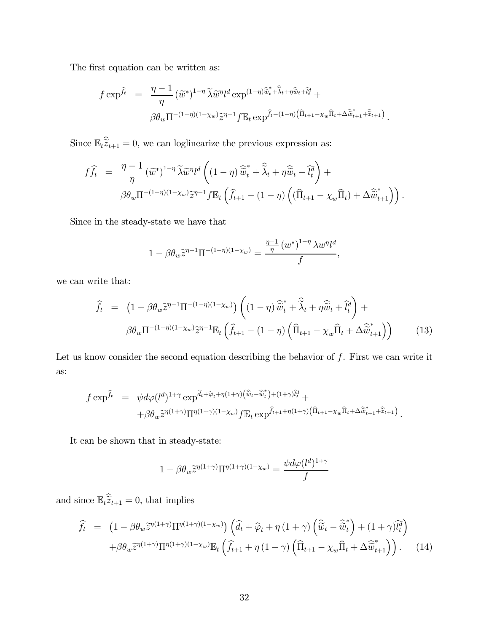The first equation can be written as:

$$
f \exp^{\hat{f}_t} = \frac{\eta - 1}{\eta} (\widetilde{w}^*)^{1 - \eta} \widetilde{\lambda} \widetilde{w}^{\eta} l^d \exp^{(1 - \eta) \widehat{\widetilde{w}}_t + \widehat{\lambda}_t + \eta \widehat{\widetilde{w}}_t + \widehat{l}_t^d} +
$$
  

$$
\beta \theta_w \Pi^{-(1 - \eta)(1 - \chi_w)} \widetilde{z}^{\eta - 1} f \mathbb{E}_t \exp^{\widehat{f}_t - (1 - \eta) \left( \widehat{\Pi}_{t+1} - \chi_w \widehat{\Pi}_t + \Delta \widehat{\widetilde{w}}_{t+1}^* + \widehat{\widetilde{z}}_{t+1} \right)}.
$$

Since  $\mathbb{E}_t \tilde{z}_{t+1} = 0$ , we can loglinearize the previous expression as:

$$
f\widehat{f}_t = \frac{\eta - 1}{\eta} (\widetilde{w}^*)^{1 - \eta} \widetilde{\lambda} \widetilde{w}^{\eta} l^d \left( (1 - \eta) \widehat{\widetilde{w}}_t^* + \widehat{\widetilde{\lambda}}_t + \eta \widehat{\widetilde{w}}_t + \widehat{l}_t^d \right) +
$$
  

$$
\beta \theta_w \Pi^{-(1 - \eta)(1 - \chi_w)} \widetilde{z}^{\eta - 1} f \mathbb{E}_t \left( \widehat{f}_{t+1} - (1 - \eta) \left( (\widehat{\Pi}_{t+1} - \chi_w \widehat{\Pi}_t) + \Delta \widehat{\widetilde{w}}_{t+1}^* \right) \right).
$$

Since in the steady-state we have that

$$
1 - \beta \theta_w \widetilde{z}^{\eta - 1} \Pi^{-(1 - \eta)(1 - \chi_w)} = \frac{\frac{\eta - 1}{\eta} (w^*)^{1 - \eta} \lambda w^{\eta} l^d}{f},
$$

we can write that:

$$
\widehat{f}_t = \left(1 - \beta \theta_w \widetilde{z}^{\eta - 1} \Pi^{-(1 - \eta)(1 - \chi_w)}\right) \left( (1 - \eta) \widehat{\widetilde{w}}_t^* + \widehat{\widetilde{\lambda}}_t + \eta \widehat{\widetilde{w}}_t + \widehat{l}_t^d \right) +
$$
\n
$$
\beta \theta_w \Pi^{-(1 - \eta)(1 - \chi_w)} \widetilde{z}^{\eta - 1} \mathbb{E}_t \left( \widehat{f}_{t+1} - (1 - \eta) \left( \widehat{\Pi}_{t+1} - \chi_w \widehat{\Pi}_t + \Delta \widehat{\widetilde{w}}_{t+1}^* \right) \right) \tag{13}
$$

Let us know consider the second equation describing the behavior of  $f$ . First we can write it as:

$$
f \exp^{\hat{f}_t} = \psi d\varphi (l^d)^{1+\gamma} \exp^{\hat{d}_t + \hat{\varphi}_t + \eta (1+\gamma) (\hat{\tilde{w}}_t - \hat{\tilde{w}}_t^*) + (1+\gamma) \hat{l}_t^d} +
$$
  
+ 
$$
\beta \theta_w \tilde{z}^{\eta (1+\gamma)} \Pi^{\eta (1+\gamma) (1-\chi_w)} f \mathbb{E}_t \exp^{\hat{f}_{t+1} + \eta (1+\gamma) (\hat{\Pi}_{t+1} - \chi_w \hat{\Pi}_t + \Delta \hat{\tilde{w}}_{t+1}^*) \hat{\tilde{z}}_{t+1})}.
$$

It can be shown that in steady-state:

$$
1 - \beta \theta_w \widetilde{z}^{\eta(1+\gamma)} \Pi^{\eta(1+\gamma)(1-\chi_w)} = \frac{\psi d\varphi(l^d)^{1+\gamma}}{f}
$$

and since  $\mathbb{E}_t \tilde{z}_{t+1} = 0$ , that implies

$$
\hat{f}_t = \left(1 - \beta \theta_w \tilde{z}^{\eta(1+\gamma)} \Pi^{\eta(1+\gamma)(1-\chi_w)}\right) \left(\hat{d}_t + \hat{\varphi}_t + \eta \left(1+\gamma\right) \left(\hat{\tilde{w}}_t - \hat{\tilde{w}}_t^*\right) + (1+\gamma) \tilde{l}_t^d\right) \n+ \beta \theta_w \tilde{z}^{\eta(1+\gamma)} \Pi^{\eta(1+\gamma)(1-\chi_w)} \mathbb{E}_t \left(\hat{f}_{t+1} + \eta \left(1+\gamma\right) \left(\hat{\Pi}_{t+1} - \chi_w \hat{\Pi}_t + \Delta \hat{\tilde{w}}_{t+1}^*\right)\right). \tag{14}
$$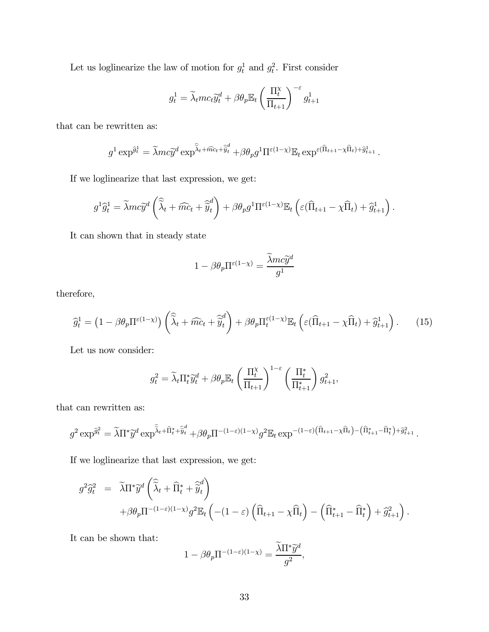Let us loglinearize the law of motion for  $g_t^1$  and  $g_t^2$ . First consider

$$
g_t^1 = \widetilde{\lambda}_t m c_t \widetilde{y}_t^d + \beta \theta_p \mathbb{E}_t \left(\frac{\Pi_t^{\chi}}{\Pi_{t+1}}\right)^{-\varepsilon} g_{t+1}^1
$$

that can be rewritten as:

$$
g^1 \exp^{\hat{g}_t^1} = \tilde{\lambda} m c \tilde{y}^d \exp^{\hat{\lambda}_t + \hat{m}c_t + \hat{\tilde{y}}^d_t} + \beta \theta_p g^1 \Pi^{\varepsilon(1-\chi)} \mathbb{E}_t \exp^{\varepsilon(\hat{\Pi}_{t+1} - \chi\hat{\Pi}_t) + \hat{g}_{t+1}^1}.
$$

If we loglinearize that last expression, we get:

$$
g^{1}\widehat{g}_{t}^{1} = \widetilde{\lambda}mc\widetilde{y}^{d}\left(\widehat{\widetilde{\lambda}}_{t} + \widehat{mc}_{t} + \widehat{\widetilde{y}}_{t}^{d}\right) + \beta\theta_{p}g^{1}\Pi^{\varepsilon(1-\chi)}\mathbb{E}_{t}\left(\varepsilon(\widehat{\Pi}_{t+1} - \chi\widehat{\Pi}_{t}) + \widehat{g}_{t+1}^{1}\right).
$$

It can shown that in steady state

$$
1-\beta \theta_p \Pi^{\varepsilon(1-\chi)}=\frac{\widetilde{\lambda}mc\widetilde{y}^d}{g^1}
$$

therefore,

$$
\widehat{g}_t^1 = \left(1 - \beta \theta_p \Pi^{\varepsilon(1-\chi)}\right) \left(\widehat{\widetilde{\lambda}}_t + \widehat{mc}_t + \widehat{\widetilde{y}}_t^d\right) + \beta \theta_p \Pi_t^{\varepsilon(1-\chi)} \mathbb{E}_t \left(\varepsilon(\widehat{\Pi}_{t+1} - \chi \widehat{\Pi}_t) + \widehat{g}_{t+1}^1\right). \tag{15}
$$

Let us now consider:

$$
g_t^2 = \widetilde{\lambda}_t \Pi_t^* \widetilde{y}_t^d + \beta \theta_p \mathbb{E}_t \left( \frac{\Pi_t^{\chi}}{\Pi_{t+1}} \right)^{1-\varepsilon} \left( \frac{\Pi_t^*}{\Pi_{t+1}^*} \right) g_{t+1}^2,
$$

that can rewritten as:

$$
g^2 \exp^{\hat{g}_t^2} = \widetilde{\lambda} \Pi^* \widetilde{y}^d \exp^{\widehat{\lambda}_t + \widehat{\Pi}_t^* + \widehat{\widetilde{y}}_t^d} + \beta \theta_p \Pi^{-(1-\varepsilon)(1-\chi)} g^2 \mathbb{E}_t \exp^{-(1-\varepsilon)\left(\widehat{\Pi}_{t+1} - \chi \widehat{\Pi}_t\right) - \left(\widehat{\Pi}_{t+1}^* - \widehat{\Pi}_t^*\right) + \widehat{g}_{t+1}^2}.
$$

If we loglinearize that last expression, we get:

$$
g^2 \hat{g}_t^2 = \widetilde{\lambda} \Pi^* \widetilde{y}^d \left( \widehat{\widetilde{\lambda}}_t + \widehat{\Pi}_t^* + \widehat{\widetilde{y}}_t^d \right)
$$
  
+ 
$$
\beta \theta_p \Pi^{-(1-\varepsilon)(1-\chi)} g^2 \mathbb{E}_t \left( -(1-\varepsilon) \left( \widehat{\Pi}_{t+1} - \chi \widehat{\Pi}_t \right) - \left( \widehat{\Pi}_{t+1}^* - \widehat{\Pi}_t^* \right) + \widehat{g}_{t+1}^2 \right).
$$

It can be shown that:

$$
1 - \beta \theta_p \Pi^{-(1-\varepsilon)(1-\chi)} = \frac{\lambda \Pi^* \widetilde{y}^d}{g^2},
$$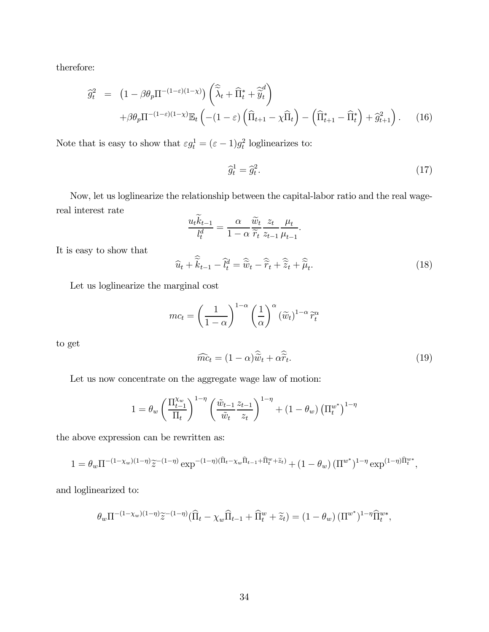therefore:

$$
\widehat{g}_t^2 = \left(1 - \beta \theta_p \Pi^{-(1-\varepsilon)(1-\chi)}\right) \left(\widehat{\widetilde{\lambda}}_t + \widehat{\Pi}_t^* + \widehat{\widetilde{y}}_t^d\right) \n+ \beta \theta_p \Pi^{-(1-\varepsilon)(1-\chi)} \mathbb{E}_t \left(-(1-\varepsilon) \left(\widehat{\Pi}_{t+1} - \chi \widehat{\Pi}_t\right) - \left(\widehat{\Pi}_{t+1}^* - \widehat{\Pi}_t^*\right) + \widehat{g}_{t+1}^2\right). \tag{16}
$$

Note that is easy to show that  $\varepsilon g_t^1 = (\varepsilon - 1)g_t^2$  loglinearizes to:

$$
\widehat{g}_t^1 = \widehat{g}_t^2. \tag{17}
$$

Now, let us loglinearize the relationship between the capital-labor ratio and the real wagereal interest rate  $\sim$ 

$$
\frac{u_t k_{t-1}}{l_t^d} = \frac{\alpha}{1 - \alpha} \frac{\widetilde{w}_t}{\widetilde{r}_t} \frac{z_t}{z_{t-1}} \frac{\mu_t}{\mu_{t-1}}.
$$

$$
\widehat{u}_t + \widehat{\widetilde{k}}_{t-1} - \widehat{l}_t^d = \widehat{\widetilde{w}}_t - \widehat{\widetilde{r}}_t + \widehat{\widetilde{z}}_t + \widehat{\widetilde{\mu}}_t.
$$
(18)

Let us loglinearize the marginal cost

It is easy to show that

$$
mc_t = \left(\frac{1}{1-\alpha}\right)^{1-\alpha} \left(\frac{1}{\alpha}\right)^{\alpha} (\tilde{w}_t)^{1-\alpha} \tilde{r}_t^{\alpha}
$$

to get

$$
\widehat{mc}_t = (1 - \alpha)\widehat{\widetilde{w}}_t + \alpha \widehat{\widetilde{r}}_t. \tag{19}
$$

Let us now concentrate on the aggregate wage law of motion:

$$
1 = \theta_w \left(\frac{\Pi_{t-1}^{\chi_w}}{\Pi_t}\right)^{1-\eta} \left(\frac{\tilde{w}_{t-1}}{\tilde{w}_t} \frac{z_{t-1}}{z_t}\right)^{1-\eta} + (1-\theta_w) \left(\Pi_t^{w^*}\right)^{1-\eta}
$$

the above expression can be rewritten as:

$$
1 = \theta_w \Pi^{-(1-\chi_w)(1-\eta)} \tilde{z}^{-(1-\eta)} \exp^{-(1-\eta)(\hat{\Pi}_t - \chi_w \hat{\Pi}_{t-1} + \hat{\Pi}_t^w + \tilde{z}_t)} + (1-\theta_w) (\Pi^{w^*})^{1-\eta} \exp^{(1-\eta)\hat{\Pi}_t^w},
$$

and loglinearized to:

$$
\theta_w \Pi^{-(1-\chi_w)(1-\eta)} \widetilde{z}^{-(1-\eta)} (\widehat{\Pi}_t - \chi_w \widehat{\Pi}_{t-1} + \widehat{\Pi}^w_t + \widetilde{z}_t) = (1 - \theta_w) (\Pi^{w^*})^{1-\eta} \widehat{\Pi}^{w^*}_t,
$$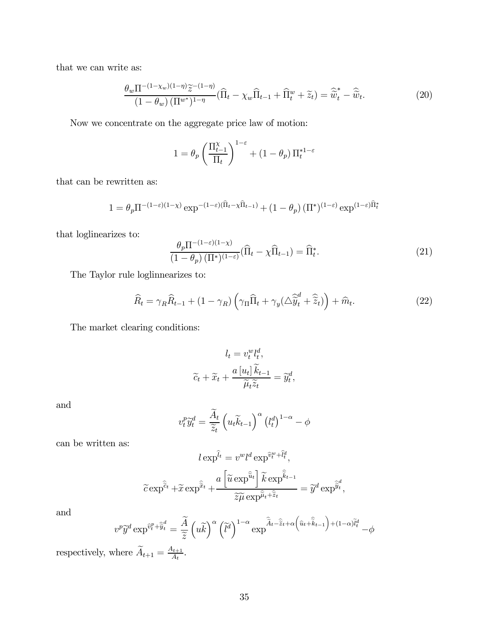that we can write as:

$$
\frac{\theta_w \Pi^{-(1-\chi_w)(1-\eta)}\tilde{z}^{-(1-\eta)}}{(1-\theta_w)(\Pi^{w^*})^{1-\eta}} (\widehat{\Pi}_t - \chi_w \widehat{\Pi}_{t-1} + \widehat{\Pi}_t^w + \widetilde{z}_t) = \widehat{\widetilde{w}}_t^* - \widehat{\widetilde{w}}_t.
$$
\n(20)

Now we concentrate on the aggregate price law of motion:

$$
1 = \theta_p \left( \frac{\Pi_{t-1}^{\chi}}{\Pi_t} \right)^{1-\varepsilon} + (1 - \theta_p) \, \Pi_t^{*1-\varepsilon}
$$

that can be rewritten as:

$$
1 = \theta_p \Pi^{-(1-\varepsilon)(1-\chi)} \exp^{-(1-\varepsilon)(\widehat{\Pi}_t - \chi \widehat{\Pi}_{t-1})} + (1-\theta_p) (\Pi^*)^{(1-\varepsilon)} \exp^{(1-\varepsilon)\widehat{\Pi}_t^*}
$$

that loglinearizes to:

$$
\frac{\theta_p \Pi^{-(1-\varepsilon)(1-\chi)}}{(1-\theta_p) \left(\Pi^*\right)^{(1-\varepsilon)}} \left(\widehat{\Pi}_t - \chi \widehat{\Pi}_{t-1}\right) = \widehat{\Pi}_t^*.
$$
\n(21)

The Taylor rule loglinnearizes to:

$$
\widehat{R}_t = \gamma_R \widehat{R}_{t-1} + (1 - \gamma_R) \left( \gamma_\Pi \widehat{\Pi}_t + \gamma_y (\Delta \widehat{\widetilde{y}}_t^d + \widehat{\widetilde{z}}_t) \right) + \widehat{m}_t. \tag{22}
$$

The market clearing conditions:

$$
l_t = v_t^w l_t^d,
$$
  

$$
\widetilde{c}_t + \widetilde{x}_t + \frac{a [u_t] \widetilde{k}_{t-1}}{\widetilde{\mu}_t \widetilde{z}_t} = \widetilde{y}_t^d,
$$

and

$$
v_t^p \widetilde{y}_t^d = \frac{\widetilde{A}_t}{\widetilde{z}_t} \left( u_t \widetilde{k}_{t-1} \right)^\alpha \left( l_t^d \right)^{1-\alpha} - \phi
$$

can be written as:

$$
l \exp^{\hat{u}} = v^{w} l^{d} \exp^{\hat{v}^{w}_{t} + \hat{l}^{d}_{t}},
$$

$$
\tilde{c} \exp^{\hat{\tilde{c}}_{t}} + \tilde{x} \exp^{\hat{\tilde{x}}_{t}} + \frac{a \left[ \tilde{u} \exp^{\hat{\tilde{u}}_{t}} \right] \tilde{k} \exp^{\hat{\tilde{k}}_{t-1}}}{\tilde{z} \tilde{\mu} \exp^{\hat{\mu}_{t} + \hat{\tilde{z}}_{t}}} = \tilde{y}^{d} \exp^{\tilde{y}^{d}_{t}},
$$

and

$$
v^p \widetilde{y}^d \exp^{\widehat{v}_t^p + \widehat{\widetilde{y}}_t^d} = \frac{\widetilde{A}}{\widetilde{z}} \left( u \widetilde{k} \right)^{\alpha} \left( \widetilde{l}^d \right)^{1-\alpha} \exp^{\widehat{\widetilde{A}}_t - \widehat{\widetilde{z}}_t + \alpha \left( \widehat{u}_t + \widehat{\widetilde{k}}_{t-1} \right) + (1-\alpha)\widetilde{l}_t^d} - \phi
$$

respectively, where  $\widetilde{A}_{t+1} = \frac{A_{t+1}}{A_t}$ .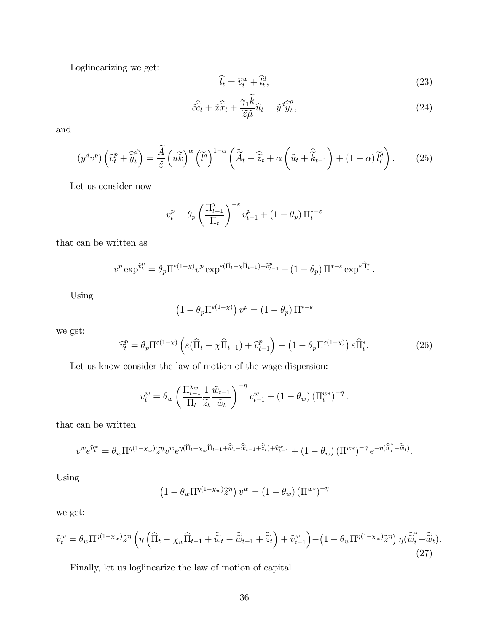Loglinearizing we get:

$$
\widehat{l_t} = \widehat{v}_t^w + \widehat{l_t^d},\tag{23}
$$

$$
\hat{c}\hat{\tilde{c}}_t + \tilde{x}\hat{\tilde{x}}_t + \frac{\gamma_1 \tilde{k}}{\tilde{z}\tilde{\mu}}\hat{u}_t = \tilde{y}^d \hat{\tilde{y}}_t^d,\tag{24}
$$

and

$$
\left(\tilde{y}^d v^p\right) \left(\widehat{v}_t^p + \widehat{\tilde{y}}_t^d\right) = \frac{\widetilde{A}}{\widetilde{z}} \left(u\widetilde{k}\right)^\alpha \left(\widetilde{l}^d\right)^{1-\alpha} \left(\widehat{\widetilde{A}}_t - \widehat{\widetilde{z}}_t + \alpha \left(\widehat{u}_t + \widehat{\widetilde{k}}_{t-1}\right) + (1-\alpha)\widetilde{l}_t^d\right). \tag{25}
$$

Let us consider now

$$
v_t^p = \theta_p \left(\frac{\Pi_{t-1}^{\chi}}{\Pi_t}\right)^{-\varepsilon} v_{t-1}^p + (1-\theta_p) \Pi_t^{*-\varepsilon}
$$

that can be written as

$$
v^p \exp^{\hat{v}_t^p} = \theta_p \Pi^{\varepsilon(1-\chi)} v^p \exp^{\varepsilon(\hat{\Pi}_t - \chi \hat{\Pi}_{t-1}) + \hat{v}_{t-1}^p} + (1-\theta_p) \Pi^{*-\varepsilon} \exp^{\varepsilon \hat{\Pi}_t^*}.
$$

Using

$$
\left(1 - \theta_p \Pi^{\varepsilon(1-\chi)}\right) v^p = \left(1 - \theta_p\right) \Pi^{*-\varepsilon}
$$

we get:

$$
\widehat{v}_t^p = \theta_p \Pi^{\varepsilon(1-\chi)} \left( \varepsilon (\widehat{\Pi}_t - \chi \widehat{\Pi}_{t-1}) + \widehat{v}_{t-1}^p \right) - \left( 1 - \theta_p \Pi^{\varepsilon(1-\chi)} \right) \varepsilon \widehat{\Pi}_t^*.
$$
 (26)

Let us know consider the law of motion of the wage dispersion:

$$
v_t^w = \theta_w \left( \frac{\prod_{t=1}^{X_w} 1}{\prod_t \widetilde{z}_t} \frac{\widetilde{w}_{t-1}}{\widetilde{w}_t} \right)^{-\eta} v_{t-1}^w + (1 - \theta_w) \left( \prod_t^{w*} \right)^{-\eta}.
$$

that can be written

$$
v^w e^{\widehat{v}_t^w} = \theta_w \Pi^{\eta(1-\chi_w)} \widetilde{z}^{\eta} v^w e^{\eta(\widehat{\Pi}_t - \chi_w \widehat{\Pi}_{t-1} + \widehat{\widetilde{w}}_t - \widehat{\widetilde{w}}_{t-1} + \widehat{z}_t) + \widehat{v}_{t-1}^w} + (1 - \theta_w) (\Pi^{w*})^{-\eta} e^{-\eta(\widehat{\widetilde{w}}_t^* - \widehat{\widetilde{w}}_t)}.
$$

Using

$$
\left(1 - \theta_w \Pi^{\eta(1-\chi_w)} \tilde{z}^{\eta}\right) v^w = \left(1 - \theta_w\right) \left(\Pi^{w*}\right)^{-\eta}
$$

we get:

$$
\widehat{v}_t^w = \theta_w \Pi^{\eta(1-\chi_w)} \widetilde{z}^\eta \left( \eta \left( \widehat{\Pi}_t - \chi_w \widehat{\Pi}_{t-1} + \widehat{\widetilde{w}}_t - \widehat{\widetilde{w}}_{t-1} + \widehat{\widetilde{z}}_t \right) + \widehat{v}_{t-1}^w \right) - \left( 1 - \theta_w \Pi^{\eta(1-\chi_w)} \widetilde{z}^\eta \right) \eta \left( \widehat{\widetilde{w}}_t^* - \widehat{\widetilde{w}}_t \right). \tag{27}
$$

Finally, let us loglinearize the law of motion of capital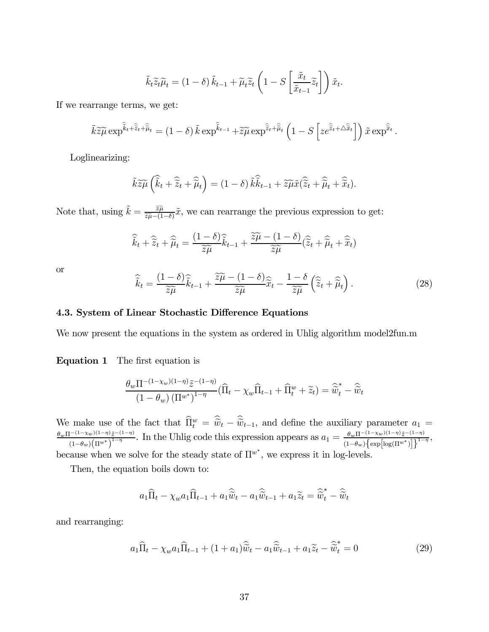$$
\tilde{k}_t \tilde{z}_t \tilde{\mu}_t = (1 - \delta) \tilde{k}_{t-1} + \tilde{\mu}_t \tilde{z}_t \left( 1 - S \left[ \frac{\tilde{x}_t}{\tilde{x}_{t-1}} \tilde{z}_t \right] \right) \tilde{x}_t.
$$

If we rearrange terms, we get:

$$
\tilde{k}\tilde{z}\tilde{\mu} \exp^{\hat{\tilde{k}}_t+\hat{\tilde{z}}_t+\hat{\tilde{\mu}}_t} = (1-\delta)\tilde{k} \exp^{\hat{\tilde{k}}_t-1}+\tilde{z}\tilde{\mu} \exp^{\hat{\tilde{z}}_t+\hat{\tilde{\mu}}_t} \left(1-S\left[ze^{\hat{\tilde{z}}_t+\Delta\hat{\tilde{x}}_t}\right]\right)\tilde{x} \exp^{\hat{\tilde{x}}_t}.
$$

Loglinearizing:

$$
\tilde{k}\widetilde{z}\widetilde{\mu}\left(\widehat{\widetilde{k}}_t+\widehat{\widetilde{z}}_t+\widehat{\widetilde{\mu}}_t\right)=(1-\delta)\widetilde{k}\widehat{\widetilde{k}}_{t-1}+\widetilde{z}\widetilde{\mu}\widetilde{x}(\widehat{\widetilde{z}}_t+\widehat{\widetilde{\mu}}_t+\widehat{\widetilde{x}}_t).
$$

Note that, using  $\tilde{k} = \frac{\tilde{z}\tilde{\mu}}{\tilde{z}\tilde{\mu} - (1-\delta)}\tilde{x}$ , we can rearrange the previous expression to get:

$$
\widehat{\widetilde{k}}_t + \widehat{\widetilde{z}}_t + \widehat{\widetilde{\mu}}_t = \frac{(1-\delta)\widehat{\widetilde{k}}_{t-1}}{\widetilde{z}\widetilde{\mu}} + \frac{\widetilde{z}\widetilde{\mu} - (1-\delta)}{\widetilde{z}\widetilde{\mu}} (\widehat{\widetilde{z}}_t + \widehat{\widetilde{\mu}}_t + \widehat{\widetilde{x}}_t)
$$

or

$$
\widehat{\widetilde{k}}_t = \frac{(1-\delta)\widehat{\widetilde{k}}_{t-1}}{\widetilde{z}\widetilde{\mu}} + \frac{\widetilde{z}\widetilde{\mu} - (1-\delta)\widehat{\widetilde{x}}_t}{\widetilde{z}\widetilde{\mu}} - \frac{1-\delta}{\widetilde{z}\widetilde{\mu}} \left(\widehat{\widetilde{z}}_t + \widehat{\widetilde{\mu}}_t\right). \tag{28}
$$

#### 4.3. System of Linear Stochastic Difference Equations

We now present the equations in the system as ordered in Uhlig algorithm model2fun.m

Equation 1 The first equation is

$$
\frac{\theta_w \Pi^{-(1-\chi_w)(1-\eta)}\tilde{z}^{-(1-\eta)}}{(1-\theta_w) (\Pi^{w^*})^{1-\eta}} (\widehat{\Pi}_t - \chi_w \widehat{\Pi}_{t-1} + \widehat{\Pi}_t^w + \widetilde{z}_t) = \widehat{\widetilde{w}}_t^* - \widehat{\widetilde{w}}_t
$$

We make use of the fact that  $\widehat{\Pi}_t^w = \widetilde{\tilde{w}}_t - \widetilde{\tilde{w}}_{t-1}$ , and define the auxiliary parameter  $a_1 = \theta_w \Pi^{-(1-\chi_w)(1-\eta)} \tilde{z}^{-(1-\eta)}$ .<br> $\theta_w \Pi^{-(1-\chi_w)(1-\eta)} \tilde{z}^{-(1-\eta)}$ .  $\frac{1}{(1-\theta_w)(1-\eta)\tilde{z}^{-(1-\eta)}}$ . In the Uhlig code this expression appears as  $a_1 = \frac{\theta_w \Pi^{-(1-\chi_w)(1-\eta)}\tilde{z}^{-(1-\eta)}}{(1-\theta_w)\{\exp[\log(\Pi^{w^*})]\}}^{1-\eta}$  $(1-\theta_w)\Big\{\exp\Big[\log(\Pi^{w^*})\Big]\Big\}$  $\frac{(\eta)}{1-\eta}$ , because when we solve for the steady state of  $\Pi^{w^*}$ , we express it in log-levels.

Then, the equation boils down to:

$$
a_1\widehat{\Pi}_t - \chi_w a_1\widehat{\Pi}_{t-1} + a_1\widehat{\widetilde{w}}_t - a_1\widehat{\widetilde{w}}_{t-1} + a_1\widetilde{z}_t = \widehat{\widetilde{w}}_t^* - \widehat{\widetilde{w}}_t
$$

and rearranging:

$$
a_1\widehat{\Pi}_t - \chi_w a_1\widehat{\Pi}_{t-1} + (1+a_1)\widehat{\widetilde{w}}_t - a_1\widehat{\widetilde{w}}_{t-1} + a_1\widetilde{z}_t - \widehat{\widetilde{w}}_t^* = 0
$$
\n(29)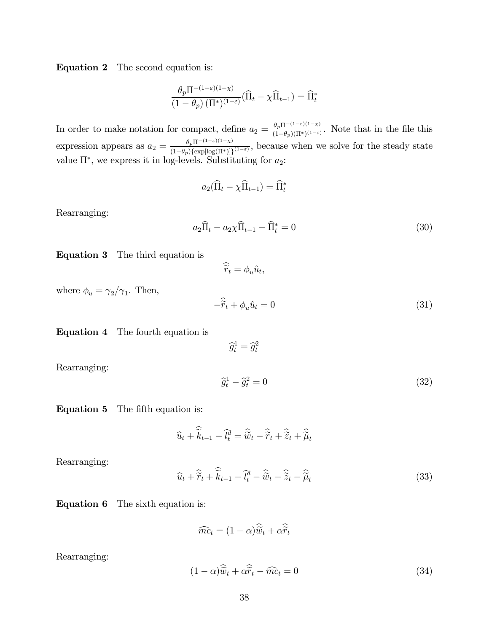Equation 2 The second equation is:

$$
\frac{\theta_p \Pi^{-(1-\varepsilon)(1-\chi)}}{(1-\theta_p) (\Pi^*)^{(1-\varepsilon)}} (\widehat{\Pi}_t - \chi \widehat{\Pi}_{t-1}) = \widehat{\Pi}_t^*
$$

In order to make notation for compact, define  $a_2 = \frac{\theta_p \Pi^{-(1-\varepsilon)(1-\chi)}}{(1-\theta_p)(\Pi^*)(1-\varepsilon)}$ . Note that in the file this expression appears as  $a_2 = \frac{\theta_p \Pi^{-(1-\varepsilon)(1-\chi)}}{(1-\theta_p)\{\exp[\log(\Pi^*)]\}^{(1-\varepsilon)}}$ , because when we solve for the steady state value  $\Pi^*$ , we express it in log-levels. Substituting for  $a_2$ :

$$
a_2(\widehat{\Pi}_t - \chi \widehat{\Pi}_{t-1}) = \widehat{\Pi}_t^*
$$

Rearranging:

$$
a_2\hat{\Pi}_t - a_2\chi\hat{\Pi}_{t-1} - \hat{\Pi}_t^* = 0
$$
\n(30)

Equation 3 The third equation is

$$
\widehat{\widetilde{r}}_t = \phi_u \hat{u}_t,
$$

where  $\phi_u = \gamma_2/\gamma_1.$  Then,

$$
-\hat{\tilde{r}}_t + \phi_u \hat{u}_t = 0 \tag{31}
$$

Equation 4 The fourth equation is

 $\widehat{g}_t^1 = \widehat{g}_t^2$ 

Rearranging:

$$
\widehat{g}_t^1 - \widehat{g}_t^2 = 0 \tag{32}
$$

Equation 5 The fifth equation is:

$$
\widehat{u}_t + \widehat{\widetilde{k}}_{t-1} - \widehat{l}_t^d = \widehat{\widetilde{w}}_t - \widehat{\widetilde{r}}_t + \widehat{\widetilde{z}}_t + \widehat{\widetilde{\mu}}_t
$$

Rearranging:

$$
\widehat{u}_t + \widehat{\widetilde{r}}_t + \widehat{\widetilde{k}}_{t-1} - \widehat{l}_t^d - \widehat{\widetilde{w}}_t - \widehat{\widetilde{z}}_t - \widehat{\widetilde{\mu}}_t \tag{33}
$$

Equation 6 The sixth equation is:

$$
\widehat{mc}_t = (1 - \alpha)\widehat{\widetilde{w}}_t + \alpha \widehat{\widetilde{r}}_t
$$

Rearranging:

$$
(1 - \alpha)\widehat{\tilde{w}}_t + \alpha \widehat{\tilde{r}}_t - \widehat{mc}_t = 0 \tag{34}
$$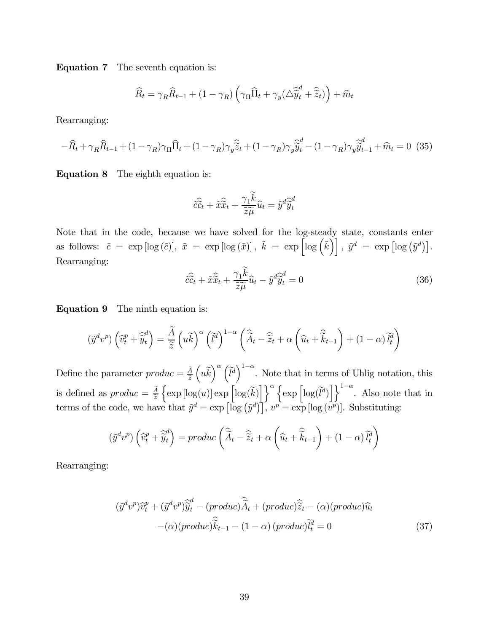Equation 7 The seventh equation is:

$$
\widehat{R}_t = \gamma_R \widehat{R}_{t-1} + (1 - \gamma_R) \left( \gamma_\Pi \widehat{\Pi}_t + \gamma_y (\triangle \widehat{\widetilde{y}}_t^d + \widehat{\widetilde{z}}_t) \right) + \widehat{m}_t
$$

Rearranging:

$$
-\widehat{R}_t + \gamma_R \widehat{R}_{t-1} + (1 - \gamma_R) \gamma_\Pi \widehat{\Pi}_t + (1 - \gamma_R) \gamma_y \widehat{\widetilde{z}}_t + (1 - \gamma_R) \gamma_y \widehat{\widetilde{y}}_t^d - (1 - \gamma_R) \gamma_y \widehat{\widetilde{y}}_{t-1}^d + \widehat{m}_t = 0
$$
 (35)

Equation 8 The eighth equation is:

$$
\hat{c}\hat{\tilde{c}}_t + \tilde{x}\hat{\tilde{x}}_t + \frac{\gamma_1 \tilde{k}}{\tilde{z}\tilde{\mu}}\hat{u}_t = \tilde{y}^d \hat{\tilde{y}}_t^d
$$

Note that in the code, because we have solved for the log-steady state, constants enter as follows:  $\tilde{c} = \exp \left[ \log \left( \tilde{c} \right) \right], \ \tilde{x} = \exp \left[ \log \left( \tilde{x} \right) \right], \ \tilde{y}^d = \exp \left[ \log \left( \tilde{y}^d \right) \right].$ Rearranging:

$$
\hat{c}\hat{\tilde{c}}_t + \tilde{x}\hat{\tilde{x}}_t + \frac{\gamma_1 \dot{k}}{\tilde{z}\tilde{\mu}}\hat{u}_t - \tilde{y}^d \tilde{\tilde{y}}_t^d = 0
$$
\n(36)

Equation 9 The ninth equation is:

$$
(\tilde{y}^d v^p) \left(\hat{v}_t^p + \hat{\tilde{y}}_t^d\right) = \frac{\tilde{A}}{\tilde{z}} \left(u\tilde{k}\right)^\alpha \left(\tilde{l}^d\right)^{1-\alpha} \left(\hat{\tilde{A}}_t - \hat{\tilde{z}}_t + \alpha\left(\hat{u}_t + \hat{\tilde{k}}_{t-1}\right) + (1-\alpha)\tilde{l}_t^d\right)
$$

Define the parameter  $\text{product} = \frac{A}{\tilde{z}}$  $(\tilde{u}\tilde{k})^{\alpha} (\tilde{l}^d)^{1-\alpha}$ . Note that in terms of Uhlig notation, this is defined as  $produc = \frac{A}{\tilde{z}}$  $\left\{ \exp \left[ \log(u) \right] \exp \left[ \log(\widetilde{k}) \right] \right\}^{\alpha} \left\{ \exp \left[ \log(\widetilde{l}^d) \right] \right\}^{1-\alpha}$ . Also note that in terms of the code, we have that  $\tilde{y}^d = \exp\left[\log\left(\tilde{y}^d\right)\right], v^p = \exp\left[\log\left(v^p\right)\right].$  Substituting:

$$
\left(\tilde{y}^{d}v^{p}\right)\left(\widehat{v}_{t}^{p}+\widehat{\tilde{y}}_{t}^{d}\right)=prod(c\left(\widehat{\tilde{A}}_{t}-\widehat{\tilde{z}}_{t}+\alpha\left(\widehat{u}_{t}+\widehat{\tilde{k}}_{t-1}\right)+\left(1-\alpha\right)\widetilde{l}_{t}^{d}\right)
$$

Rearranging:

$$
(\tilde{y}^d v^p)\hat{v}_t^p + (\tilde{y}^d v^p)\hat{\tilde{y}}_t^d - (product)\hat{\tilde{A}}_t + (product)\hat{\tilde{z}}_t - (\alpha)(product)\hat{u}_t - (\alpha)(product)\hat{\tilde{k}}_{t-1} - (1 - \alpha)(product)\hat{\tilde{l}}_t^d = 0
$$
\n(37)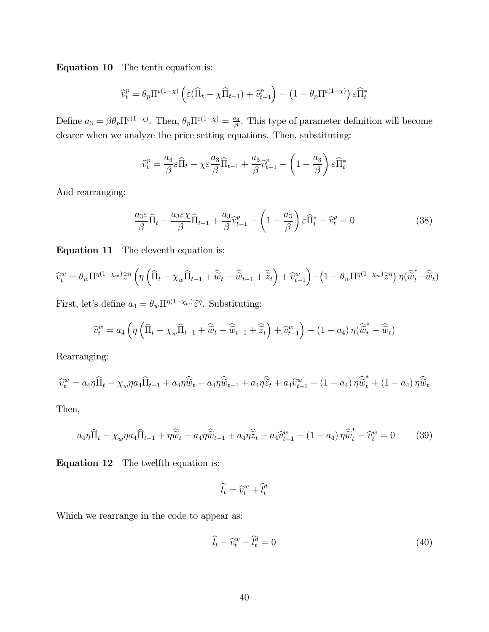Equation 10 The tenth equation is:

$$
\widehat{v}_t^p = \theta_p \Pi^{\varepsilon(1-\chi)} \left( \varepsilon (\widehat{\Pi}_t - \chi \widehat{\Pi}_{t-1}) + \widehat{v}_{t-1}^p \right) - \left( 1 - \theta_p \Pi^{\varepsilon(1-\chi)} \right) \varepsilon \widehat{\Pi}_t^*
$$

Define  $a_3 = \beta \theta_p \Pi^{\epsilon(1-\chi)}$ . Then,  $\theta_p \Pi^{\epsilon(1-\chi)} = \frac{a_3}{\beta}$ . This type of parameter definition will become clearer when we analyze the price setting equations. Then, substituting:

$$
\widehat{v}_t^p = \frac{a_3}{\beta} \varepsilon \widehat{\Pi}_t - \chi \varepsilon \frac{a_3}{\beta} \widehat{\Pi}_{t-1} + \frac{a_3}{\beta} \widehat{v}_{t-1}^p - \left(1 - \frac{a_3}{\beta}\right) \varepsilon \widehat{\Pi}_t^*
$$

And rearranging:

$$
\frac{a_3 \varepsilon}{\beta} \widehat{\Pi}_t - \frac{a_3 \varepsilon \chi}{\beta} \widehat{\Pi}_{t-1} + \frac{a_3}{\beta} \widehat{v}_{t-1}^p - \left(1 - \frac{a_3}{\beta}\right) \varepsilon \widehat{\Pi}_t^* - \widehat{v}_t^p = 0 \tag{38}
$$

Equation 11 The eleventh equation is:

$$
\widehat{v}_t^w = \theta_w \Pi^{\eta(1-\chi_w)} \widetilde{z}^{\eta} \left( \eta \left( \widehat{\Pi}_t - \chi_w \widehat{\Pi}_{t-1} + \widehat{\widetilde{w}}_t - \widehat{\widetilde{w}}_{t-1} + \widehat{\widetilde{z}}_t \right) + \widehat{v}_{t-1}^w \right) - \left( 1 - \theta_w \Pi^{\eta(1-\chi_w)} \widetilde{z}^{\eta} \right) \eta \left( \widehat{\widetilde{w}}_t^* - \widehat{\widetilde{w}}_t \right)
$$

First, let's define  $a_4 = \theta_w \Pi^{\eta(1-\chi_w)} \tilde{z}^{\eta}$ . Substituting:

$$
\widehat{v}_t^w = a_4 \left( \eta \left( \widehat{\Pi}_t - \chi_w \widehat{\Pi}_{t-1} + \widehat{\widetilde{w}}_t - \widehat{\widetilde{w}}_{t-1} + \widehat{\widetilde{z}}_t \right) + \widehat{v}_{t-1}^w \right) - (1 - a_4) \eta (\widehat{\widetilde{w}}_t^* - \widehat{\widetilde{w}}_t)
$$

Rearranging:

$$
\widehat{v}_t^w = a_4 \eta \widehat{\Pi}_t - \chi_w \eta a_4 \widehat{\Pi}_{t-1} + a_4 \eta \widehat{\widetilde{w}}_t - a_4 \eta \widehat{\widetilde{w}}_{t-1} + a_4 \eta \widehat{\widetilde{z}}_t + a_4 \widehat{v}_{t-1}^w - (1 - a_4) \eta \widehat{\widetilde{w}}_t^* + (1 - a_4) \eta \widehat{\widetilde{w}}_t
$$

Then,

$$
a_4\eta \widehat{\Pi}_t - \chi_w \eta a_4 \widehat{\Pi}_{t-1} + \eta \widehat{\widetilde{\psi}}_t - a_4 \eta \widehat{\widetilde{\psi}}_{t-1} + a_4 \eta \widehat{\widetilde{z}}_t + a_4 \widehat{\widetilde{v}}_{t-1}^w - (1 - a_4) \eta \widehat{\widetilde{\psi}}_t^* - \widehat{\widetilde{v}}_t^w = 0 \tag{39}
$$

Equation 12 The twelfth equation is:

$$
\widehat{l_t} = \widehat{v}_t^w + \widehat{l_t^d}
$$

Which we rearrange in the code to appear as:

$$
\widehat{l}_t - \widehat{v}_t^w - \widehat{l}_t^d = 0 \tag{40}
$$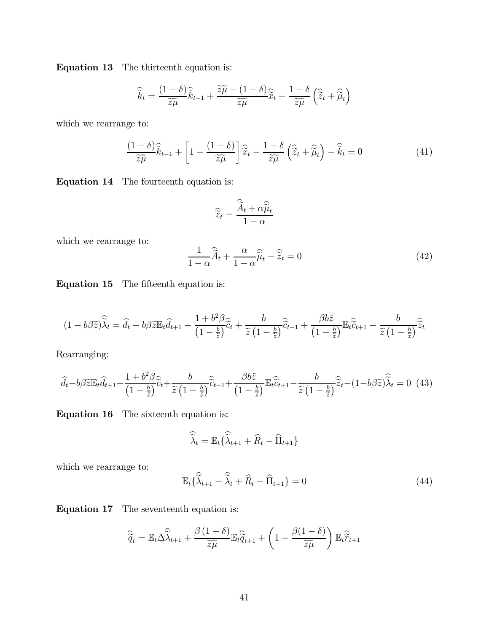Equation 13 The thirteenth equation is:

$$
\widehat{\widetilde{k}}_t = \frac{(1-\delta)\widehat{\widetilde{k}}_{t-1}}{\widetilde{z}\widetilde{\mu}} + \frac{\widetilde{z}\widetilde{\mu} - (1-\delta)\widehat{z}_{t}}{\widetilde{z}\widetilde{\mu}} - \frac{1-\delta}{\widetilde{z}\widetilde{\mu}} \left(\widehat{\widetilde{z}}_t + \widehat{\widetilde{\mu}}_t\right)
$$

which we rearrange to:

$$
\frac{(1-\delta)\widehat{\widetilde{k}}_{t-1}}{\widetilde{z}\widetilde{\mu}} + \left[1 - \frac{(1-\delta)}{\widetilde{z}\widetilde{\mu}}\right]\widehat{\widetilde{x}}_t - \frac{1-\delta}{\widetilde{z}\widetilde{\mu}}\left(\widehat{\widetilde{z}}_t + \widehat{\widetilde{\mu}}_t\right) - \widehat{\widetilde{k}}_t = 0\tag{41}
$$

Equation 14 The fourteenth equation is:

$$
\widehat{\widetilde{z}}_t = \frac{\widehat{\widetilde{A}}_t + \alpha \widehat{\widetilde{\mu}}_t}{1 - \alpha}
$$

which we rearrange to:

$$
\frac{1}{1-\alpha}\widehat{\widetilde{A}}_t + \frac{\alpha}{1-\alpha}\widehat{\widetilde{\mu}}_t - \widehat{\widetilde{z}}_t = 0
$$
\n(42)

Equation 15 The fifteenth equation is:

$$
(1 - b\beta \widetilde{z})\widehat{\widetilde{\lambda}}_t = \widehat{d}_t - b\beta \widetilde{z} \mathbb{E}_t \widehat{d}_{t+1} - \frac{1 + b^2 \beta}{\left(1 - \frac{b}{\widetilde{z}}\right)} \widehat{c}_t + \frac{b}{\widetilde{z}\left(1 - \frac{b}{\widetilde{z}}\right)} \widehat{c}_{t-1} + \frac{\beta b \widetilde{z}}{\left(1 - \frac{b}{\widetilde{z}}\right)} \mathbb{E}_t \widehat{\widetilde{c}}_{t+1} - \frac{b}{\widetilde{z}\left(1 - \frac{b}{\widetilde{z}}\right)} \widehat{\widetilde{z}}_t
$$

Rearranging:

$$
\hat{d}_t - b\beta \widetilde{z} \mathbb{E}_t \hat{d}_{t+1} - \frac{1 + b^2 \beta}{\left(1 - \frac{b}{\widetilde{z}}\right)} \widetilde{c}_t + \frac{b}{\widetilde{z} \left(1 - \frac{b}{\widetilde{z}}\right)} \widehat{c}_{t-1} + \frac{\beta b \widetilde{z}}{\left(1 - \frac{b}{\widetilde{z}}\right)} \mathbb{E}_t \widehat{c}_{t+1} - \frac{b}{\widetilde{z} \left(1 - \frac{b}{\widetilde{z}}\right)} \widehat{z}_t - \left(1 - b\beta \widetilde{z}\right) \widehat{\lambda}_t = 0 \tag{43}
$$

Equation 16 The sixteenth equation is:

$$
\widehat{\widetilde{\lambda}}_t = \mathbb{E}_t \{ \widehat{\widetilde{\lambda}}_{t+1} + \widehat{R}_t - \widehat{\Pi}_{t+1} \}
$$

which we rearrange to:

$$
\mathbb{E}_t\{\widehat{\widetilde{\lambda}}_{t+1} - \widehat{\widetilde{\lambda}}_t + \widehat{R}_t - \widehat{\Pi}_{t+1}\} = 0\tag{44}
$$

Equation 17 The seventeenth equation is:

$$
\widehat{\widetilde{q}}_t = \mathbb{E}_t \Delta \widehat{\widetilde{\lambda}}_{t+1} + \frac{\beta (1-\delta)}{\widetilde{z} \widetilde{\mu}} \mathbb{E}_t \widehat{\widetilde{q}}_{t+1} + \left(1 - \frac{\beta (1-\delta)}{\widetilde{z} \widetilde{\mu}}\right) \mathbb{E}_t \widehat{\widetilde{r}}_{t+1}
$$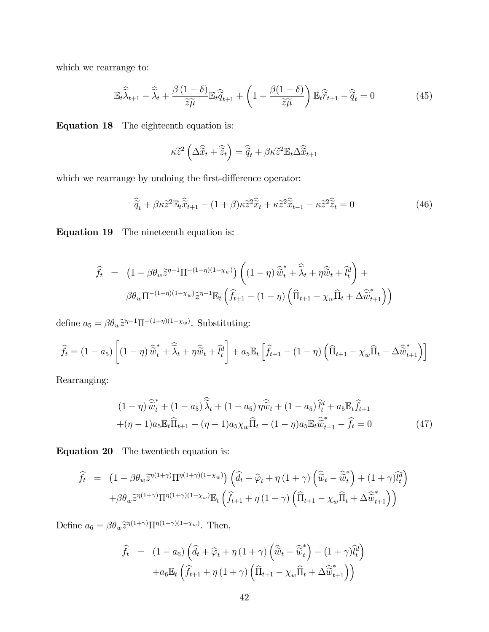which we rearrange to:

$$
\mathbb{E}_{t}\widehat{\widetilde{\lambda}}_{t+1} - \widehat{\widetilde{\lambda}}_{t} + \frac{\beta(1-\delta)}{\widetilde{z}\widetilde{\mu}} \mathbb{E}_{t}\widehat{\widetilde{q}}_{t+1} + \left(1 - \frac{\beta(1-\delta)}{\widetilde{z}\widetilde{\mu}}\right) \mathbb{E}_{t}\widehat{\widetilde{r}}_{t+1} - \widehat{\widetilde{q}}_{t} = 0 \tag{45}
$$

Equation 18 The eighteenth equation is:

$$
\kappa \widetilde{z}^2 \left( \Delta \widehat{\widetilde{x}}_t + \widehat{\widetilde{z}}_t \right) = \widehat{\widetilde{q}}_t + \beta \kappa \widetilde{z}^2 \mathbb{E}_t \Delta \widehat{\widetilde{x}}_{t+1}
$$

which we rearrange by undoing the first-difference operator:

$$
\widehat{\widetilde{q}}_t + \beta \kappa \widetilde{z}^2 \mathbb{E}_t \widehat{\widetilde{x}}_{t+1} - (1+\beta) \kappa \widetilde{z}^2 \widehat{\widetilde{x}}_t + \kappa \widetilde{z}^2 \widehat{\widetilde{x}}_{t-1} - \kappa \widetilde{z}^2 \widehat{\widetilde{z}}_t = 0 \tag{46}
$$

Equation 19 The nineteenth equation is:

$$
\widehat{f}_t = (1 - \beta \theta_w \widetilde{z}^{\eta - 1} \Pi^{-(1 - \eta)(1 - \chi_w)}) \left( (1 - \eta) \widehat{\widetilde{w}}_t^* + \widehat{\widetilde{\lambda}}_t + \eta \widehat{\widetilde{w}}_t + \widehat{l}_t^d \right) +
$$

$$
\beta \theta_w \Pi^{-(1 - \eta)(1 - \chi_w)} \widetilde{z}^{\eta - 1} \mathbb{E}_t \left( \widehat{f}_{t+1} - (1 - \eta) \left( \widehat{\Pi}_{t+1} - \chi_w \widehat{\Pi}_t + \Delta \widehat{\widetilde{w}}_{t+1}^* \right) \right)
$$

define  $a_5 = \beta \theta_w \tilde{z}^{\eta-1} \Pi^{-(1-\eta)(1-\chi_w)}$ . Substituting:

$$
\widehat{f}_t = (1 - a_5) \left[ (1 - \eta) \widehat{\widetilde{w}}_t^* + \widehat{\widetilde{\lambda}}_t + \eta \widehat{\widetilde{w}}_t + \widehat{l}_t^d \right] + a_5 \mathbb{E}_t \left[ \widehat{f}_{t+1} - (1 - \eta) \left( \widehat{\Pi}_{t+1} - \chi_w \widehat{\Pi}_t + \Delta \widehat{\widetilde{w}}_{t+1}^* \right) \right]
$$

Rearranging:

$$
(1 - \eta) \,\widehat{\tilde{w}}_t^* + (1 - a_5) \,\widehat{\tilde{\lambda}}_t + (1 - a_5) \,\eta \,\widehat{\tilde{w}}_t + (1 - a_5) \,\widehat{l}_t^d + a_5 \mathbb{E}_t \widehat{f}_{t+1} + (\eta - 1) a_5 \mathbb{E}_t \widehat{\Pi}_{t+1} - (\eta - 1) a_5 \chi_w \widehat{\Pi}_t - (1 - \eta) a_5 \mathbb{E}_t \widehat{\tilde{w}}_{t+1}^* - \widehat{f}_t = 0
$$
\n
$$
(47)
$$

Equation 20 The twentieth equation is:

$$
\hat{f}_t = (1 - \beta \theta_w \tilde{z}^{\eta(1+\gamma)} \Pi^{\eta(1+\gamma)(1-\chi_w)} \left( \hat{d}_t + \hat{\varphi}_t + \eta (1+\gamma) \left( \hat{\tilde{w}}_t - \hat{\tilde{w}}_t^* \right) + (1+\gamma) \tilde{l}_t^d \right) \n+ \beta \theta_w \tilde{z}^{\eta(1+\gamma)} \Pi^{\eta(1+\gamma)(1-\chi_w)} \mathbb{E}_t \left( \hat{f}_{t+1} + \eta (1+\gamma) \left( \hat{\Pi}_{t+1} - \chi_w \hat{\Pi}_t + \Delta \hat{\tilde{w}}_{t+1}^* \right) \right)
$$

Define  $a_6 = \beta \theta_w \tilde{z}^{\eta(1+\gamma)} \Pi^{\eta(1+\gamma)(1-\chi_w)}$ . Then,

$$
\widehat{f}_t = (1 - a_6) \left( \widehat{d}_t + \widehat{\varphi}_t + \eta (1 + \gamma) \left( \widehat{\widetilde{w}}_t - \widehat{\widetilde{w}}_t^* \right) + (1 + \gamma) \widehat{l}_t^d \right) \n+ a_6 \mathbb{E}_t \left( \widehat{f}_{t+1} + \eta (1 + \gamma) \left( \widehat{\Pi}_{t+1} - \chi_w \widehat{\Pi}_t + \Delta \widehat{\widetilde{w}}_{t+1}^* \right) \right)
$$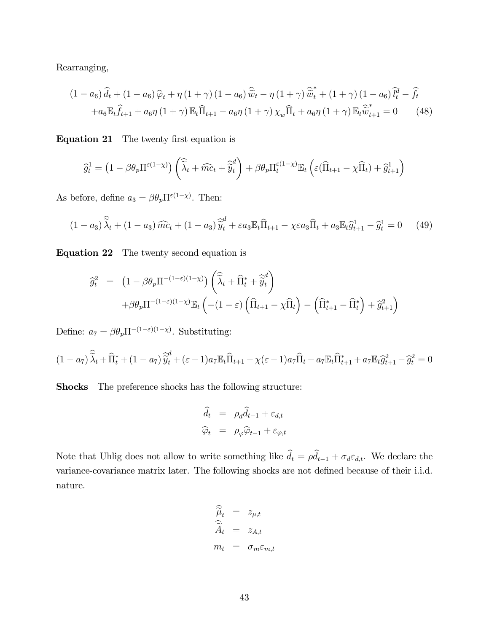Rearranging,

$$
(1 - a_6)\hat{d}_t + (1 - a_6)\hat{\varphi}_t + \eta (1 + \gamma) (1 - a_6)\hat{\tilde{w}}_t - \eta (1 + \gamma)\hat{\tilde{w}}_t^* + (1 + \gamma) (1 - a_6)\hat{d}_t^d - \hat{f}_t
$$
  
+
$$
+ a_6 \mathbb{E}_t \hat{f}_{t+1} + a_6 \eta (1 + \gamma) \mathbb{E}_t \hat{\Pi}_{t+1} - a_6 \eta (1 + \gamma) \chi_w \hat{\Pi}_t + a_6 \eta (1 + \gamma) \mathbb{E}_t \hat{\tilde{w}}_{t+1}^* = 0
$$
 (48)

Equation 21 The twenty first equation is

$$
\widehat{g}_t^1 = \left(1 - \beta \theta_p \Pi^{\varepsilon(1-\chi)}\right) \left(\widehat{\widetilde{\lambda}}_t + \widehat{mc}_t + \widehat{\widetilde{y}}_t^d\right) + \beta \theta_p \Pi_t^{\varepsilon(1-\chi)} \mathbb{E}_t\left(\varepsilon(\widehat{\Pi}_{t+1} - \chi \widehat{\Pi}_t) + \widehat{g}_{t+1}^1\right)
$$

As before, define  $a_3 = \beta \theta_p \Pi^{\epsilon(1-\chi)}$ . Then:

$$
(1-a_3)\widehat{\lambda}_t + (1-a_3)\widehat{mc}_t + (1-a_3)\widehat{\widetilde{y}}_t^d + \varepsilon a_3 \mathbb{E}_t \widehat{\Pi}_{t+1} - \chi \varepsilon a_3 \widehat{\Pi}_t + a_3 \mathbb{E}_t \widehat{g}_{t+1}^1 - \widehat{g}_t^1 = 0 \tag{49}
$$

Equation 22 The twenty second equation is

$$
\begin{aligned}\n\widehat{g}_t^2 &= \left(1 - \beta \theta_p \Pi^{-(1-\varepsilon)(1-\chi)}\right) \left(\widehat{\widetilde{\lambda}}_t + \widehat{\Pi}_t^* + \widehat{\widetilde{y}}_t^d\right) \\
&\quad + \beta \theta_p \Pi^{-(1-\varepsilon)(1-\chi)} \mathbb{E}_t \left(-(1-\varepsilon) \left(\widehat{\Pi}_{t+1} - \chi \widehat{\Pi}_t\right) - \left(\widehat{\Pi}_{t+1}^* - \widehat{\Pi}_t^*\right) + \widehat{g}_{t+1}^2\right)\n\end{aligned}
$$

Define:  $a_7 = \beta \theta_p \Pi^{-(1-\epsilon)(1-\chi)}$ . Substituting:

$$
(1 - a_7)\widehat{\lambda}_t + \widehat{\Pi}_t^* + (1 - a_7)\widehat{\widetilde{y}}_t^d + (\varepsilon - 1)a_7 \mathbb{E}_t \widehat{\Pi}_{t+1} - \chi(\varepsilon - 1)a_7 \widehat{\Pi}_t - a_7 \mathbb{E}_t \widehat{\Pi}_{t+1}^* + a_7 \mathbb{E}_t \widehat{g}_{t+1}^2 - \widehat{g}_t^2 = 0
$$

Shocks The preference shocks has the following structure:

$$
\begin{aligned}\n\widehat{d}_t &= \rho_d \widehat{d}_{t-1} + \varepsilon_{d,t} \\
\widehat{\varphi}_t &= \rho_\varphi \widehat{\varphi}_{t-1} + \varepsilon_{\varphi,t}\n\end{aligned}
$$

Note that Uhlig does not allow to write something like  $d_t = \rho d_{t-1} + \sigma_d \varepsilon_{d,t}$ . We declare the variance-covariance matrix later. The following shocks are not defined because of their i.i.d. nature.

$$
\widehat{\widetilde{\mu}}_t = z_{\mu,t} \n\widehat{\widetilde{A}}_t = z_{A,t} \nm_t = \sigma_m \varepsilon_{m,t}
$$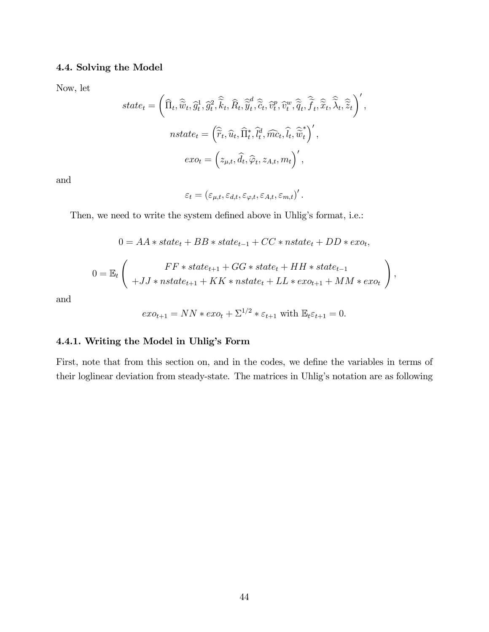# 4.4. Solving the Model

Now, let

$$
state_t = \left( \widehat{\Pi}_t, \widehat{\widetilde{w}}_t, \widehat{g}_t^1, \widehat{g}_t^2, \widehat{\widetilde{k}}_t, \widehat{R}_t, \widehat{\widetilde{y}}_t^d, \widehat{\widetilde{c}}_t, \widehat{v}_t^p, \widehat{v}_t^w, \widehat{\widetilde{q}}_t, \widehat{\widetilde{f}}_t, \widehat{\widetilde{x}}_t, \widehat{\widetilde{\lambda}}_t, \widehat{\widetilde{z}}_t \right)',
$$
  

$$
nstate_t = \left( \widehat{\widetilde{r}}_t, \widehat{u}_t, \widehat{\Pi}_t^*, \widehat{l}_t^d, \widehat{mc}_t, \widehat{l}_t, \widehat{\widetilde{w}}_t^*\right)',
$$
  

$$
exo_t = \left( z_{\mu, t}, \widehat{d}_t, \widehat{\varphi}_t, z_{A, t}, m_t \right)',
$$

and

$$
\varepsilon_t = \left(\varepsilon_{\mu,t}, \varepsilon_{d,t}, \varepsilon_{\varphi,t}, \varepsilon_{A,t}, \varepsilon_{m,t}\right)'.
$$

Then, we need to write the system defined above in Uhlig's format, i.e.:

$$
0 = AA * state_t + BB * state_{t-1} + CC * nstate_t + DD * exo_t,
$$

$$
0 = \mathbb{E}_t \left( F + JJ * \text{state}_{t+1} + GG * \text{state}_t + HH * \text{state}_{t-1} + JJ * \text{state}_{t+1} + KK * \text{state}_t + LL * \text{ex}_{t+1} + MM * \text{ex}_{t} \right),
$$

and

$$
exo_{t+1} = NN \cdot exc_t + \Sigma^{1/2} \cdot \varepsilon_{t+1} \text{ with } \mathbb{E}_t \varepsilon_{t+1} = 0.
$$

# 4.4.1. Writing the Model in Uhlig's Form

First, note that from this section on, and in the codes, we define the variables in terms of their loglinear deviation from steady-state. The matrices in Uhlig's notation are as following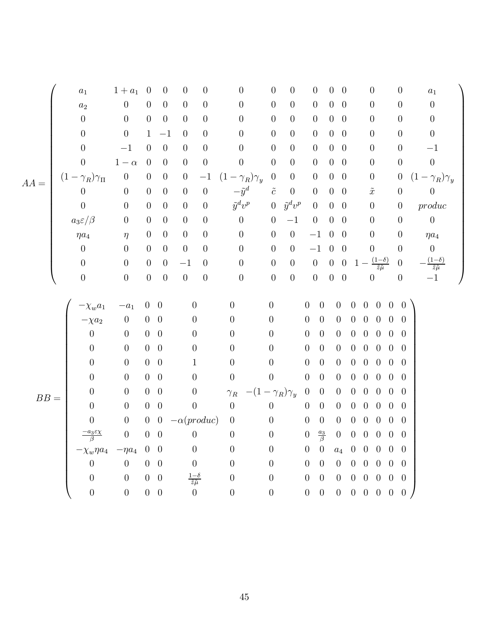⎛ ⎞ a<sup>1</sup> 1 + a<sup>1</sup> 0 0 0 0 0 0 0 0 00 0 0 a<sup>1</sup> ⎜⎜⎜⎜⎜⎜⎜⎜⎜⎜⎜⎜⎜⎜⎜⎜⎜⎜⎜⎜⎜⎜⎜⎜⎜⎜⎜⎜⎜⎝ ⎟⎟⎟⎟⎟⎟⎟⎟⎟⎟⎟⎟⎟⎟⎟⎟⎟⎟⎟⎟⎟⎟⎟⎟⎟⎟⎟⎟⎟⎠ a<sup>2</sup> 0 0 0 0 0 0 0 0 0 00 0 0 0 0 0 0 0 0 0 0 0 0 0 00 0 0 0 0 01 −1 0 0 0 0 0 0 00 0 0 0 0 −1 0 0 0 0 0 0 0 0 00 0 0 −1 0 1 − α 0 0 0 0 0 0 0 0 00 0 0 0 (1 − γR)γ<sup>Π</sup> 0 00 0 −1 (1 − γR)γ<sup>y</sup> 0 0 0 0 0 0 0 (1 − γR)γ<sup>y</sup> AA = 0 0 00 0 0 <sup>−</sup>y˜<sup>d</sup> <sup>c</sup>˜ 0 0 00 ˜<sup>x</sup> 0 0 0 0 00 0 0 ˜y<sup>d</sup>v<sup>p</sup> 0 ˜y<sup>d</sup>v<sup>p</sup> 0 00 0 0 produc a3ε/β 0 00 0 0 0 0 −1 0 00 0 0 0 ηa<sup>4</sup> η 00 0 0 0 0 0 −100 0 0 ηa<sup>4</sup> 0 0 00 0 0 0 0 0 −100 0 0 0 0 0 00 <sup>−</sup>1 0 0 0 0 0 001 <sup>−</sup> (1−δ) <sup>z</sup>˜μ˜ <sup>0</sup> <sup>−</sup>(1−δ) z˜μ˜ 0 0 0 0 0 0 0 0 0 0 00 0 0 −1 ⎛ ⎞ −χwa<sup>1</sup> −a<sup>1</sup> 00 0 0 0 0 0 0 00000 ⎜⎜⎜⎜⎜⎜⎜⎜⎜⎜⎜⎜⎜⎜⎜⎜⎜⎜⎜⎜⎜⎜⎜⎜⎜⎜⎜⎜⎜⎝ ⎟⎟⎟⎟⎟⎟⎟⎟⎟⎟⎟⎟⎟⎟⎟⎟⎟⎟⎟⎟⎟⎟⎟⎟⎟⎟⎟⎟⎟⎠ −χa<sup>2</sup> 0 00 0 0 0 0 0 0 00000 0 0 00 0 0 0 0 0 0 00000 0 0 00 0 0 0 0 0 0 00000 0 0 00 1 0 0 0 0 0 00000 0 0 00 0 0 0 0 0 0 00000 0 0 00 0 γ<sup>R</sup> −(1 − γR)γ<sup>y</sup> 0 0 0 00000 BB = 0 0 00 0 0 0 0 0 0 00000 0 0 00 −α(produc) 0 0 0 0 0 00000 −a3εχ <sup>β</sup> 0 00 0 0 0 0 <sup>a</sup><sup>3</sup> <sup>β</sup> 0 00000 −χwηa<sup>4</sup> −ηa<sup>4</sup> 00 0 0 0 0 0 a<sup>4</sup> 00000 0 0 00 0 0 0 0 0 0 00000 0 0 00 <sup>1</sup>−<sup>δ</sup> <sup>z</sup>˜μ˜ 0 0 0 0 0 00000 0 0 00 0 0 0 0 0 0 00000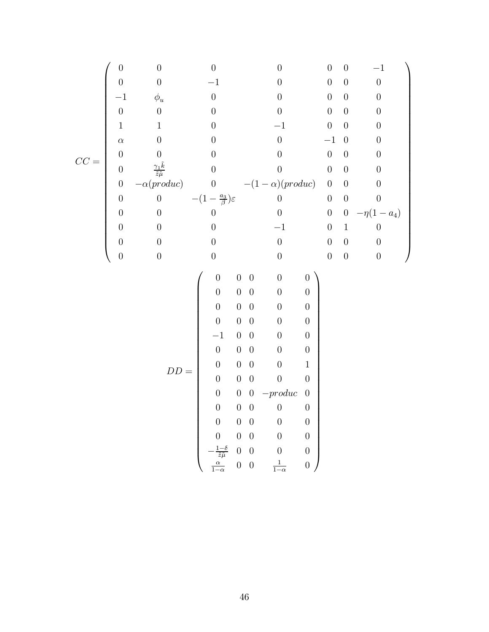$$
CC = \begin{pmatrix} 0 & 0 & 0 & 0 & 0 & 0 & -1 \\ 0 & 0 & -1 & 0 & 0 & 0 & 0 & 0 \\ -1 & \phi_u & 0 & 0 & 0 & 0 & 0 & 0 \\ 0 & 0 & 0 & 0 & 0 & 0 & 0 & 0 \\ \alpha & 0 & 0 & 0 & -1 & 0 & 0 & 0 \\ 0 & \frac{\gamma_L \ddot{k}}{2} & 0 & 0 & 0 & 0 & 0 & 0 \\ 0 & -\alpha (product) & 0 & -(1-\alpha)(product) & 0 & 0 & 0 \\ 0 & 0 & 0 & 0 & 0 & 0 & 0 & 0 \\ 0 & 0 & 0 & 0 & -1 & 0 & 1 & 0 \\ 0 & 0 & 0 & 0 & 0 & 0 & 0 & 0 \\ 0 & 0 & 0 & 0 & 0 & 0 & 0 & 0 \\ 0 & 0 & 0 & 0 & 0 & 0 & 0 & 0 \\ 0 & 0 & 0 & 0 & 0 & 0 & 0 & 0 \\ 0 & 0 & 0 & 0 & 0 & 0 & 0 & 0 \\ 0 & 0 & 0 & 0 & 0 & 0 & 0 & 0 \\ 0 & 0 & 0 & 0 & 0 & 0 & 0 & 0 \\ 0 & 0 & 0 & 0 & 0 & 0 & 0 & 0 \\ 0 & 0 & 0 & 0 & 0 & 0 & 0 & 0 \\ 0 & 0 & 0 & 0 & 0 & 0 & 0 & 0 \\ 0 & 0 & 0 & 0 & 0 & 0 & 0 & 0 \\ 0 & 0 & 0 & 0 & 0 & 0 & 0 & 0 \\ 0 & 0 & 0 & 0 & 0 & 0 & 0 & 0 \\ 0 & 0 & 0 & 0 & 0 & 0 & 0 & 0 \\ \frac{-1-\alpha}{\alpha} & 0 & 0 & \frac{1}{1-\alpha} & 0 & 0 & 0 \\ \end{pmatrix}
$$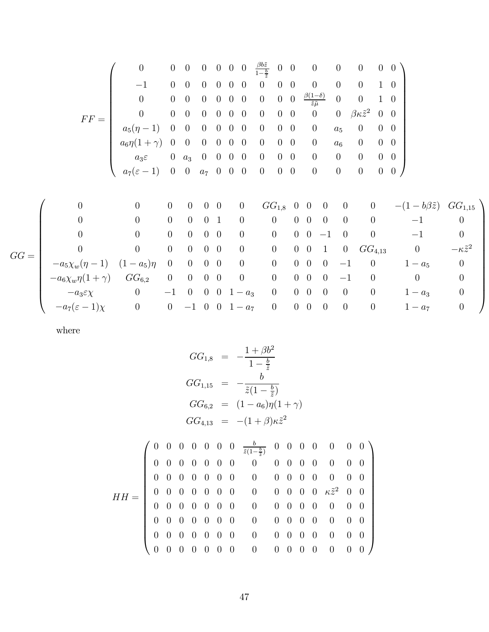F F = ⎛ ⎜⎜⎜⎜⎜⎜⎜⎜⎜⎜⎜⎜⎜⎜⎝ 0 0 0 0 000 <sup>β</sup>bz˜ <sup>1</sup><sup>−</sup> <sup>b</sup> z˜ 00 0 0 0 00 −1 0 0 0 000 0 00 0 0 0 10 0 0 0 0 000 0 00 <sup>β</sup>(1−δ) <sup>z</sup>˜μ˜ 0 0 10 0 0 0 0 000 0 00 0 0 βκz˜<sup>2</sup> 0 0 a5(η − 1) 0 0 0 0 0 0 0 0 0 0 a<sup>5</sup> 0 00 a6η(1 + γ)0 0 0 000 0 00 0 a<sup>6</sup> 0 00 a3ε 0 a<sup>3</sup> 0 000 0 00 0 0 0 00 a7(ε − 1) 0 0 a<sup>7</sup> 000 0 00 0 0 0 00 ⎞ ⎟⎟⎟⎟⎟⎟⎟⎟⎟⎟⎟⎟⎟⎟⎠ GG = ⎛ ⎜⎜⎜⎜⎜⎜⎜⎜⎜⎜⎜⎜⎜⎜⎝ 0 0 0 0 00 0 GG1,<sup>8</sup> 00 0 0 0 −(1 − bβz˜) GG1,<sup>15</sup> 0 0 0 0 01 0 0 00 0 0 0 −1 0 0 0 0 0 00 0 0 00 −10 0 −1 0 0 0 0 0 00 0 0 00 1 0 GG4,<sup>13</sup> <sup>0</sup> <sup>−</sup>κz˜<sup>2</sup> −a5χw(η − 1) (1 − a5)η 0 0 00 0 0 00 0 −10 1 − a<sup>5</sup> 0 −a6χwη(1 + γ) GG6,<sup>2</sup> 0 0 00 0 0 00 0 −10 0 0 −a3εχ 0 −1 0 001 − a<sup>3</sup> 0 00 0 0 0 1 − a<sup>3</sup> 0 −a7(ε − 1)χ 0 0 −1001 − a<sup>7</sup> 0 00 0 0 0 1 − a<sup>7</sup> 0 ⎞ ⎟⎟⎟⎟⎟⎟⎟⎟⎟⎟⎟⎟⎟⎟⎠

where

GG1,<sup>8</sup> <sup>=</sup> <sup>−</sup>1 + <sup>β</sup>b<sup>2</sup> <sup>1</sup> <sup>−</sup> <sup>b</sup> z˜ GG1,<sup>15</sup> <sup>=</sup> <sup>−</sup> <sup>b</sup> <sup>z</sup>˜(1 <sup>−</sup> <sup>b</sup> z˜) GG6,<sup>2</sup> = (1 − a6)η(1 + γ) GG4,<sup>13</sup> <sup>=</sup> <sup>−</sup>(1 + <sup>β</sup>)κz˜<sup>2</sup> HH = ⎛ ⎜⎜⎜⎜⎜⎜⎜⎜⎜⎜⎜⎜⎜⎜⎝ 0000000 <sup>b</sup> <sup>z</sup>˜(1<sup>−</sup> <sup>b</sup> <sup>z</sup>˜) 0000 0 00 0000000 0 0000 0 00 0000000 0 0000 0 00 0000000 0 0000 κz˜<sup>2</sup> 0 0 0000000 0 0000 0 00 0000000 0 0000 0 00 0000000 0 0000 0 00 0000000 0 0000 0 00 ⎞ ⎟⎟⎟⎟⎟⎟⎟⎟⎟⎟⎟⎟⎟⎟⎠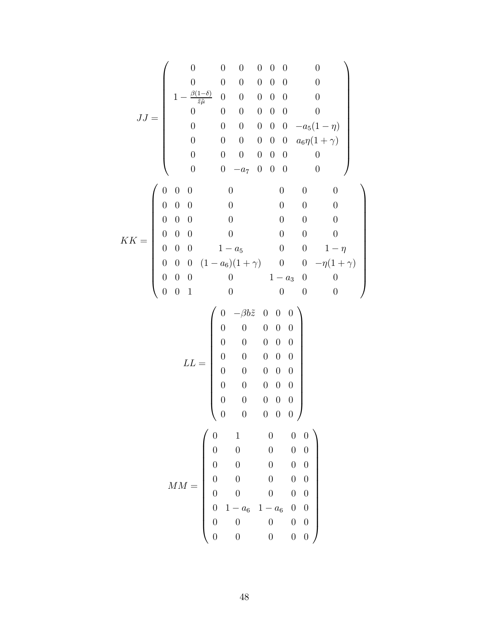$$
JJ = \begin{pmatrix}\n0 & 0 & 0 & 0 & 0 & 0 & 0 \\
0 & 0 & 0 & 0 & 0 & 0 & 0 \\
1 - \frac{\beta(1-\delta)}{\bar{z}\bar{\mu}} & 0 & 0 & 0 & 0 & 0 & 0 \\
0 & 0 & 0 & 0 & 0 & 0 & 0 & 0 \\
0 & 0 & 0 & 0 & 0 & 0 & -a_5(1-\eta) \\
0 & 0 & 0 & 0 & 0 & 0 & 0 & 0 \\
0 & 0 & 0 & 0 & 0 & 0 & 0 & 0 \\
0 & 0 & 0 & 0 & 0 & 0 & 0 & 0 \\
0 & 0 & 0 & 0 & 0 & 0 & 0 & 0 \\
0 & 0 & 0 & 0 & 0 & 0 & 0 & 0 \\
0 & 0 & 0 & 1 - a_5 & 0 & 0 & 1 - \eta \\
0 & 0 & 0 & 1 - a_5 & 0 & 0 & 1 - \eta \\
0 & 0 & 0 & 0 & 1 - a_3 & 0 & 0 \\
0 & 0 & 1 & 0 & 0 & 0 & 0 & 0\n\end{pmatrix}
$$
\n
$$
LL = \begin{pmatrix}\n0 & -\beta b\bar{z} & 0 & 0 & 0 \\
0 & 0 & 0 & 0 & 0 & 0 \\
0 & 0 & 0 & 0 & 0 & 0 \\
0 & 0 & 0 & 0 & 0 & 0 \\
0 & 0 & 0 & 0 & 0 & 0 \\
0 & 0 & 0 & 0 & 0 & 0 \\
0 & 0 & 0 & 0 & 0 & 0 \\
0 & 0 & 0 & 0 & 0 & 0 \\
0 & 0 & 0 & 0 & 0 & 0 \\
0 & 0 & 0 & 0 & 0 & 0 \\
0 & 0 & 0 & 0 & 0 & 0 \\
0 & 0 & 0 & 0 & 0 & 0 \\
0 & 0 & 0 & 0 & 0 & 0 \\
0 & 0 & 0 & 0 & 0 & 0 \\
0 & 0 & 0 & 0 & 0 & 0 \\
0 & 0 & 0 & 0 & 0 & 0\n\end{pmatrix}
$$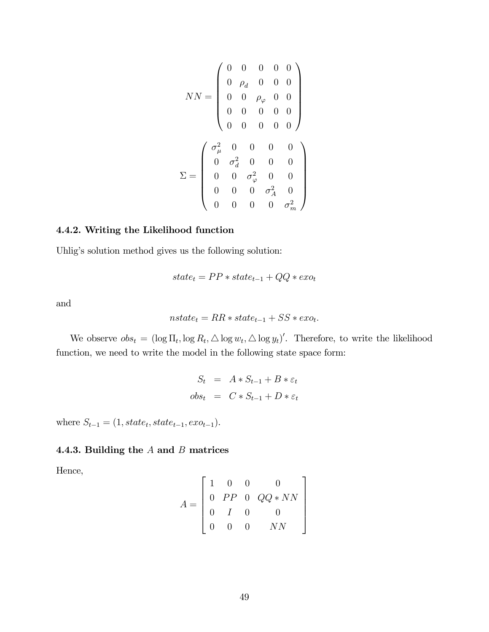$$
NN = \begin{pmatrix} 0 & 0 & 0 & 0 & 0 \\ 0 & \rho_d & 0 & 0 & 0 \\ 0 & 0 & \rho_\varphi & 0 & 0 \\ 0 & 0 & 0 & 0 & 0 \\ 0 & 0 & 0 & 0 & 0 \\ 0 & 0 & 0 & 0 & 0 \end{pmatrix}
$$

$$
\Sigma = \begin{pmatrix} \sigma_\mu^2 & 0 & 0 & 0 & 0 \\ 0 & \sigma_d^2 & 0 & 0 & 0 \\ 0 & 0 & \sigma_\varphi^2 & 0 & 0 \\ 0 & 0 & 0 & \sigma_A^2 & 0 \\ 0 & 0 & 0 & 0 & \sigma_m^2 \end{pmatrix}
$$

# 4.4.2. Writing the Likelihood function

Uhlig's solution method gives us the following solution:

$$
state_t = PP * state_{t-1} + QQ * exo_t
$$

and

$$
nstate_t = RR * state_{t-1} + SS * exo_t.
$$

We observe  $obs_t = (\log \Pi_t, \log R_t, \triangle \log w_t, \triangle \log y_t)'$ . Therefore, to write the likelihood function, we need to write the model in the following state space form:

$$
S_t = A * S_{t-1} + B * \varepsilon_t
$$
  

$$
obs_t = C * S_{t-1} + D * \varepsilon_t
$$

where  $S_{t-1} = (1, state_t, state_{t-1}, exc_{t-1}).$ 

# 4.4.3. Building the  $A$  and  $B$  matrices

Hence,

$$
A = \left[ \begin{array}{cccc} 1 & 0 & 0 & 0 \\ 0 & PP & 0 & QQ * NN \\ 0 & I & 0 & 0 \\ 0 & 0 & 0 & NN \end{array} \right]
$$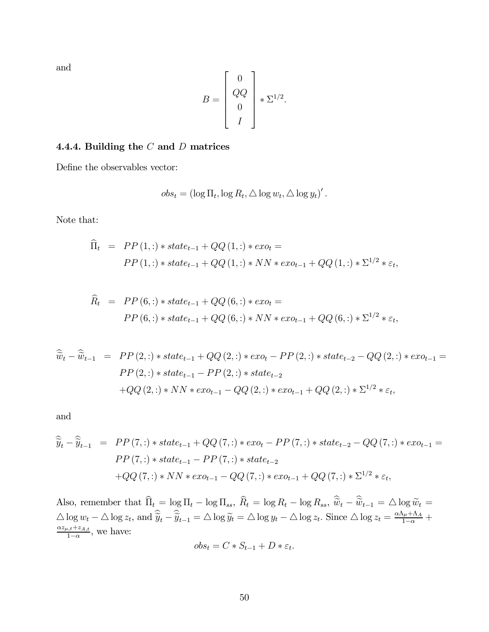and

$$
B = \begin{bmatrix} 0 \\ QQ \\ 0 \\ I \end{bmatrix} * \Sigma^{1/2}.
$$

# 4.4.4. Building the  $C$  and  $D$  matrices

Define the observables vector:

$$
obs_t = (\log \Pi_t, \log R_t, \triangle \log w_t, \triangle \log y_t)'.
$$

Note that:

$$
\begin{aligned}\n\widehat{\Pi}_t &= P P(1,:) * state_{t-1} + QQ(1,:) * exo_t \\
&= P P(1,:) * state_{t-1} + QQ(1,:) * NN * exo_{t-1} + QQ(1,:) * \Sigma^{1/2} * \varepsilon_t,\n\end{aligned}
$$

$$
\widehat{R}_t = PP(6,:) * state_{t-1} + QQ(6,:) * exo_t =
$$
  
\n
$$
PP(6,:) * state_{t-1} + QQ(6,:) * NN * exo_{t-1} + QQ(6,:) * \Sigma^{1/2} * \varepsilon_t,
$$

$$
\widehat{\tilde{w}}_t - \widehat{\tilde{w}}_{t-1} = PP(2,:) * state_{t-1} + QQ(2,:) * exo_t - PP(2,:) * state_{t-2} - QQ(2,:) * exo_{t-1} =
$$
  
\n
$$
PP(2,:) * state_{t-1} - PP(2,:) * state_{t-2}
$$
  
\n
$$
+ QQ(2,:) * NN * exo_{t-1} - QQ(2,:) * exo_{t-1} + QQ(2,:) * \Sigma^{1/2} * \varepsilon_t,
$$

and

$$
\widehat{\widetilde{y}}_t - \widehat{\widetilde{y}}_{t-1} = PP(7,:) * state_{t-1} + QQ(7,:) * exo_t - PP(7,:) * state_{t-2} - QQ(7,:) * exo_{t-1} =
$$
  
\n
$$
PP(7,:) * state_{t-1} - PP(7,:) * state_{t-2}
$$
  
\n
$$
+ QQ(7,:) * NN * exo_{t-1} - QQ(7,:) * exo_{t-1} + QQ(7,:) * \Sigma^{1/2} * \varepsilon_t,
$$

Also, remember that  $\Pi_t = \log \Pi_t - \log \Pi_{ss}$ ,  $R_t = \log R_t - \log R_{ss}$ ,  $\widetilde{w}_t - \widetilde{w}_{t-1} = \Delta \log \widetilde{w}_t =$  $\Delta \log w_t - \Delta \log z_t$ , and  $\hat{y}_t - \hat{y}_{t-1} = \Delta \log \tilde{y}_t = \Delta \log y_t - \Delta \log z_t$ . Since  $\Delta \log z_t = \frac{\alpha \Lambda_\mu + \Lambda_A}{1 - \alpha} + \frac{\alpha z_{\mu,t} + z_{A,t}}{1 - \alpha}$  $\frac{a,t+z_{A,t}}{1-\alpha}$ , we have:

$$
obs_t = C * S_{t-1} + D * \varepsilon_t.
$$